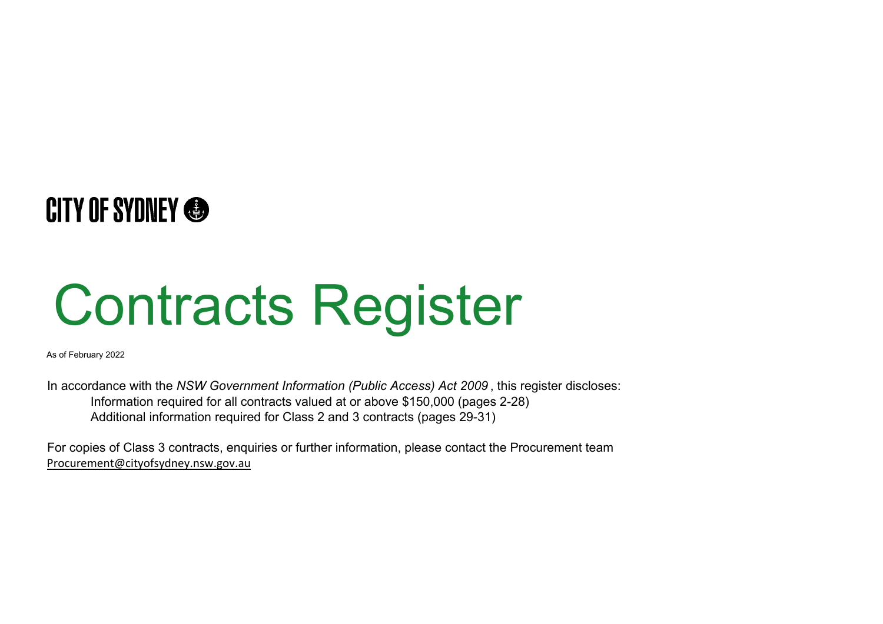# **CITY OF SYDNEY @**

# Contracts Register

As of February 2022

In accordance with the *NSW Government Information (Public Access) Act 2009* , this register discloses: Information required for all contracts valued at or above \$150,000 (pages 2-28) Additional information required for Class 2 and 3 contracts (pages 29-31)

For copies of Class 3 contracts, enquiries or further information, please contact the Procurement team Procurement@cityofsydney.nsw.gov.au

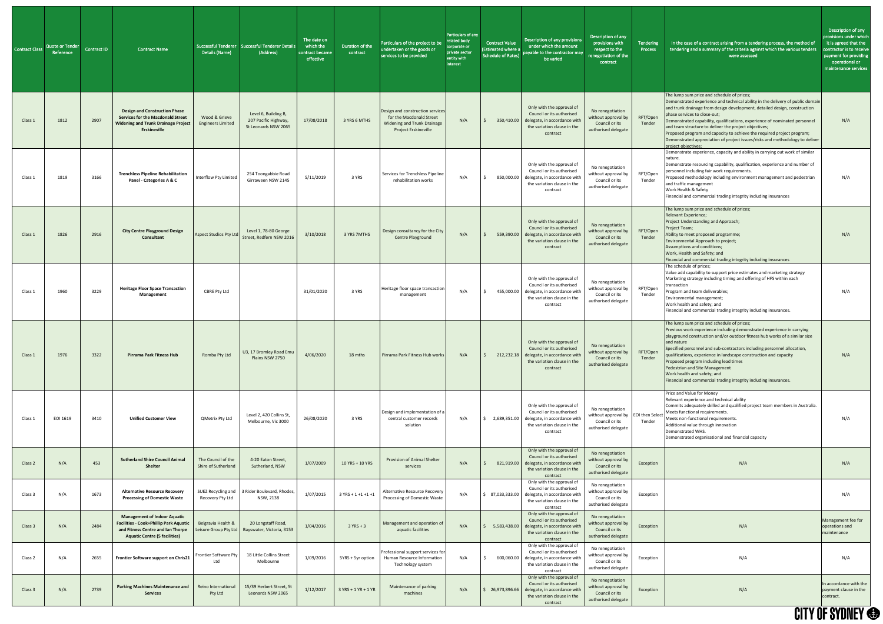| Contract Class | <b>Quote or Tender</b><br>Reference | Contract ID | <b>Contract Name</b>                                                                                                                                              | Details (Name)                            | Successful Tenderer   Successful Tenderer Details<br>(Address)          | The date on<br>which the<br>contract became<br>effective | Duration of the<br>contract | Particulars of the project to be<br>undertaken or the goods or<br>services to be provided                                  | Particulars of any<br>related body<br>corporate or<br>private sector<br>entity with<br>interest | <b>Contract Value</b><br><b>Estimated where a</b><br>Schedule of Rates) | Description of any provisions<br>under which the amount<br>payable to the contractor may<br>be varied                                        | Description of any<br>provisions with<br>respect to the<br>renegotiation of the<br>contract        | Tendering<br>Process | In the case of a contract arising from a tendering process, the method of<br>tendering and a summary of the criteria against which the various tenders<br>were assessed                                                                                                                                                                                                                                                                                                                                                                                           | Description of any<br>provisions under which<br>it is agreed that the<br>contractor is to receive<br>payment for providing<br>operational or<br>maintenance services |
|----------------|-------------------------------------|-------------|-------------------------------------------------------------------------------------------------------------------------------------------------------------------|-------------------------------------------|-------------------------------------------------------------------------|----------------------------------------------------------|-----------------------------|----------------------------------------------------------------------------------------------------------------------------|-------------------------------------------------------------------------------------------------|-------------------------------------------------------------------------|----------------------------------------------------------------------------------------------------------------------------------------------|----------------------------------------------------------------------------------------------------|----------------------|-------------------------------------------------------------------------------------------------------------------------------------------------------------------------------------------------------------------------------------------------------------------------------------------------------------------------------------------------------------------------------------------------------------------------------------------------------------------------------------------------------------------------------------------------------------------|----------------------------------------------------------------------------------------------------------------------------------------------------------------------|
| Class 1        | 1812                                | 2907        | <b>Design and Construction Phase</b><br><b>Services for the Macdonald Street</b><br><b>Widening and Trunk Drainage Project</b><br><b>Erskineville</b>             | Wood & Grieve<br><b>Engineers Limited</b> | Level 6, Building B,<br>207 Pacific Highway,<br>St Leonards NSW 2065    | 17/08/2018                                               | 3 YRS 6 MTHS                | Design and construction services<br>for the Macdonald Street<br><b>Widening and Trunk Drainage</b><br>Project Erskineville | N/A                                                                                             | 350,410.00                                                              | Only with the approval of<br>Council or its authorised<br>delegate, in accordance with<br>the variation clause in the<br>contract            | No renegotiation<br>without approval by<br>Council or its<br>authorised delegate                   | RFT/Open<br>Tender   | The lump sum price and schedule of prices;<br>Demonstrated experience and technical ability in the delivery of public domain<br>and trunk drainage from design development, detailed design, construction<br>phase services to close-out;<br>Demonstrated capability, qualifications, experience of nominated personnel<br>and team structure to deliver the project objectives;<br>Proposed program and capacity to achieve the required project program;<br>Demonstrated appreciation of project issues/risks and methodology to deliver<br>project objectives; | N/A                                                                                                                                                                  |
| Class 1        | 1819                                | 3166        | <b>Trenchless Pipeline Rehabilitation</b><br>Panel - Categories A & C                                                                                             | Interflow Pty Limited                     | 254 Toongabbie Road<br>Girraween NSW 2145                               | 5/11/2019                                                | 3 YRS                       | Services for Trenchless Pipeline<br>rehabilitation works                                                                   | N/A                                                                                             | 850,000.00                                                              | Only with the approval of<br>Council or its authorised<br>delegate, in accordance with<br>the variation clause in the<br>contract            | No renegotiation<br>without approval by<br>Council or its<br>authorised delegate                   | RFT/Open<br>Tender   | Demonstrate experience, capacity and ability in carrying out work of similar<br>Inature.<br>Demonstrate resourcing capability, qualification, experience and number of<br>personnel including fair work requirements.<br>Proposed methodology including environment management and pedestrian<br>and traffic management<br>Work Health & Safety<br>Financial and commercial trading integrity including insurances                                                                                                                                                | N/A                                                                                                                                                                  |
| Class 1        | 1826                                | 2916        | <b>City Centre Playground Design</b><br><b>Consultant</b>                                                                                                         | Aspect Studios Pty Ltd                    | Level 1, 78-80 George<br>Street, Redfern NSW 2016                       | 3/10/2018                                                | 3 YRS 7MTHS                 | Design consultancy for the City<br>Centre Playground                                                                       | N/A                                                                                             | 559,390.00                                                              | Only with the approval of<br>Council or its authorised<br>delegate, in accordance with<br>the variation clause in the<br>contract            | No renegotiation<br>without approval by<br>Council or its<br>authorised delegate                   | RFT/Open<br>Tender   | The lump sum price and schedule of prices;<br>Relevant Experience;<br>Project Understanding and Approach;<br>Project Team;<br>Ability to meet proposed programme;<br>Environmental Approach to project;<br>Assumptions and conditions;<br>Work, Health and Safety; and<br>Financial and commercial trading integrity including insurances                                                                                                                                                                                                                         | N/A                                                                                                                                                                  |
| Class 1        | 1960                                | 3229        | <b>Heritage Floor Space Transaction</b><br>Management                                                                                                             | CBRE Pty Ltd                              |                                                                         | 31/01/2020                                               | 3 YRS                       | Heritage floor space transaction<br>management                                                                             | N/A                                                                                             | 455,000.00                                                              | Only with the approval of<br>Council or its authorised<br>delegate, in accordance with<br>the variation clause in the<br>contract            | No renegotiation<br>without approval by<br>Council or its<br>authorised delegate                   | RFT/Open<br>Tender   | The schedule of prices;<br>Value add capability to support price estimates and marketing strategy<br>Marketing strategy including timing and offering of HFS within each<br>transaction<br>Program and team deliverables;<br>Environmental management;<br>Work health and safety; and<br>Financial and commercial trading integrity including insurances.                                                                                                                                                                                                         | N/A                                                                                                                                                                  |
| Class 1        | 1976                                | 3322        | <b>Pirrama Park Fitness Hub</b>                                                                                                                                   | Romba Pty Ltd                             | U3, 17 Bromley Road Emu<br>Plains NSW 2750                              | 4/06/2020                                                | 18 mths                     | Pirrama Park Fitness Hub works                                                                                             | N/A                                                                                             |                                                                         | Only with the approval of<br>Council or its authorised<br>212,232.18 delegate, in accordance with<br>the variation clause in the<br>contract | No renegotiation<br>without approval by<br>Council or its<br>authorised delegate                   | RFT/Open<br>Tender   | The lump sum price and schedule of prices;<br>Previous work experience including demonstrated experience in carrying<br>playground construction and/or outdoor fitness hub works of a similar size<br>and nature<br>Specified personnel and sub-contractors including personnel allocation,<br>qualifications, experience in landscape construction and capacity<br>Proposed program including lead times<br>Pedestrian and Site Management<br>Work health and safety; and<br>Financial and commercial trading integrity including insurances.                    | N/A                                                                                                                                                                  |
| Class 1        | EOI 1619                            | 3410        | <b>Unified Customer View</b>                                                                                                                                      | QMetrix Pty Ltd                           | Level 2, 420 Collins St,<br>Melbourne, Vic 3000                         | 26/08/2020                                               | 3 YRS                       | Design and implementation of a<br>central customer records<br>solution                                                     | N/A                                                                                             | 2,689,351.00                                                            | Only with the approval of<br>Council or its authorised<br>delegate, in accordance with<br>the variation clause in the<br>contract            | No renegotiation<br>without approval by   EOI then Select<br>Council or its<br>authorised delegate | Tender               | Price and Value for Money<br>Relevant experience and technical ability<br>Commits adequately skilled and qualified project team members in Australia.<br>Meets functional requirements.<br>Meets non-functional requirements.<br>Additional value through innovation<br>Demonstrated WHS.<br>Demonstrated organisational and financial capacity                                                                                                                                                                                                                   | N/A                                                                                                                                                                  |
| Class 2        | N/A                                 | 453         | <b>Sutherland Shire Council Animal</b><br><b>Shelter</b>                                                                                                          | The Council of the<br>Shire of Sutherland | 4-20 Eaton Street,<br>Sutherland, NSW                                   | 1/07/2009                                                | 10 YRS + 10 YRS             | <b>Provision of Animal Shelter</b><br>services                                                                             | N/A                                                                                             |                                                                         | Only with the approval of<br>Council or its authorised<br>821,919.00 delegate, in accordance with<br>the variation clause in the<br>contract | No renegotiation<br>without approval by<br>Council or its<br>authorised delegate                   | Exception            | N/A                                                                                                                                                                                                                                                                                                                                                                                                                                                                                                                                                               | N/A                                                                                                                                                                  |
| Class 3        | N/A                                 | 1673        | <b>Alternative Resource Recovery</b><br><b>Processing of Domestic Waste</b>                                                                                       | Recovery Pty Ltd                          | SUEZ Recycling and 3 Rider Boulevard, Rhodes,<br>NSW, 2138              | 1/07/2015                                                | $3$ YRS + 1 +1 +1 +1        | Alternative Resource Recovery<br>Processing of Domestic Waste                                                              | N/A                                                                                             | \$ 87,033,333.00                                                        | Only with the approval of<br>Council or its authorised<br>delegate, in accordance with<br>the variation clause in the<br>contract            | No renegotiation<br>without approval by<br>Council or its<br>authorised delegate                   | Exception            |                                                                                                                                                                                                                                                                                                                                                                                                                                                                                                                                                                   | N/A                                                                                                                                                                  |
| Class 3        | N/A                                 | 2484        | <b>Management of Indoor Aquatic</b><br><b>Facilities - Cook+Phillip Park Aquatic</b><br>and Fitness Centre and Ian Thorpe<br><b>Aquatic Centre (5 facilities)</b> | Belgravia Health &                        | 20 Longstaff Road,<br>Leisure Group Pty Ltd   Bayswater, Victoria, 3153 | 1/04/2016                                                | $3 YRS + 3$                 | Management and operation o<br>aquatic facilities                                                                           | N/A                                                                                             | 5,583,438.00                                                            | Only with the approval of<br>Council or its authorised<br>delegate, in accordance with<br>the variation clause in the<br>contract            | No renegotiation<br>without approval by<br>Council or its<br>authorised delegate                   | Exception            | N/A                                                                                                                                                                                                                                                                                                                                                                                                                                                                                                                                                               | Management fee for<br>operations and<br>maintenance                                                                                                                  |
| Class 2        | N/A                                 | 2655        | Frontier Software support on Chris21                                                                                                                              | <b>Frontier Software Pty</b><br>Ltd       | 18 Little Collins Street<br>Melbourne                                   | 1/09/2016                                                | 5YRS + 5yr option           | Professional support services fo<br>Human Resource Information<br>Technology system                                        | N/A                                                                                             | 600,060.00                                                              | Only with the approval of<br>Council or its authorised<br>delegate, in accordance with<br>the variation clause in the<br>contract            | No renegotiation<br>without approval by<br>Council or its<br>authorised delegate                   | Exception            | N/A                                                                                                                                                                                                                                                                                                                                                                                                                                                                                                                                                               | N/A                                                                                                                                                                  |
| Class 3        | N/A                                 | 2739        | <b>Parking Machines Maintenance and</b><br><b>Services</b>                                                                                                        | Reino Internationa<br>Pty Ltd             | 15/39 Herbert Street, St<br>Leonards NSW 2065                           | 1/12/2017                                                | 3 YRS + 1 YR + 1 YR         | Maintenance of parking<br>machines                                                                                         | N/A                                                                                             | 26,973,896.66                                                           | Only with the approval of<br>Council or its authorised<br>delegate, in accordance with<br>the variation clause in the<br>contract            | No renegotiation<br>without approval by<br>Council or its<br>authorised delegate                   | Exception            | N/A                                                                                                                                                                                                                                                                                                                                                                                                                                                                                                                                                               | In accordance with the<br>payment clause in the<br>contract.                                                                                                         |
|                |                                     |             |                                                                                                                                                                   |                                           |                                                                         |                                                          |                             |                                                                                                                            |                                                                                                 |                                                                         |                                                                                                                                              |                                                                                                    |                      |                                                                                                                                                                                                                                                                                                                                                                                                                                                                                                                                                                   | <b>CITY OF SYDNEY <sup>®</sup></b>                                                                                                                                   |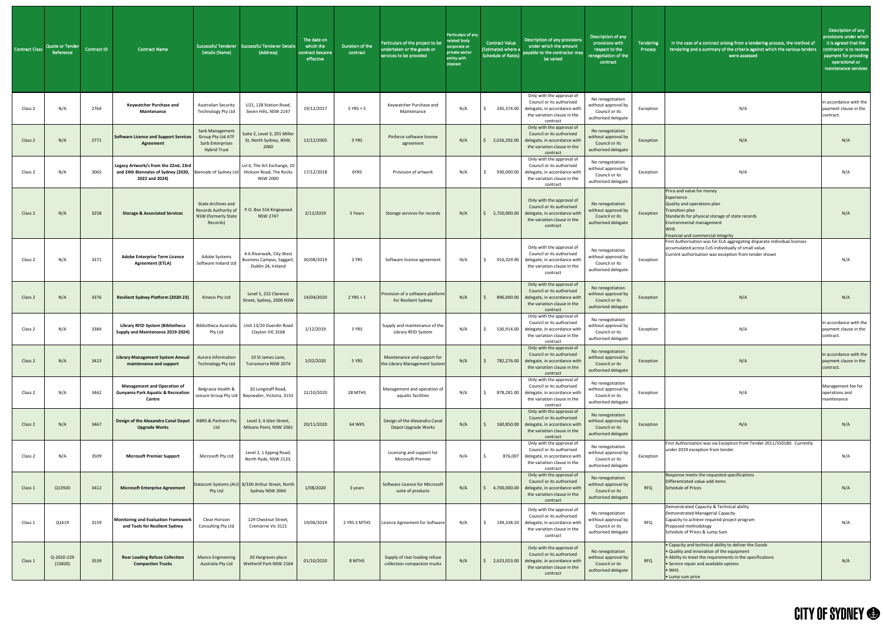| <b>Contract Class</b> | Quote or Tender<br>Reference | Contract ID | <b>Contract Name</b>                                                                          | <b>Successful Tenderer</b><br>Details (Name)                                           | <b>Successful Tenderer Details</b><br>(Address)                             | The date on<br>which the<br>contract became<br>effective | Duration of the<br>contract | Particulars of the project to be<br>undertaken or the goods or<br>services to be provided | Particulars of any<br>related body<br>corporate or<br>private sector<br>entity with<br>interest | <b>Contract Value</b><br>(Estimated where<br>Schedule of Rates |
|-----------------------|------------------------------|-------------|-----------------------------------------------------------------------------------------------|----------------------------------------------------------------------------------------|-----------------------------------------------------------------------------|----------------------------------------------------------|-----------------------------|-------------------------------------------------------------------------------------------|-------------------------------------------------------------------------------------------------|----------------------------------------------------------------|
| Class 2               | N/A                          | 2764        | Keywatcher Purchase and<br>Maintenance                                                        | <b>Australian Security</b><br><b>Technology Pty Ltd</b>                                | U21, 128 Station Road,<br>Seven Hills, NSW 2147                             | 19/12/2017                                               | $5$ YRS + 5                 | Keywatcher Purchase and<br>Maintenance                                                    | N/A                                                                                             | 245,374.00<br>\$                                               |
| Class 2               | N/A                          | 2771        | <b>Software Licence and Support Services</b><br>Agreement                                     | Sarb Management<br><b>Group Pty Ltd ATF</b><br>Sarb Enterprises<br><b>Hybrid Trust</b> | Suite 2, Level 3, 201 Miller<br>St, North Sydney, NSW,<br>2060              | 12/12/2005                                               | 3 YRS                       | Pinforce software license<br>agreement                                                    | N/A                                                                                             | 2,016,292.00<br>Ŝ                                              |
| Class 2               | N/A                          | 3065        | Legacy Artwork/s from the 22nd, 23rd<br>and 24th Biennales of Sydney (2020,<br>2022 and 2024) | Biennale of Sydney Ltd                                                                 | Lvl 4, The Art Exchange, 10<br>Hickson Road, The Rocks<br><b>NSW 2000</b>   | 17/12/2018                                               | 6YRS                        | Provision of artwork                                                                      | N/A                                                                                             | \$<br>930,000.00                                               |
| Class <sub>2</sub>    | N/A                          | 3258        | <b>Storage &amp; Associated Services</b>                                                      | <b>State Archives and</b><br>Records Authority of<br>NSW (formerly State<br>Records)   | P.O. Box 516 Kingswood<br><b>NSW 2747</b>                                   | 2/12/2019                                                | 5 Years                     | Storage services for records                                                              | N/A                                                                                             | 2,750,000.00<br>\$                                             |
| Class 2               | N/A                          | 3371        | <b>Adobe Enterprise Term Licence</b><br><b>Agreement (ETLA)</b>                               | Adobe Systems<br>Software Ireland Ltd                                                  | 4-6 Riverwalk, City West<br>Business Campus, Saggart,<br>Dublin 24, Ireland | 30/08/2019                                               | 3 YRS                       | Software licence agreement                                                                | N/A                                                                                             | \$<br>916,329.90                                               |
| Class 2               | N/A                          | 3376        | <b>Resilient Sydney Platform (2020-23)</b>                                                    | Kinesis Pty Ltd                                                                        | Level 5, 222 Clarence<br>Street, Sydney, 2000 NSW                           | 14/04/2020                                               | $2$ YRS + 1                 | Provision of a software platform<br>for Resilient Sydney                                  | N/A                                                                                             | 896,000.00<br>\$                                               |
| Class 2               | N/A                          | 3384        | Library RFID System (Bibliotheca<br>Supply and Maintenance 2019-2024)                         | Bibliotheca Australia<br>Pty Ltd                                                       | Unit 13/20 Duerdin Road<br>Clayton VIC 3168                                 | 1/12/2019                                                | 3 YRS                       | Supply and maintenance of the<br>Library RFID System                                      | N/A                                                                                             | 530,914.00<br>\$                                               |
| Class 2               | N/A                          | 3423        | <b>Library Management System Annual</b><br>maintenance and support                            | Aurora Information<br><b>Technology Pty Ltd</b>                                        | 10 St James Lane,<br>Turramurra NSW 2074                                    | 1/02/2020                                                | 5 YRS                       | Maintenance and support for<br>the Library Management System                              | N/A                                                                                             | \$<br>782,276.00                                               |
| Class 2               | N/A                          | 3462        | <b>Management and Operation of</b><br><b>Gunyama Park Aquatic &amp; Recreation</b><br>Centre  | Belgravia Health &<br>Leisure Group Pty Ltd                                            | 20 Longstaff Road,<br>Bayswater, Victoria, 3153                             | 22/10/2020                                               | 28 MTHS                     | Management and operation of<br>aquatic facilities                                         | N/A                                                                                             | 878,281.00<br>\$                                               |
| Class 2               | N/A                          | 3467        | Design of the Alexandra Canal Depot<br><b>Upgrade Works</b>                                   | <b>NBRS &amp; Partners Pty</b><br>Ltd                                                  | Level 3, 4 Glen Street,<br>Milsons Point, NSW 2061                          | 20/11/2020                                               | <b>64 WKS</b>               | Design of the Alexandra Canal<br>Depot Upgrade Works                                      | N/A                                                                                             | 160,850.00<br>\$                                               |
| Class 2               | N/A                          | 3509        | <b>Microsoft Premier Support</b>                                                              | Microsoft Pty Ltd                                                                      | Level 2, 1 Epping Road,<br>North Ryde, NSW 2133.                            |                                                          |                             | Licensing and support for<br>Microsoft Premier                                            | N/A                                                                                             | S.<br>876,007                                                  |
| Class 1               | Q13920                       | 3412        | <b>Microsoft Enterprise Agreement</b>                                                         | Pty Ltd                                                                                | Datacom Systems (AU) 8/100 Arthur Street, North<br>Sydney NSW 2060          | 1/08/2020                                                | 3 years                     | Software Licence for Microsoft<br>suite of products                                       | N/A                                                                                             | \$<br>4,700,000.00                                             |
| Class 1               | Q1619                        | 3159        | Monitoring and Evaluation Framework<br>and Tools for Resilient Sydney                         | Clear Horizon<br>Consulting Pty Ltd                                                    | 129 Chestnut Street,<br>Cremorne Vic 3121                                   | 19/06/2019                                               | 2 YRS 3 MTHS                | Licence Agreement for Software                                                            | N/A                                                                                             | 149,338.20<br>\$                                               |
| Class 1               | Q-2020-229<br>(13820)        | 3539        | <b>Rear Loading Refuse Collection</b><br><b>Compaction Trucks</b>                             | <b>Manco Engineering</b><br>Australia Pty Ltd                                          | 20 Hargraves place<br>Wetherill Park NSW 2164                               | 01/10/2020                                               | 8 MTHS                      | Supply of rear loading refuse<br>collection compaction trucks                             | N/A                                                                                             | 2,623,023.00<br>\$.                                            |

| ny | <b>Contract Value</b><br><b>Estimated where a</b><br><b>Schedule of Rates)</b> | Description of any provisions<br>under which the amount<br>payable to the contractor may<br>be varied                             | Description of any<br>provisions with<br>respect to the<br>renegotiation of the<br>contract | <b>Tendering</b><br><b>Process</b> | In the case of a contract arising from a tendering process, the method of<br>tendering and a summary of the criteria against which the various tenders<br>were assessed                                                                       | Description of any<br>provisions under which<br>it is agreed that the<br>contractor is to receive<br>payment for providing<br>operational or<br>maintenance services |
|----|--------------------------------------------------------------------------------|-----------------------------------------------------------------------------------------------------------------------------------|---------------------------------------------------------------------------------------------|------------------------------------|-----------------------------------------------------------------------------------------------------------------------------------------------------------------------------------------------------------------------------------------------|----------------------------------------------------------------------------------------------------------------------------------------------------------------------|
|    | \$<br>245,374.00                                                               | Only with the approval of<br>Council or its authorised<br>delegate, in accordance with<br>the variation clause in the<br>contract | No renegotiation<br>without approval by<br>Council or its<br>authorised delegate            | Exception                          | N/A                                                                                                                                                                                                                                           | In accordance with the<br>payment clause in the<br>contract.                                                                                                         |
|    | 2,016,292.00<br>\$                                                             | Only with the approval of<br>Council or its authorised<br>delegate, in accordance with<br>the variation clause in the<br>contract | No renegotiation<br>without approval by<br>Council or its<br>authorised delegate            | Exception                          | N/A                                                                                                                                                                                                                                           | N/A                                                                                                                                                                  |
|    | \$<br>930,000.00                                                               | Only with the approval of<br>Council or its authorised<br>delegate, in accordance with<br>the variation clause in the<br>contract | No renegotiation<br>without approval by<br>Council or its<br>authorised delegate            | Exception                          | N/A                                                                                                                                                                                                                                           | N/A                                                                                                                                                                  |
|    | \$.<br>2,750,000.00                                                            | Only with the approval of<br>Council or its authorised<br>delegate, in accordance with<br>the variation clause in the<br>contract | No renegotiation<br>without approval by<br>Council or its<br>authorised delegate            | Exception                          | Price and value for money<br>Experience<br>Quality and operations plan<br><b>Transition plan</b><br>Standards for physical storage of state records<br>Environmental management<br><b>WHS</b><br>Financial and commercial integrity           | N/A                                                                                                                                                                  |
|    | \$<br>916,329.90                                                               | Only with the approval of<br>Council or its authorised<br>delegate, in accordance with<br>the variation clause in the<br>contract | No renegotiation<br>without approval by<br>Council or its<br>authorised delegate            | Exception                          | First Authorisation was for ELA aggregating disparate individual licenses<br>accumulated across CoS individually of small value.<br>Current authorisation was exception from tender shown                                                     | N/A                                                                                                                                                                  |
|    | \$<br>896,000.00                                                               | Only with the approval of<br>Council or its authorised<br>delegate, in accordance with<br>the variation clause in the<br>contract | No renegotiation<br>without approval by<br>Council or its<br>authorised delegate            | Exception                          | N/A                                                                                                                                                                                                                                           | N/A                                                                                                                                                                  |
|    | \$<br>530,914.00                                                               | Only with the approval of<br>Council or its authorised<br>delegate, in accordance with<br>the variation clause in the<br>contract | No renegotiation<br>without approval by<br>Council or its<br>authorised delegate            | Exception                          | N/A                                                                                                                                                                                                                                           | In accordance with the<br>payment clause in the<br>contract.                                                                                                         |
|    | \$<br>782,276.00                                                               | Only with the approval of<br>Council or its authorised<br>delegate, in accordance with<br>the variation clause in the<br>contract | No renegotiation<br>without approval by<br>Council or its<br>authorised delegate            | Exception                          | N/A                                                                                                                                                                                                                                           | In accordance with the<br>payment clause in the<br>contract.                                                                                                         |
|    | \$<br>878,281.00                                                               | Only with the approval of<br>Council or its authorised<br>delegate, in accordance with<br>the variation clause in the<br>contract | No renegotiation<br>without approval by<br>Council or its<br>authorised delegate            | Exception                          | N/A                                                                                                                                                                                                                                           | Management fee for<br>operations and<br>maintenance                                                                                                                  |
|    | \$<br>160,850.00                                                               | Only with the approval of<br>Council or its authorised<br>delegate, in accordance with<br>the variation clause in the<br>contract | No renegotiation<br>without approval by<br>Council or its<br>authorised delegate            | Exception                          | N/A                                                                                                                                                                                                                                           | N/A                                                                                                                                                                  |
|    | \$<br>876,007                                                                  | Only with the approval of<br>Council or its authorised<br>delegate, in accordance with<br>the variation clause in the<br>contract | No renegotiation<br>without approval by<br>Council or its<br>authorised delegate            | Exception                          | First Authorisation was via Exception from Tender 2011/350180. Currently<br>under 2019 exception from tender.                                                                                                                                 | N/A                                                                                                                                                                  |
|    | 4,700,000.00<br>\$                                                             | Only with the approval of<br>Council or its authorised<br>delegate, in accordance with<br>the variation clause in the<br>contract | No renegotiation<br>without approval by<br>Council or its<br>authorised delegate            | <b>RFQ</b>                         | Response meets the requested specifications<br>Differentiated value-add items<br><b>Schedule of Prices</b>                                                                                                                                    | N/A                                                                                                                                                                  |
|    | \$<br>149,338.20                                                               | Only with the approval of<br>Council or its authorised<br>delegate, in accordance with<br>the variation clause in the<br>contract | No renegotiation<br>without approval by<br>Council or its<br>authorised delegate            | <b>RFQ</b>                         | Demonstrated Capacity & Technical ability<br>Demonstrated Managerial Capacity<br>Capacity to achieve required project program<br>Proposed methodology<br>Schedule of Prices & Lump Sum                                                        | N/A                                                                                                                                                                  |
|    | 2,623,023.00<br>Ş.                                                             | Only with the approval of<br>Council or its authorised<br>delegate, in accordance with<br>the variation clause in the<br>contract | No renegotiation<br>without approval by<br>Council or its<br>authorised delegate            | <b>RFQ</b>                         | • Capacity and technical ability to deliver the Goods<br>. Quality and innovation of the equipment<br>• Ability to meet the requirements in the specifications<br>• Service repair and available options<br>$\bullet$ WHS<br>• Lump sum price | N/A                                                                                                                                                                  |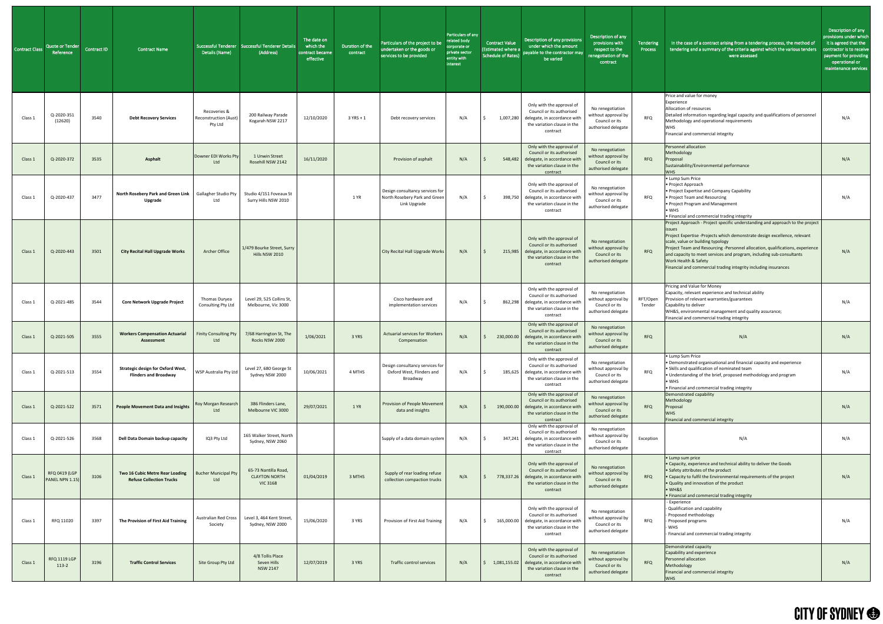| <b>Contract Class</b> | Quote or Tender<br>Reference            | Contract ID | Contract Name                                                            | Details (Name)                                          | Successful Tenderer Successful Tenderer Details<br>(Address)    | The date on<br>which the<br>contract became<br>effective | Duration of the<br>contract | Particulars of the project to be<br>undertaken or the goods or<br>services to be provided | Particulars of any<br>related body<br>corporate or<br>private sector<br>entity with<br>interest | <b>Contract Value</b><br><b>(Estimated where a</b><br>Schedule of Rates) | Description of any provisions<br>under which the amount<br>payable to the contractor may<br>be varied                                        | Description of any<br>provisions with<br>respect to the<br>enegotiation of the<br>contract | Tendering<br>Process | In the case of a contract arising from a tendering process, the method of<br>tendering and a summary of the criteria against which the various tenders<br>were assessed                                                                                                                                                                                                                                                                             | Description of any<br>provisions under which<br>it is agreed that the<br>contractor is to receive<br>payment for providing<br>operational or<br>maintenance services |
|-----------------------|-----------------------------------------|-------------|--------------------------------------------------------------------------|---------------------------------------------------------|-----------------------------------------------------------------|----------------------------------------------------------|-----------------------------|-------------------------------------------------------------------------------------------|-------------------------------------------------------------------------------------------------|--------------------------------------------------------------------------|----------------------------------------------------------------------------------------------------------------------------------------------|--------------------------------------------------------------------------------------------|----------------------|-----------------------------------------------------------------------------------------------------------------------------------------------------------------------------------------------------------------------------------------------------------------------------------------------------------------------------------------------------------------------------------------------------------------------------------------------------|----------------------------------------------------------------------------------------------------------------------------------------------------------------------|
| Class 1               | Q-2020-351<br>(12620)                   | 3540        | <b>Debt Recovery Services</b>                                            | Recoveries &<br><b>Reconstruction (Aust)</b><br>Pty Ltd | 200 Railway Parade<br>Kogarah NSW 2217                          | 12/10/2020                                               | $3$ YRS + 1                 | Debt recovery services                                                                    | N/A                                                                                             | 1,007,280                                                                | Only with the approval of<br>Council or its authorised<br>delegate, in accordance with<br>the variation clause in the<br>contract            | No renegotiation<br>without approval by<br>Council or its<br>authorised delegate           | <b>RFQ</b>           | Price and value for money<br>Experience<br>Allocation of resources<br>Detailed information regarding legal capacity and qualifications of personnel<br>Methodology and operational requirements<br>WHS.<br>Financial and commercial integrity                                                                                                                                                                                                       | N/A                                                                                                                                                                  |
| Class 1               | Q-2020-372                              | 3535        | <b>Asphalt</b>                                                           | Downer EDI Works Pty<br>Ltd                             | 1 Unwin Street<br>Rosehill NSW 2142                             | 16/11/2020                                               |                             | Provision of asphalt                                                                      | N/A                                                                                             |                                                                          | Only with the approval of<br>Council or its authorised<br>548,482 delegate, in accordance with<br>the variation clause in the<br>contract    | No renegotiation<br>without approval by<br>Council or its<br>authorised delegate           | <b>RFQ</b>           | Personnel allocation<br>Methodology<br>Proposal<br>Sustainability/Environmental performance<br><b>WHS</b>                                                                                                                                                                                                                                                                                                                                           | N/A                                                                                                                                                                  |
| Class 1               | Q-2020-437                              | 3477        | North Rosebery Park and Green Link   Gallagher Studio Pty<br>Upgrade     | Ltd                                                     | Studio 4/151 Foveaux St<br>Surry Hills NSW 2010                 |                                                          | 1 YR                        | Design consultancy services for<br>North Rosebery Park and Green<br>Link Upgrade          | N/A                                                                                             | 398,750                                                                  | Only with the approval of<br>Council or its authorised<br>delegate, in accordance with<br>the variation clause in the<br>contract            | No renegotiation<br>without approval by<br>Council or its<br>authorised delegate           | <b>RFQ</b>           | • Lump Sum Price<br>• Project Approach<br>• Project Expertise and Company Capability<br>• Project Team and Resourcing<br>• Project Program and Management<br>$\bullet$ WHS<br>• Financial and commercial trading integrity                                                                                                                                                                                                                          | N/A                                                                                                                                                                  |
| Class 1               | Q-2020-443                              | 3501        | <b>City Recital Hall Upgrade Works</b>                                   | Archer Office                                           | 1/479 Bourke Street, Surry<br>Hills NSW 2010                    |                                                          |                             | City Recital Hall Upgrade Works                                                           | N/A                                                                                             | 215,985                                                                  | Only with the approval of<br>Council or its authorised<br>delegate, in accordance with<br>the variation clause in the<br>contract            | No renegotiation<br>without approval by<br>Council or its<br>authorised delegate           | <b>RFQ</b>           | Project Approach - Project specific understanding and approach to the project<br>Project Expertise -Projects which demonstrate design excellence, relevant<br>scale, value or building typology<br>Project Team and Resourcing -Personnel allocation, qualifications, experience<br>and capacity to meet services and program, including sub-consultants<br>Work Health & Safety<br>Financial and commercial trading integrity including insurances | N/A                                                                                                                                                                  |
| Class 1               | Q-2021-485                              | 3544        | <b>Core Network Upgrade Project</b>                                      | Thomas Duryea<br>Consulting Pty Ltd                     | Level 29, 525 Collins St,<br>Melbourne, Vic 3000                |                                                          |                             | Cisco hardware and<br>implementation services                                             | N/A                                                                                             | 862,298                                                                  | Only with the approval of<br>Council or its authorised<br>delegate, in accordance with<br>the variation clause in the<br>contract            | No renegotiation<br>without approval by<br>Council or its<br>authorised delegate           | RFT/Open<br>Tender   | Pricing and Value for Money<br>Capacity, relevant experience and technical ability<br>Provision of relevant warranties/guarantees<br>Capability to deliver<br>WH&S, environmental management and quality assurance;<br>Financial and commercial trading integrity                                                                                                                                                                                   | N/A                                                                                                                                                                  |
| Class 1               | Q-2021-505                              | 3555        | <b>Workers Compensation Actuarial</b><br>Assessment                      | <b>Finity Consulting Pty</b><br>Ltd                     | 7/68 Harrington St, The<br>Rocks NSW 2000                       | 1/06/2021                                                | 3 YRS                       | <b>Actuarial services for Workers</b><br>Compensation                                     | N/A                                                                                             | 230,000.00                                                               | Only with the approval of<br>Council or its authorised<br>delegate, in accordance with<br>the variation clause in the<br>contract            | No renegotiation<br>without approval by<br>Council or its<br>authorised delegate           | <b>RFQ</b>           | N/A                                                                                                                                                                                                                                                                                                                                                                                                                                                 | N/A                                                                                                                                                                  |
| Class 1               | Q-2021-513                              | 3554        | <b>Strategic design for Oxford West,</b><br><b>Flinders and Broadway</b> | WSP Australia Pty Ltd                                   | Level 27, 680 George St<br>Sydney NSW 2000                      | 10/06/2021                                               | 4 MTHS                      | Design consultancy services for<br>Oxford West, Flinders and<br>Broadway                  | N/A                                                                                             | 185,625                                                                  | Only with the approval of<br>Council or its authorised<br>delegate, in accordance with<br>the variation clause in the<br>contract            | No renegotiation<br>without approval by<br>Council or its<br>authorised delegate           | <b>RFQ</b>           | • Lump Sum Price<br>• Demonstrated organisational and financial capacity and experience<br>• Skills and qualification of nominated team<br>. Understanding of the brief, proposed methodology and program<br>$\bullet$ WHS<br>. Financial and commercial trading integrity                                                                                                                                                                          | N/A                                                                                                                                                                  |
| Class 1               | Q-2021-522                              | 3571        | <b>People Movement Data and Insights</b>                                 | Roy Morgan Research<br>Ltd                              | 386 Flinders Lane,<br>Melbourne VIC 3000                        | 29/07/2021                                               | 1 YR                        | <b>Provision of People Movement</b><br>data and insights                                  | N/A                                                                                             |                                                                          | Only with the approval of<br>Council or its authorised<br>190,000.00 delegate, in accordance with<br>the variation clause in the<br>contract | No renegotiation<br>without approval by<br>Council or its<br>authorised delegate           | <b>RFQ</b>           | Demonstrated capability<br>Methodology<br>Proposal<br><b>WHS</b><br>Financial and commercial integrity                                                                                                                                                                                                                                                                                                                                              | N/A                                                                                                                                                                  |
| Class 1               | Q-2021-526                              | 3568        | Dell Data Domain backup capacity                                         | IQ3 Pty Ltd                                             | 165 Walker Street, North<br>Sydney, NSW 2060                    |                                                          |                             | Supply of a data domain system                                                            | N/A                                                                                             |                                                                          | Only with the approval of<br>Council or its authorised<br>347,241 delegate, in accordance with<br>the variation clause in the<br>contract    | No renegotiation<br>without approval by<br>Council or its<br>authorised delegate           | Exception            | N/A                                                                                                                                                                                                                                                                                                                                                                                                                                                 | N/A                                                                                                                                                                  |
| Class 1               | <b>RFQ 0419 (LGP</b><br>PANEL NPN 1.15) | 3106        | Two 16 Cubic Metre Rear Loading<br><b>Refuse Collection Trucks</b>       | <b>Bucher Municipal Pty</b><br>Ltd                      | 65-73 Nantilla Road,<br><b>CLAYTON NORTH</b><br><b>VIC 3168</b> | 01/04/2019                                               | 3 MTHS                      | Supply of rear loading refuse<br>collection compaction trucks                             | N/A                                                                                             | 778,337.26                                                               | Only with the approval of<br>Council or its authorised<br>delegate, in accordance with<br>the variation clause in the<br>contract            | No renegotiation<br>without approval by<br>Council or its<br>authorised delegate           | <b>RFQ</b>           | • Lump sum price<br>• Capacity, experience and technical ability to deliver the Goods<br>• Safety attributes of the product<br>• Capacity to fulfil the Environmental requirements of the project<br>. Quality and innovation of the product<br>$\bullet$ WH&S<br>• Financial and commercial trading integrity                                                                                                                                      | N/A                                                                                                                                                                  |
| Class 1               | RFQ 11020                               | 3397        | The Provision of First Aid Training                                      | Australian Red Cross<br>Society                         | Level 3, 464 Kent Street,<br>Sydney, NSW 2000                   | 15/06/2020                                               | 3 YRS                       | Provision of First Aid Training                                                           | N/A                                                                                             | 165,000.00                                                               | Only with the approval of<br>Council or its authorised<br>delegate, in accordance with<br>the variation clause in the<br>contract            | No renegotiation<br>without approval by<br>Council or its<br>authorised delegate           | RFQ                  | - Experience<br>- Qualification and capability<br>- Proposed methodology<br>- Proposed programs<br>- WHS<br>- Financial and commercial trading integrity                                                                                                                                                                                                                                                                                            | N/A                                                                                                                                                                  |
| Class 1               | <b>RFQ 1119 LGP</b><br>113-2            | 3196        | <b>Traffic Control Services</b>                                          | Site Group Pty Ltd                                      | 4/8 Tollis Place<br>Seven Hills<br><b>NSW 2147</b>              | 12/07/2019                                               | 3 YRS                       | Traffic control services                                                                  | N/A                                                                                             | 1,081,155.02                                                             | Only with the approval of<br>Council or its authorised<br>delegate, in accordance with<br>the variation clause in the<br>contract            | No renegotiation<br>without approval by<br>Council or its<br>authorised delegate           | <b>RFQ</b>           | Demonstrated capacity<br>Capability and experience<br>Personnel allocation<br>Methodology<br>Financial and commercial integrity<br><b>WHS</b>                                                                                                                                                                                                                                                                                                       | N/A                                                                                                                                                                  |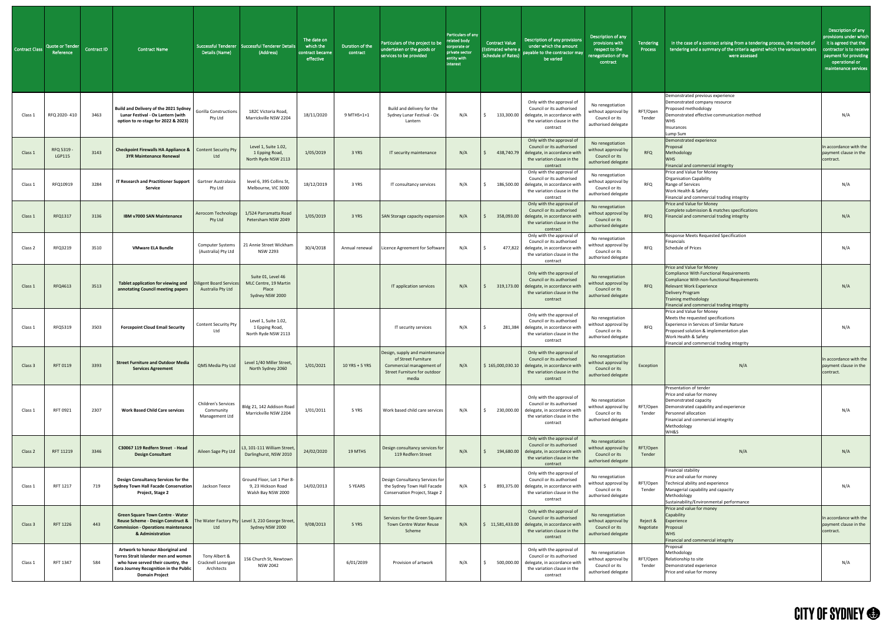| <b>Contract Class</b> | <b>Quote or Tender</b><br>Reference | Contract ID | Contract Name                                                                                                                                                                                        | Details (Name)                                      | Successful Tenderer Successful Tenderer Details<br>(Address)            | The date on<br>which the<br>contract became<br>effective | Duration of the<br>contract | Particulars of the project to be<br>undertaken or the goods or<br>services to be provided                                  | Particulars of any<br>related body<br>corporate or<br>private sector<br>entity with<br>interest | <b>Contract Value</b><br><b>Estimated where a</b><br><b>Schedule of Rates)</b> | Description of any provisions<br>under which the amount<br>payable to the contractor may<br>be varied                                        | Description of any<br>provisions with<br>respect to the<br>enegotiation of the<br>contract | Tendering<br>Process  | In the case of a contract arising from a tendering process, the method of<br>tendering and a summary of the criteria against which the various tenders<br>were assessed                                                                                 | Description of any<br>provisions under which<br>it is agreed that the<br><u>contr</u> actor is to receive<br>payment for providing<br>operational or<br>maintenance services |
|-----------------------|-------------------------------------|-------------|------------------------------------------------------------------------------------------------------------------------------------------------------------------------------------------------------|-----------------------------------------------------|-------------------------------------------------------------------------|----------------------------------------------------------|-----------------------------|----------------------------------------------------------------------------------------------------------------------------|-------------------------------------------------------------------------------------------------|--------------------------------------------------------------------------------|----------------------------------------------------------------------------------------------------------------------------------------------|--------------------------------------------------------------------------------------------|-----------------------|---------------------------------------------------------------------------------------------------------------------------------------------------------------------------------------------------------------------------------------------------------|------------------------------------------------------------------------------------------------------------------------------------------------------------------------------|
| Class 1               | RFQ 2020-410                        | 3463        | Build and Delivery of the 2021 Sydney   Gorilla Constructions '<br>Lunar Festival - Ox Lantern (with<br>option to re-stage for 2022 & 2023)                                                          | Pty Ltd                                             | 182C Victoria Road<br>Marrickville NSW 2204                             | 18/11/2020                                               | 9 MTHS+1+1                  | Build and delivery for the<br>Sydney Lunar Festival - Ox<br>Lantern                                                        | N/A                                                                                             | 133,300.00                                                                     | Only with the approval of<br>Council or its authorised<br>delegate, in accordance witl<br>the variation clause in the<br>contract            | No renegotiation<br>without approval by<br>Council or its<br>authorised delegate           | RFT/Open<br>Tender    | Demonstrated previous experience<br>Demonstrated company resource<br>Proposed methodology<br>Demonstrated effective communication method<br><b>WHS</b><br>Insurances<br>Lump Sum                                                                        | N/A                                                                                                                                                                          |
| Class 1               | RFQ 5319<br>LGP115                  | 3143        | <b>Checkpoint Firewalls HA Appliance &amp; Content Security Pty</b><br><b>3YR Maintenance Renewal</b>                                                                                                | Ltd                                                 | Level 1, Suite 1.02,<br>1 Epping Road,<br>North Ryde NSW 2113           | 1/05/2019                                                | 3 YRS                       | IT security maintenance                                                                                                    | N/A                                                                                             | 438,740.79                                                                     | Only with the approval of<br>Council or its authorised<br>delegate, in accordance wit<br>the variation clause in the<br>contract             | No renegotiation<br>without approval by<br>Council or its<br>authorised delegate           | <b>RFQ</b>            | Demonstrated experience<br>Proposal<br>Methodology<br><b>WHS</b><br>Financial and commercial integrity                                                                                                                                                  | In accordance with the<br>payment clause in the<br>contract.                                                                                                                 |
| Class:                | RFQ10919                            | 3284        | <b>IT Research and Practitioner Support</b><br>Service                                                                                                                                               | Gartner Australasia<br>Pty Ltd                      | level 6, 395 Collins St,<br>Melbourne, VIC 3000                         | 18/12/2019                                               | 3 YRS                       | IT consultancy services                                                                                                    | N/A                                                                                             | 186,500.00                                                                     | Only with the approval of<br>Council or its authorised<br>delegate, in accordance witl<br>the variation clause in the<br>contract            | No renegotiation<br>without approval by<br>Council or its<br>authorised delegate           | <b>RFQ</b>            | Price and Value for Money<br><b>Organisation Capability</b><br>Range of Services<br>Work Health & Safety<br>Financial and commercial trading integrity                                                                                                  | N/A                                                                                                                                                                          |
| Class 1               | RFQ1317                             | 3136        | IBM v7000 SAN Maintenance                                                                                                                                                                            | <b>Aerocom Technology</b><br>Pty Ltd                | 1/524 Parramatta Road<br>Petersham NSW 2049                             | 1/05/2019                                                | 3 YRS                       | <b>SAN Storage capacity expansion</b>                                                                                      | N/A                                                                                             | 358,093.00                                                                     | Only with the approval of<br>Council or its authorised<br>delegate, in accordance witl<br>the variation clause in the<br>contract            | No renegotiation<br>without approval by<br>Council or its<br>authorised delegate           | <b>RFQ</b>            | Price and Value for Money<br>Complete submission & matches specifications<br>Financial and commercial trading integrity                                                                                                                                 | N/A                                                                                                                                                                          |
| Class 2               | RFQ3219                             | 3510        | <b>VMware ELA Bundle</b>                                                                                                                                                                             | (Australia) Pty Ltd                                 | Computer Systems   21 Annie Street Wickham<br><b>NSW 2293</b>           | 30/4/2018                                                |                             | Annual renewal   Licence Agreement for Software                                                                            | N/A                                                                                             |                                                                                | Only with the approval of<br>Council or its authorised<br>477,822 delegate, in accordance with<br>the variation clause in the<br>contract    | No renegotiation<br>without approval by<br>Council or its<br>authorised delegate           | <b>RFQ</b>            | Response Meets Requested Specification<br>Financials<br><b>Schedule of Prices</b>                                                                                                                                                                       | N/A                                                                                                                                                                          |
| Class:                | RFQ4613                             | 3513        | Tablet application for viewing and<br>annotating Council meeting papers                                                                                                                              | <b>Diligent Board Services</b><br>Australia Pty Ltd | Suite 01, Level 46<br>MLC Centre, 19 Martin<br>Place<br>Sydney NSW 2000 |                                                          |                             | IT application services                                                                                                    | N/A                                                                                             | 319,173.00                                                                     | Only with the approval of<br>Council or its authorised<br>delegate, in accordance witl<br>the variation clause in the<br>contract            | No renegotiation<br>without approval by<br>Council or its<br>authorised delegate           | <b>RFQ</b>            | Price and Value for Money<br>Compliance With Functional Requirements<br>Compliance With non-functional Requirements<br><b>Relevant Work Experience</b><br>Delivery Program<br><b>Training methodology</b><br>Financial and commercial trading integrity | N/A                                                                                                                                                                          |
| Class:                | RFQ5319                             | 3503        | <b>Forcepoint Cloud Email Security</b>                                                                                                                                                               | <b>Content Security Pty</b><br>Ltd                  | Level 1, Suite 1.02,<br>1 Epping Road,<br>North Ryde NSW 2113           |                                                          |                             | IT security services                                                                                                       | N/A                                                                                             | 281,384                                                                        | Only with the approval of<br>Council or its authorised<br>delegate, in accordance with<br>the variation clause in the<br>contract            | No renegotiation<br>without approval by<br>Council or its<br>authorised delegate           | <b>RFQ</b>            | Price and Value for Money<br>Meets the requested specifications<br><b>Experience in Services of Similar Nature</b><br>Proposed solution & implementation plan<br>Work Health & Safety<br>Financial and commercial trading integrity                     | N/A                                                                                                                                                                          |
| Class 3               | RFT 0119                            | 3393        | <b>Street Furniture and Outdoor Media</b><br><b>Services Agreement</b>                                                                                                                               | QMS Media Pty Ltd                                   | Level 1/40 Miller Street,<br>North Sydney 2060                          | 1/01/2021                                                | 10 YRS + 5 YRS              | Design, supply and maintenance<br>of Street Furniture<br>Commercial management of<br>Street Furniture for outdoor<br>media | N/A                                                                                             | \$165,000,030.10                                                               | Only with the approval of<br>Council or its authorised<br>delegate, in accordance witl<br>the variation clause in the<br>contract            | No renegotiation<br>without approval by<br>Council or its<br>authorised delegate           | Exception             | N/A                                                                                                                                                                                                                                                     | In accordance with the<br>payment clause in the<br>contract.                                                                                                                 |
| Class 1               | RFT 0921                            | 2307        | <b>Work Based Child Care services</b>                                                                                                                                                                | Children's Services<br>Community<br>Management Ltd  | Bldg 21, 142 Addison Road<br>Marrickville NSW 2204                      | 1/01/2011                                                | 5 YRS                       | Work based child care services                                                                                             | N/A                                                                                             | 230,000.00                                                                     | Only with the approval of<br>Council or its authorised<br>delegate, in accordance witl<br>the variation clause in the<br>contract            | No renegotiation<br>without approval by<br>Council or its<br>authorised delegate           | RFT/Open<br>Tender    | Presentation of tender<br>Price and value for money<br>Demonstrated capacity<br>Demonstrated capability and experience<br>Personnel allocation<br>Financial and commercial integrity<br>Methodology<br>WH&S                                             | N/A                                                                                                                                                                          |
| Class 2               | RFT 11219                           | 3346        | C30067 119 Redfern Street - Head<br><b>Design Consultant</b>                                                                                                                                         | Aileen Sage Pty Ltd                                 | L3, 101-111 William Street,<br>Darlinghurst, NSW 2010                   | 24/02/2020                                               | 19 MTHS                     | Design consultancy services for<br>119 Redfern Street                                                                      | N/A                                                                                             |                                                                                | Only with the approval of<br>Council or its authorised<br>194,680.00 delegate, in accordance wit<br>the variation clause in the<br>contract  | No renegotiation<br>without approval by<br>Council or its<br>authorised delegate           | RFT/Open<br>Tender    | N/A                                                                                                                                                                                                                                                     | N/A                                                                                                                                                                          |
| Class 1               | RFT 1217                            | 719         | Design Consultancy Services for the<br>Sydney Town Hall Facade Conservation<br>Project, Stage 2                                                                                                      | Jackson Teece                                       | Ground Floor, Lot 1 Pier 8-<br>9, 23 Hickson Road<br>Walsh Bay NSW 2000 | 14/02/2013                                               | 5 YEARS                     | Design Consultancy Services for<br>the Sydney Town Hall Facade<br>Conservation Project, Stage 2                            | N/A                                                                                             |                                                                                | Only with the approval of<br>Council or its authorised<br>893,375.00 delegate, in accordance with<br>the variation clause in the<br>contract | No renegotiation<br>without approval by<br>Council or its<br>authorised delegate           | RFT/Open<br>Tender    | Financial stability<br>Price and value for money<br>Technical ability and experience<br>Managerial capability and capacity<br>Methodology<br>Sustainability/Environmental performance                                                                   | N/A                                                                                                                                                                          |
| Class 3               | RFT 1226                            | 443         | <b>Green Square Town Centre - Water</b><br>Reuse Scheme - Design Construct &   The Water Factory Pty   Level 3, 210 George Street,<br><b>Commission - Operations maintenance</b><br>& Administration | Ltd                                                 | Sydney NSW 2000                                                         | 9/08/2013                                                | 5 YRS                       | Services for the Green Square<br><b>Town Centre Water Reuse</b><br>Scheme                                                  | N/A                                                                                             | \$11,581,433.00                                                                | Only with the approval of<br>Council or its authorised<br>delegate, in accordance with<br>the variation clause in the<br>contract            | No renegotiation<br>without approval by<br>Council or its<br>authorised delegate           | Reject &<br>Negotiate | Price and value for money<br>Capability<br>Experience<br>Proposal<br><b>WHS</b><br>Financial and commercial integrity                                                                                                                                   | In accordance with the<br>payment clause in the<br>contract.                                                                                                                 |
| Class 1               | RFT 1347                            | 584         | Artwork to honour Aboriginal and<br>Torres Strait Islander men and women<br>who have served their country, the<br>Eora Journey Recognition in the Public<br><b>Domain Project</b>                    | Tony Albert &<br>Cracknell Lonergan<br>Architects   | 156 Church St, Newtown<br><b>NSW 2042</b>                               |                                                          | 6/01/2039                   | Provision of artwork                                                                                                       | N/A                                                                                             | 500,000.00                                                                     | Only with the approval of<br>Council or its authorised<br>delegate, in accordance with<br>the variation clause in the<br>contract            | No renegotiation<br>without approval by<br>Council or its<br>authorised delegate           | RFT/Open<br>Tender    | Proposal<br>Methodology<br>Relationship to site<br>Demonstrated experience<br>Price and value for money                                                                                                                                                 | N/A                                                                                                                                                                          |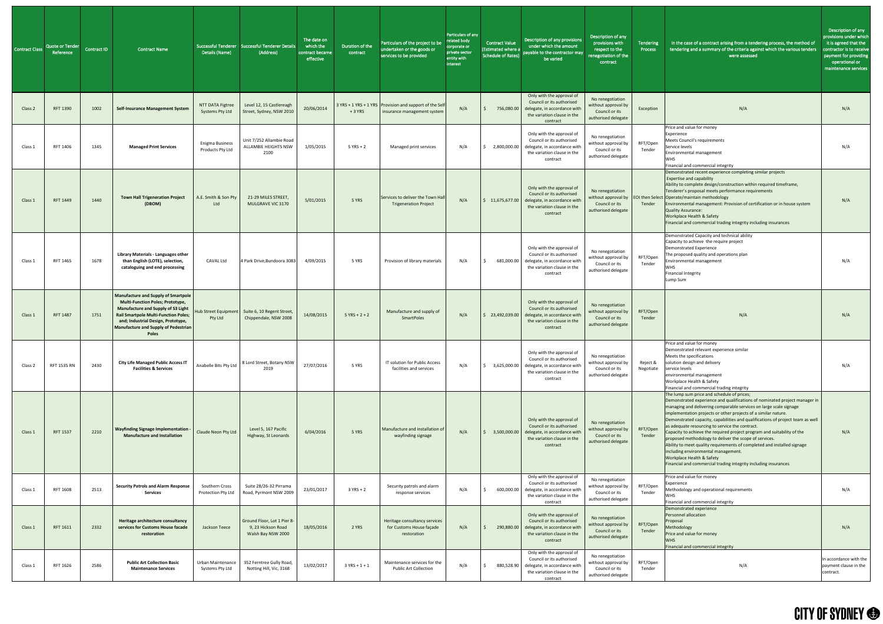| <b>Contract Class</b> | Quote or Tender<br>Reference | Contract ID | <b>Contract Name</b>                                                                                                                                                                                                                                                            | Details (Name)                             | Successful Tenderer Successful Tenderer Details<br>(Address)            | The date on<br>which the<br>contract became<br>effective | Duration of the<br>contract | Particulars of the project to be<br>undertaken or the goods or<br>services to be provided | Particulars of any<br>related body<br>corporate or<br>private sector<br>entity with<br>interest | <b>Contract Value</b><br>(Estimated where a<br><b>Schedule of Rates)</b> | Description of any provisions<br>under which the amount<br>payable to the contractor may<br>be varied                                        | Description of any<br>provisions with<br>respect to the<br>renegotiation of the<br>contract | Tendering<br>Process  | In the case of a contract arising from a tendering process, the method of<br>tendering and a summary of the criteria against which the various tenders<br>were assessed                                                                                                                                                                                                                                                                                                                                                                                                                                                                                                                                                                                                 | Description of any<br>provisions under which<br>it is agreed that the<br>contractor is to receive<br>payment for providing<br>operational or<br>maintenance services |
|-----------------------|------------------------------|-------------|---------------------------------------------------------------------------------------------------------------------------------------------------------------------------------------------------------------------------------------------------------------------------------|--------------------------------------------|-------------------------------------------------------------------------|----------------------------------------------------------|-----------------------------|-------------------------------------------------------------------------------------------|-------------------------------------------------------------------------------------------------|--------------------------------------------------------------------------|----------------------------------------------------------------------------------------------------------------------------------------------|---------------------------------------------------------------------------------------------|-----------------------|-------------------------------------------------------------------------------------------------------------------------------------------------------------------------------------------------------------------------------------------------------------------------------------------------------------------------------------------------------------------------------------------------------------------------------------------------------------------------------------------------------------------------------------------------------------------------------------------------------------------------------------------------------------------------------------------------------------------------------------------------------------------------|----------------------------------------------------------------------------------------------------------------------------------------------------------------------|
| Class 2               | RFT 1390                     | 1002        | <b>Self-Insurance Management System</b>                                                                                                                                                                                                                                         | NTT DATA Figtree<br>Systems Pty Ltd        | Level 12, 15 Castlereagh<br>Street, Sydney, NSW 2010                    | 20/06/2014                                               | $+3$ YRS                    | 3 YRS + 1 YRS + 1 YRS Provision and support of the Self<br>insurance management system    | N/A                                                                                             |                                                                          | Only with the approval of<br>Council or its authorised<br>756,080.00 delegate, in accordance with<br>the variation clause in the<br>contract | No renegotiation<br>without approval by<br>Council or its<br>authorised delegate            | Exception             | N/A                                                                                                                                                                                                                                                                                                                                                                                                                                                                                                                                                                                                                                                                                                                                                                     | N/A                                                                                                                                                                  |
| Class 1               | RFT 1406                     | 1345        | <b>Managed Print Services</b>                                                                                                                                                                                                                                                   | <b>Enigma Business</b><br>Products Pty Ltd | Unit 7/252 Allambie Road<br><b>ALLAMBIE HEIGHTS NSW</b><br>2100         | 1/05/2015                                                | $5$ YRS + 2                 | Managed print services                                                                    | N/A                                                                                             | 2,800,000.00                                                             | Only with the approval of<br>Council or its authorised<br>delegate, in accordance witl<br>the variation clause in the<br>contract            | No renegotiation<br>without approval by<br>Council or its<br>authorised delegate            | RFT/Open<br>Tender    | Price and value for money<br>Experience<br>Meets Council's requirements<br>Service levels<br>Environmental management<br><b>WHS</b><br>Financial and commercial integrity                                                                                                                                                                                                                                                                                                                                                                                                                                                                                                                                                                                               | N/A                                                                                                                                                                  |
| Class 1               | RFT 1449                     | 1440        | <b>Town Hall Trigeneration Project</b><br>(DBOM)                                                                                                                                                                                                                                | A.E. Smith & Son Pty<br>Ltd                | 21-29 MILES STREET,<br>MULGRAVE VIC 3170                                | 5/01/2015                                                | 5 YRS                       | Services to deliver the Town Hall<br><b>Trigeneration Project</b>                         | N/A                                                                                             | 11,675,677.00                                                            | Only with the approval of<br>Council or its authorised<br>delegate, in accordance wit<br>the variation clause in the<br>contract             | No renegotiation<br>Council or its<br>authorised delegate                                   | Tender                | Demonstrated recent experience completing similar projects<br><b>Expertise and capability</b><br>Ability to complete design/construction within required timeframe,<br>Tenderer's proposal meets performance requirements<br>without approval by $\vert$ EOI then Select Operate/maintain methodology<br>Environmental management: Provision of certification or in house system<br>Quality Assurance:<br><b>Workplace Health &amp; Safety</b><br>Financial and commercial trading integrity including insurances                                                                                                                                                                                                                                                       | N/A                                                                                                                                                                  |
| Class 1               | RFT 1465                     | 1678        | <b>Library Materials - Languages other</b><br>than English (LOTE), selection,<br>cataloguing and end processing                                                                                                                                                                 | <b>CAVAL Ltd</b>                           | 4 Park Drive, Bundoora 3083                                             | 4/09/2015                                                | 5 YRS                       | Provision of library materials                                                            | N/A                                                                                             | 681,000.00                                                               | Only with the approval of<br>Council or its authorised<br>delegate, in accordance with<br>the variation clause in the<br>contract            | No renegotiation<br>without approval by<br>Council or its<br>authorised delegate            | RFT/Open<br>Tender    | Demonstrated Capacity and technical ability<br>Capacity to achieve the require project<br>Demonstrated Experience<br>The proposed quality and operations plan<br>Environmental management<br><b>WHS</b><br><b>Financial Integrity</b><br>Lump Sum                                                                                                                                                                                                                                                                                                                                                                                                                                                                                                                       | N/A                                                                                                                                                                  |
| Class 1               | <b>RFT 1487</b>              | 1751        | <b>Manufacture and Supply of Smartpole</b><br><b>Multi-Function Poles; Prototype,</b><br><b>Manufacture and Supply of S3 Light</b><br><b>Rail Smartpole Multi-Function Poles;</b><br>and; Industrial Design, Prototype,<br><b>Manufacture and Supply of Pedestrian</b><br>Poles | <b>Hub Street Equipment</b><br>Pty Ltd     | Suite 6, 10 Regent Street,<br>Chippendale, NSW 2008                     | 14/08/2015                                               | $5 YRS + 2 + 2$             | Manufacture and supply of<br><b>SmartPoles</b>                                            | N/A                                                                                             | 23,492,039.00                                                            | Only with the approval of<br>Council or its authorised<br>delegate, in accordance with<br>the variation clause in the<br>contract            | No renegotiation<br>without approval by<br>Council or its<br>authorised delegate            | RFT/Open<br>Tender    | N/A                                                                                                                                                                                                                                                                                                                                                                                                                                                                                                                                                                                                                                                                                                                                                                     | N/A                                                                                                                                                                  |
| Class 2               | RFT 1535 RN                  | 2430        | <b>City Life Managed Public Access IT</b><br><b>Facilities &amp; Services</b>                                                                                                                                                                                                   | Anabelle Bits Pty Ltd                      | 8 Lord Street, Botany NSW<br>2019                                       | 27/07/2016                                               | 5 YRS                       | IT solution for Public Access<br>facilities and services                                  | N/A                                                                                             | 3,625,000.00                                                             | Only with the approval of<br>Council or its authorised<br>delegate, in accordance with<br>the variation clause in the<br>contract            | No renegotiation<br>without approval by<br>Council or its<br>authorised delegate            | Reject &<br>Negotiate | Price and value for money<br>Demonstrated relevant experience similar<br>Meets the specifications<br>solution design and delivery<br>service levels<br>environmental management<br>Workplace Health & Safety<br>Financial and commercial trading integrity                                                                                                                                                                                                                                                                                                                                                                                                                                                                                                              | N/A                                                                                                                                                                  |
| Class 1               | <b>RFT 1537</b>              | 2210        | <b>Wayfinding Signage Implementation -</b><br><b>Manufacture and Installation</b>                                                                                                                                                                                               | Claude Neon Pty Ltd                        | Level 5, 167 Pacific<br>Highway, St Leonards                            | 6/04/2016                                                | 5 YRS                       | Manufacture and installation of<br>wayfinding signage                                     | N/A                                                                                             | 3,500,000.00                                                             | Only with the approval of<br>Council or its authorised<br>delegate, in accordance with<br>the variation clause in the<br>contract            | No renegotiation<br>without approval by<br>Council or its<br>authorised delegate            | RFT/Open<br>Tender    | The lump sum price and schedule of prices;<br>Demonstrated experience and qualifications of nominated project manager in<br>managing and delivering comparable services on large scale signage<br>implementation projects or other projects of a similar nature.<br>Demonstrated capacity, capabilities and qualifications of project team as well<br>as adequate resourcing to service the contract.<br>Capacity to achieve the required project program and suitability of the<br>proposed methodology to deliver the scope of services.<br>Ability to meet quality requirements of completed and installed signage<br>including environmental management.<br><b>Workplace Health &amp; Safety</b><br>Financial and commercial trading integrity including insurances | N/A                                                                                                                                                                  |
| Class 1               | RFT 1608                     | 2513        | <b>Security Patrols and Alarm Response</b><br><b>Services</b>                                                                                                                                                                                                                   | Southern Cross<br>Protection Pty Ltd       | Suite 28/26-32 Pirrama<br>Road, Pyrmont NSW 2009                        | 23/01/2017                                               | $3$ YRS + 2                 | Security patrols and alarm<br>response services                                           | N/A                                                                                             |                                                                          | Only with the approval of<br>Council or its authorised<br>600,000.00 delegate, in accordance with<br>the variation clause in the<br>contract | No renegotiation<br>without approval by<br>Council or its<br>authorised delegate            | RFT/Open<br>Tender    | Price and value for money<br>Experience<br>Methodology and operational requirements<br><b>IWHS</b><br>Financial and commercial integrity                                                                                                                                                                                                                                                                                                                                                                                                                                                                                                                                                                                                                                | N/A                                                                                                                                                                  |
| Class 1               | RFT 1611                     | 2332        | Heritage architecture consultancy<br>services for Customs House facade<br>restoration                                                                                                                                                                                           | Jackson Teece                              | Ground Floor, Lot 1 Pier 8-<br>9, 23 Hickson Road<br>Walsh Bay NSW 2000 | 18/05/2016                                               | 2 YRS                       | Heritage consultancy services<br>for Customs House façade<br>restoration                  | N/A                                                                                             | 290,880.00                                                               | Only with the approval of<br>Council or its authorised<br>delegate, in accordance witl<br>the variation clause in the<br>contract            | No renegotiation<br>without approval by<br>Council or its<br>authorised delegate            | RFT/Open<br>Tender    | Demonstrated experience<br>Personnel allocation<br>Proposal<br>Methodology<br>Price and value for money<br><b>WHS</b><br>Financial and commercial integrity                                                                                                                                                                                                                                                                                                                                                                                                                                                                                                                                                                                                             | N/A                                                                                                                                                                  |
| Class 1               | RFT 1626                     | 2586        | <b>Public Art Collection Basic</b><br><b>Maintenance Services</b>                                                                                                                                                                                                               | Urban Maintenance<br>Systems Pty Ltd       | 352 Ferntree Gully Road,<br>Notting Hill, Vic, 3168                     | 13/02/2017                                               | $3$ YRS + 1 + 1             | Maintenance services for the<br><b>Public Art Collection</b>                              | N/A                                                                                             | 880,528.90                                                               | Only with the approval of<br>Council or its authorised<br>delegate, in accordance with<br>the variation clause in the<br>contract            | No renegotiation<br>without approval by<br>Council or its<br>authorised delegate            | RFT/Open<br>Tender    | N/A                                                                                                                                                                                                                                                                                                                                                                                                                                                                                                                                                                                                                                                                                                                                                                     | In accordance with the<br>payment clause in the<br>contract.                                                                                                         |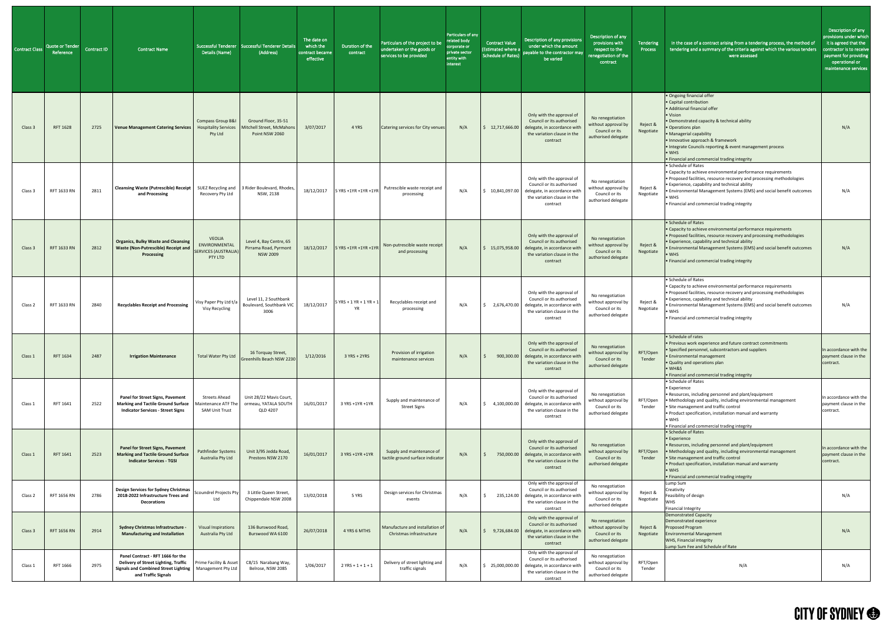| <b>Contract Class</b> | Quote or Tender<br>Reference | Contract ID | <b>Contract Name</b>                                                                                                                                          | Details (Name)                                                    | Successful Tenderer Successful Tenderer Details<br>(Address)        | The date on<br>which the<br>contract became<br>effective | Duration of the<br>contract            | Particulars of the project to be<br>undertaken or the goods or<br>services to be provided | Particulars of any<br>related body<br>corporate or<br>private sector<br>entity with<br>interest | <b>Contract Value</b><br>(Estimated where a<br><b>Schedule of Rates)</b> | Description of any provisions<br>under which the amount<br>payable to the contractor may<br>be varied                                                            | Description of any<br>provisions with<br>respect to the<br>renegotiation of the<br>contract | Tendering<br>Process  | In the case of a contract arising from a tendering process, the method of<br>tendering and a summary of the criteria against which the various tenders<br>were assessed                                                                                                                                                                                           | Description of any<br>provisions under which<br>it is agreed that the<br>contractor is to receive<br>payment for providing<br>operational or<br>maintenance services |
|-----------------------|------------------------------|-------------|---------------------------------------------------------------------------------------------------------------------------------------------------------------|-------------------------------------------------------------------|---------------------------------------------------------------------|----------------------------------------------------------|----------------------------------------|-------------------------------------------------------------------------------------------|-------------------------------------------------------------------------------------------------|--------------------------------------------------------------------------|------------------------------------------------------------------------------------------------------------------------------------------------------------------|---------------------------------------------------------------------------------------------|-----------------------|-------------------------------------------------------------------------------------------------------------------------------------------------------------------------------------------------------------------------------------------------------------------------------------------------------------------------------------------------------------------|----------------------------------------------------------------------------------------------------------------------------------------------------------------------|
| Class 3               | <b>RFT 1628</b>              | 2725        | Venue Management Catering Services                                                                                                                            | Compass Group B&I<br><b>Hospitality Services</b><br>Pty Ltd       | Ground Floor, 35-51<br>Mitchell Street, McMahons<br>Point NSW 2060  | 3/07/2017                                                | 4 YRS                                  | Catering services for City venues                                                         | N/A                                                                                             | 12,717,666.00                                                            | Only with the approval of<br>Council or its authorised<br>delegate, in accordance with<br>the variation clause in the<br>contract                                | No renegotiation<br>without approval by<br>Council or its<br>authorised delegate            | Reject &<br>Negotiate | • Ongoing financial offer<br>• Capital contribution<br>• Additional financial offer<br>• Vision<br>• Demonstrated capacity & technical ability<br>• Operations plan<br>• Managerial capability<br>• Innovative approach & framework<br>• Integrate Councils reporting & event management process<br>$\bullet$ WHS<br>• Financial and commercial trading integrity | N/A                                                                                                                                                                  |
| Class 3               | RFT 1633 RN                  | 2811        | <b>Cleansing Waste (Putrescible) Receipt</b><br>and Processing                                                                                                | Recovery Pty Ltd                                                  | SUEZ Recycling and 3 Rider Boulevard, Rhodes,<br>NSW, 2138          | 18/12/2017                                               | 5 YRS +1YR +1YR +1YR                   | Putrescible waste receipt and<br>processing                                               | N/A                                                                                             | 10,841,097.00                                                            | Only with the approval of<br>Council or its authorised<br>delegate, in accordance with<br>the variation clause in the<br>contract                                | No renegotiation<br>without approval by<br>Council or its<br>authorised delegate            | Reject &<br>Negotiate | • Schedule of Rates<br>• Capacity to achieve environmental performance requirements<br>• Proposed facilities, resource recovery and processing methodologies<br>• Experience, capability and technical ability<br>. Environmental Management Systems (EMS) and social benefit outcomes<br>$\bullet$ WHS<br>• Financial and commercial trading integrity           | N/A                                                                                                                                                                  |
| Class 3               | RFT 1633 RN                  | 2812        | <b>Organics, Bulky Waste and Cleansing</b><br>Waste (Non-Putrescible) Receipt and SERVICES (AUSTRALIA)<br>Processing                                          | <b>VEOLIA</b><br>ENVIRONMENTAL<br>PTY LTD                         | Level 4, Bay Centre, 65<br>Pirrama Road, Pyrmont<br><b>NSW 2009</b> |                                                          | 18/12/2017 5 YRS +1YR +1YR +1YR        | Non-putrescible waste receipt<br>and processing                                           | N/A                                                                                             |                                                                          | Only with the approval of<br>Council or its authorised<br>$\frac{1}{2}$ \$ 15,075,958.00 delegate, in accordance with<br>the variation clause in the<br>contract | No renegotiation<br>without approval by<br>Council or its<br>authorised delegate            | Reject &<br>Negotiate | • Schedule of Rates<br>• Capacity to achieve environmental performance requirements<br>• Proposed facilities, resource recovery and processing methodologies<br>• Experience, capability and technical ability<br>. Environmental Management Systems (EMS) and social benefit outcomes<br>• WHS<br>• Financial and commercial trading integrity                   | N/A                                                                                                                                                                  |
| Class 2               | RFT 1633 RN                  | 2840        | <b>Recyclables Receipt and Processing</b>                                                                                                                     | Visy Paper Pty Ltd t/a<br>Visy Recycling                          | Level 11, 2 Southbank<br>Boulevard, Southbank VI<br>3006            | 18/12/2017                                               | $5$ YRS + 1 YR + 1 YR + 1<br><b>YR</b> | Recyclables receipt and<br>processing                                                     | N/A                                                                                             | 2,676,470.00                                                             | Only with the approval of<br>Council or its authorised<br>delegate, in accordance with<br>the variation clause in the<br>contract                                | No renegotiation<br>without approval by<br>Council or its<br>authorised delegate            | Reject &<br>Negotiate | • Schedule of Rates<br>• Capacity to achieve environmental performance requirements<br>• Proposed facilities, resource recovery and processing methodologies<br>• Experience, capability and technical ability<br>. Environmental Management Systems (EMS) and social benefit outcomes<br>$\bullet$ WHS<br>• Financial and commercial trading integrity           | N/A                                                                                                                                                                  |
| Class 1               | RFT 1634                     | 2487        | <b>Irrigation Maintenance</b>                                                                                                                                 | Total Water Pty Ltd                                               | 16 Torquay Street,<br>Greenhills Beach NSW 2230                     | 1/12/2016                                                | $3$ YRS + 2YRS                         | Provision of irrigation<br>maintenance services                                           | N/A                                                                                             | 900,300.00                                                               | Only with the approval of<br>Council or its authorised<br>delegate, in accordance with<br>the variation clause in the<br>contract                                | No renegotiation<br>without approval by<br>Council or its<br>authorised delegate            | RFT/Open<br>Tender    | • Schedule of rates<br>• Previous work experience and future contract commitments<br>• Specified personnel, subcontractors and suppliers<br>• Environmental management<br>• Quality and operations plan<br>$\bullet$ WH&S<br>• Financial and commercial trading integrity                                                                                         | In accordance with the<br>payment clause in the<br>contract.                                                                                                         |
| Class 1               | RFT 1641                     | 2522        | <b>Panel for Street Signs, Pavement</b><br><b>Marking and Tactile Ground Surface</b><br><b>Indicator Services - Street Signs</b>                              | <b>Streets Ahead</b><br>aintenance ATF T<br><b>SAM Unit Trust</b> | Unit 28/22 Mavis Court,<br>ormeau, YATALA SOUTH<br>QLD 4207         | 16/01/2017                                               | 3 YRS +1YR +1YR                        | Supply and maintenance of<br><b>Street Signs</b>                                          | N/A                                                                                             | 4,100,000.00                                                             | Only with the approval of<br>Council or its authorised<br>delegate, in accordance with<br>the variation clause in the<br>contract                                | No renegotiation<br>without approval by<br>Council or its<br>authorised delegate            | RFT/Open<br>Tender    | • Schedule of Rates<br>• Experience<br>• Resources, including personnel and plant/equipment<br>• Methodology and quality, including environmental management<br>• Site management and traffic control<br>• Product specification, installation manual and warranty<br>$\bullet$ WHS<br>• Financial and commercial trading integrity                               | In accordance with the<br>payment clause in the<br>contract.                                                                                                         |
| Class 1               | RFT 1641                     | 2523        | <b>Panel for Street Signs, Pavement</b><br><b>Marking and Tactile Ground Surface</b><br><b>Indicator Services - TGSI</b>                                      | Pathfinder Systems<br>Australia Pty Ltd                           | Unit 3/95 Jedda Road,<br>Prestons NSW 2170                          | 16/01/2017                                               | 3 YRS +1YR +1YR                        | Supply and maintenance of<br>tactile ground surface indicator                             | N/A                                                                                             |                                                                          | Only with the approval of<br>Council or its authorised<br>750,000.00 delegate, in accordance with<br>the variation clause in the<br>contract                     | No renegotiation<br>without approval by<br>Council or its<br>authorised delegate            | RFT/Open<br>Tender    | • Schedule of Rates<br>• Experience<br>• Resources, including personnel and plant/equipment<br>• Methodology and quality, including environmental management<br>• Site management and traffic control<br>• Product specification, installation manual and warranty<br>$\bullet$ WHS<br>• Financial and commercial trading integrity                               | In accordance with the<br>payment clause in the<br>contract.                                                                                                         |
| Class 2               | RFT 1656 RN                  | 2786        | <b>Design Services for Sydney Christmas</b><br>2018-2022 Infrastructure Trees and<br><b>Decorations</b>                                                       | Scoundrel Projects Pty<br>Ltd                                     | 3 Little Queen Street,<br>Chippendale NSW 2008                      | 13/02/2018                                               | 5 YRS                                  | Design services for Christmas<br>events                                                   | N/A                                                                                             |                                                                          | Only with the approval of<br>Council or its authorised<br>235,124.00 delegate, in accordance with<br>the variation clause in the<br>contract                     | No renegotiation<br>without approval by<br>Council or its<br>authorised delegate            | Reject &<br>Negotiate | Lump Sum<br>Creativity<br>Feasibility of design<br><b>WHS</b><br><b>Financial Integrity</b>                                                                                                                                                                                                                                                                       | N/A                                                                                                                                                                  |
| Class 3               | <b>RFT 1656 RN</b>           | 2914        | <b>Sydney Christmas Infrastructure -</b><br><b>Manufacturing and Installation</b>                                                                             | <b>Visual Inspirations</b><br>Australia Pty Ltd                   | 136 Burswood Road,<br>Burswood WA 6100                              | 26/07/2018                                               | 4 YRS 6 MTHS                           | Manufacture and installation of<br>Christmas infrastructure                               | N/A                                                                                             | 9,726,684.00                                                             | Only with the approval of<br>Council or its authorised<br>delegate, in accordance with<br>the variation clause in the<br>contract                                | No renegotiation<br>without approval by<br>Council or its<br>authorised delegate            | Reject &<br>Negotiate | <b>Demonstrated Capacity</b><br>Demonstrated experience<br>Proposed Program<br><b>Environmental Management</b><br><b>WHS, Financial integrity</b><br>Lump Sum Fee and Schedule of Rate                                                                                                                                                                            | N/A                                                                                                                                                                  |
| Class 1               | RFT 1666                     | 2975        | Panel Contract - RFT 1666 for the<br>Delivery of Street Lighting, Traffic<br>Signals and Combined Street Lighting   Management Pty Ltd<br>and Traffic Signals | Prime Facility & Asset                                            | C8/15 Narabang Way,<br>Belrose, NSW 2085                            | 1/06/2017                                                | $2$ YRS + 1 + 1 + 1                    | Delivery of street lighting and<br>traffic signals                                        | N/A                                                                                             | 525,000,000.00                                                           | Only with the approval of<br>Council or its authorised<br>delegate, in accordance with<br>the variation clause in the<br>contract                                | No renegotiation<br>without approval by<br>Council or its<br>authorised delegate            | RFT/Open<br>Tender    | N/A                                                                                                                                                                                                                                                                                                                                                               | N/A                                                                                                                                                                  |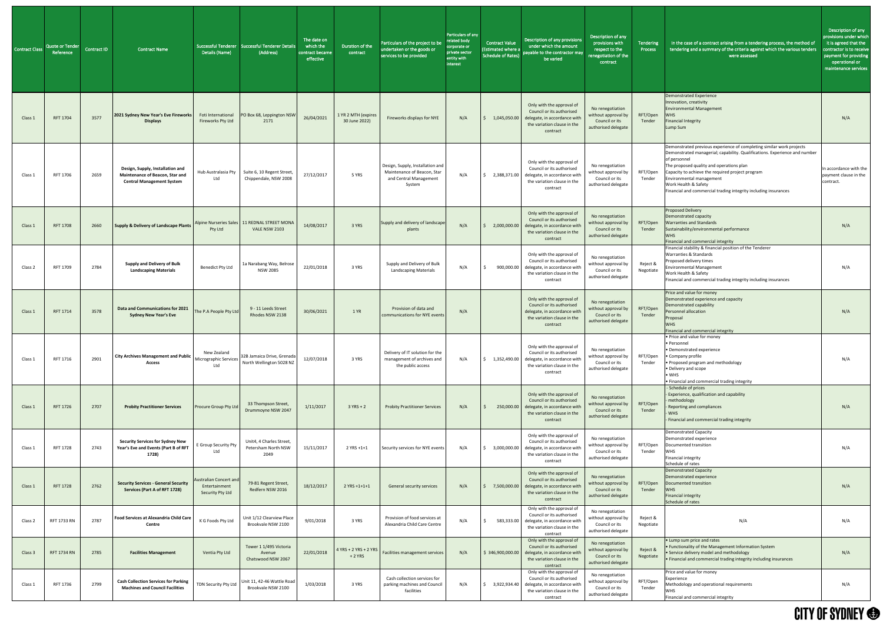| Contract Class | <b>Quote or Tender</b><br>Reference | <b>Contract ID</b> | <b>Contract Name</b>                                                                                    | Details (Name)                                                     | Successful Tenderer   Successful Tenderer Detail:<br>(Address)            | The date on<br>which the<br>contract became<br>effective | Duration of the<br>contract          | Particulars of the project to be<br>undertaken or the goods or<br>services to be provided           | Particulars of any<br>related body<br>corporate or<br>private sector<br>entity with<br>interest | <b>Contract Value</b><br>(Estimated where a<br><b>Schedule of Rates)</b> | Description of any provisions<br>under which the amount<br>payable to the contractor may<br>be varied                                                  | Description of any<br>provisions with<br>respect to the<br>renegotiation of the<br>contract | Tendering<br>Process  | In the case of a contract arising from a tendering process, the method of<br>tendering and a summary of the criteria against which the various tenders<br>were assessed                                                                                                                                                                                                                   | Description of any<br>provisions under which<br>it is agreed that the<br>contractor is to receive<br>payment for providing<br>operational or<br>maintenance services |
|----------------|-------------------------------------|--------------------|---------------------------------------------------------------------------------------------------------|--------------------------------------------------------------------|---------------------------------------------------------------------------|----------------------------------------------------------|--------------------------------------|-----------------------------------------------------------------------------------------------------|-------------------------------------------------------------------------------------------------|--------------------------------------------------------------------------|--------------------------------------------------------------------------------------------------------------------------------------------------------|---------------------------------------------------------------------------------------------|-----------------------|-------------------------------------------------------------------------------------------------------------------------------------------------------------------------------------------------------------------------------------------------------------------------------------------------------------------------------------------------------------------------------------------|----------------------------------------------------------------------------------------------------------------------------------------------------------------------|
| Class 1        | <b>RFT 1704</b>                     | 3577               | 2021 Sydney New Year's Eve Fireworks<br><b>Displays</b>                                                 | Foti International<br>Fireworks Pty Ltd                            | PO Box 68, Leppington NSW<br>2171                                         | 26/04/2021                                               | 1 YR 2 MTH (expires<br>30 June 2022) | Fireworks displays for NYE                                                                          | N/A                                                                                             | 1,045,050.00                                                             | Only with the approval of<br>Council or its authorised<br>delegate, in accordance with<br>the variation clause in the<br>contract                      | No renegotiation<br>without approval by<br>Council or its<br>authorised delegate            | RFT/Open<br>Tender    | <b>Demonstrated Experience</b><br>Innovation, creativity<br><b>Environmental Management</b><br><b>WHS</b><br><b>Financial Integrity</b><br>Lump Sum                                                                                                                                                                                                                                       | N/A                                                                                                                                                                  |
| Class 1        | RFT 1706                            | 2659               | Design, Supply, Installation and<br>Maintenance of Beacon, Star and<br><b>Central Management System</b> | Ltd                                                                | Hub Australasia Pty   Suite 6, 10 Regent Street,<br>Chippendale, NSW 2008 | 27/12/2017                                               | 5 YRS                                | Design, Supply, Installation and<br>Maintenance of Beacon, Star<br>and Central Management<br>System | N/A                                                                                             | 2,388,371.00                                                             | Only with the approval of<br>Council or its authorised<br>delegate, in accordance with<br>the variation clause in the<br>contract                      | No renegotiation<br>without approval by<br>Council or its<br>authorised delegate            | RFT/Open<br>Tender    | Demonstrated previous experience of completing similar work projects<br>Demonstrated managerial; capability. Qualifications. Experience and number<br>of personnel<br>The proposed quality and operations plan<br>Capacity to achieve the required project program<br>Environmental management<br>Work Health & Safety<br>Financial and commercial trading integrity including insurances | In accordance with the<br>payment clause in the<br>contract.                                                                                                         |
| Class 1        | <b>RFT 1708</b>                     | 2660               | <b>Supply &amp; Delivery of Landscape Plants</b>                                                        | Pty Ltd                                                            | Alpine Nurseries Sales   11 REDNAL STREET MONA<br><b>VALE NSW 2103</b>    | 14/08/2017                                               | 3 YRS                                | Supply and delivery of landscape<br>plants                                                          | N/A                                                                                             | 2,000,000.00                                                             | Only with the approval of<br>Council or its authorised<br>delegate, in accordance with<br>the variation clause in the<br>contract                      | No renegotiation<br>without approval by<br>Council or its<br>authorised delegate            | RFT/Open<br>Tender    | <b>Proposed Delivery</b><br>Demonstrated capacity<br><b>Warranties and Standards</b><br>Sustainability/environmental performance<br><b>WHS</b><br>Financial and commercial integrity                                                                                                                                                                                                      | N/A                                                                                                                                                                  |
| Class 2        | RFT 1709                            | 2784               | <b>Supply and Delivery of Bulk</b><br><b>Landscaping Materials</b>                                      | <b>Benedict Pty Ltd</b>                                            | 1a Narabang Way, Belrose<br><b>NSW 2085</b>                               | 22/01/2018                                               | 3 YRS                                | Supply and Delivery of Bulk<br><b>Landscaping Materials</b>                                         | N/A                                                                                             | 900,000.00                                                               | Only with the approval of<br>Council or its authorised<br>delegate, in accordance with<br>the variation clause in the<br>contract                      | No renegotiation<br>without approval by<br>Council or its<br>authorised delegate            | Reject &<br>Negotiate | Financial stability & financial position of the Tenderer<br>Warranties & Standards<br>Proposed delivery times<br><b>Environmental Management</b><br>Work Health & Safety<br>Financial and commercial trading integrity including insurances                                                                                                                                               | N/A                                                                                                                                                                  |
| Class 1        | RFT 1714                            | 3578               | Data and Communications for 2021<br><b>Sydney New Year's Eve</b>                                        | The P.A People Pty Ltd                                             | 9 - 11 Leeds Street<br>Rhodes NSW 2138                                    | 30/06/2021                                               | 1 YR                                 | Provision of data and<br>communications for NYE events                                              | N/A                                                                                             |                                                                          | Only with the approval of<br>Council or its authorised<br>delegate, in accordance with<br>the variation clause in the<br>contract                      | No renegotiation<br>without approval by<br>Council or its<br>authorised delegate            | RFT/Open<br>Tender    | Price and value for money<br>Demonstrated experience and capacity<br>Demonstrated capability<br>Personnel allocation<br>Proposal<br><b>WHS</b><br>Financial and commercial integrity                                                                                                                                                                                                      | N/A                                                                                                                                                                  |
| Class :        | RFT 1716                            | 2901               | <b>City Archives Management and Public</b><br><b>Access</b>                                             | New Zealand<br>Micrographic Service<br>Ltd                         | 32B Jamaica Drive, Grenada<br>North Wellington 5028 NZ                    | 12/07/2018                                               | 3 YRS                                | Delivery of IT solution for the<br>management of archives and<br>the public access                  | N/A                                                                                             | \$1,352,490.00                                                           | Only with the approval of<br>Council or its authorised<br>delegate, in accordance with<br>the variation clause in the<br>contract                      | No renegotiation<br>without approval by<br>Council or its<br>authorised delegate            | RFT/Open<br>Tender    | • Price and value for money<br>• Personnel<br>• Demonstrated experience<br>• Company profile<br>• Proposed program and methodology<br>• Delivery and scope<br>$\bullet$ WHS<br>• Financial and commercial trading integrity                                                                                                                                                               | N/A                                                                                                                                                                  |
| Class 1        | <b>RFT 1726</b>                     | 2707               | <b>Probity Practitioner Services</b>                                                                    | <b>Procure Group Pty Ltd</b>                                       | 33 Thompson Street,<br>Drummoyne NSW 2047                                 | 1/11/2017                                                | $3 YRS + 2$                          | <b>Probity Practitioner Services</b>                                                                | N/A                                                                                             | 250,000.00                                                               | Only with the approval of<br>Council or its authorised<br>delegate, in accordance with<br>the variation clause in the<br>contract                      | No renegotiation<br>without approval by<br>Council or its<br>authorised delegate            | RFT/Open<br>Tender    | - Schedule of prices<br>Experience, qualification and capability<br>methodology<br>Reporting and compliances<br><b>WHS</b><br>Financial and commercial trading integrity                                                                                                                                                                                                                  | N/A                                                                                                                                                                  |
| Class 1        | RFT 1728                            | 2743               | <b>Security Services for Sydney New</b><br>Year's Eve and Events (Part B of RFT<br>1728)                | E Group Security Pty<br>Ltd                                        | Unit4, 4 Charles Street,<br>Petersham North NSW<br>2049                   | 15/11/2017                                               | $2$ YRS +1+1                         | Security services for NYE events                                                                    | N/A                                                                                             | 3,000,000.00                                                             | Only with the approval of<br>Council or its authorised<br>delegate, in accordance with<br>the variation clause in the<br>contract                      | No renegotiation<br>without approval by<br>Council or its<br>authorised delegate            | RFT/Open<br>Tender    | <b>Demonstrated Capacity</b><br>Demonstrated experience<br>Documented transition<br><b>WHS</b><br><b>Financial integrity</b><br>Schedule of rates                                                                                                                                                                                                                                         | N/A                                                                                                                                                                  |
| Class 1        | <b>RFT 1728</b>                     | 2762               | <b>Security Services - General Security</b><br>Services (Part A of RFT 1728)                            | <b>Australian Concert and</b><br>Entertainment<br>Security Pty Ltd | 79-81 Regent Street,<br>Redfern NSW 2016                                  | 18/12/2017                                               | $2$ YRS $+1+1+1$                     | General security services                                                                           | N/A                                                                                             |                                                                          | Only with the approval of<br>Council or its authorised<br>7,500,000.00 delegate, in accordance with<br>the variation clause in the<br>contract         | No renegotiation<br>without approval by<br>Council or its<br>authorised delegate            | RFT/Open<br>Tender    | <b>Demonstrated Capacity</b><br>Demonstrated experience<br>Documented transition<br><b>WHS</b><br><b>Financial integrity</b><br>Schedule of rates                                                                                                                                                                                                                                         | N/A                                                                                                                                                                  |
| Class 2        | RFT 1733 RN                         | 2787               | Food Services at Alexandria Child Care<br><b>Centre</b>                                                 | K G Foods Pty Ltd                                                  | Unit 1/12 Clearview Place<br>Brookvale NSW 2100                           | 9/01/2018                                                | 3 YRS                                | Provision of food services at<br>Alexandria Child Care Centre                                       | N/A                                                                                             |                                                                          | Only with the approval of<br>Council or its authorised<br>583,333.00 delegate, in accordance with<br>the variation clause in the<br>contract           | No renegotiation<br>without approval by<br>Council or its<br>authorised delegate            | Reject &<br>Negotiate | N/A                                                                                                                                                                                                                                                                                                                                                                                       | N/A                                                                                                                                                                  |
| Class 3        | <b>RFT 1734 RN</b>                  | 2785               | <b>Facilities Management</b>                                                                            | Ventia Pty Ltd                                                     | Tower 1 1/495 Victoria<br>Avenue<br>Chatswood NSW 2067                    | 22/01/2018                                               |                                      | $4$ YRS + 2 YRS + 2 YRS $\Big $ Facilities management services                                      | N/A                                                                                             | \$346,900,000.00                                                         | Only with the approval of<br>Council or its authorised<br>delegate, in accordance with<br>the variation clause in the<br>contract                      | No renegotiation<br>without approval by<br>Council or its<br>authorised delegate            | Reject &<br>Negotiate | • Lump sum price and rates<br>• Functionality of the Management Information System<br>• Service delivery model and methodology<br>. Financial and commercial trading integrity including insurances                                                                                                                                                                                       | N/A                                                                                                                                                                  |
| Class 1        | RFT 1736                            | 2799               | <b>Cash Collection Services for Parking</b><br><b>Machines and Council Facilities</b>                   | TDN Security Pty Ltd                                               | Unit 11, 42-46 Wattle Road<br>Brookvale NSW 2100                          | 1/03/2018                                                | 3 YRS                                | Cash collection services for<br>parking machines and Council<br>facilities                          | N/A                                                                                             |                                                                          | Only with the approval of<br>Council or its authorised<br>3,922,934.40 $\vert$ delegate, in accordance with<br>the variation clause in the<br>contract | No renegotiation<br>without approval by<br>Council or its<br>authorised delegate            | RFT/Open<br>Tender    | Price and value for money<br>Experience<br>Methodology and operational requirements<br><b>WHS</b><br>Financial and commercial integrity                                                                                                                                                                                                                                                   | N/A                                                                                                                                                                  |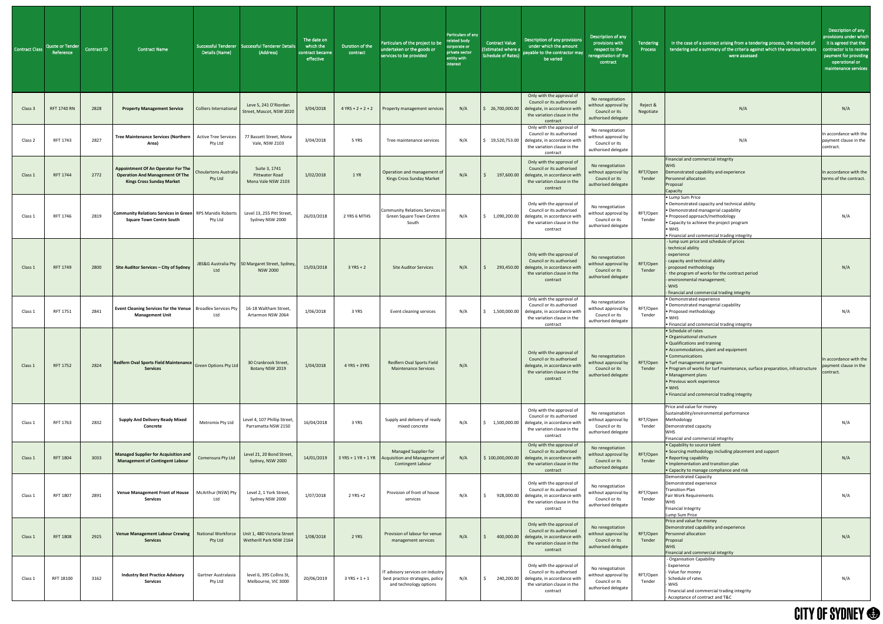| <b>Contract Class</b> | Quote or Tender<br>Reference | Contract ID | <b>Contract Name</b>                                                                                                    | <b>Successful Tenderer</b><br>Details (Name) | Successful Tenderer Details<br>(Address)                     | The date on<br>which the<br>contract became<br>effective | Duration of the<br>contract | Particulars of the project to be<br>undertaken or the goods or<br>services to be provided      | Particulars of any<br>related body<br>corporate or<br>private sector<br>entity with<br><b>interest</b> | <b>Contract Value</b><br>(Estimated where<br>Schedule of Rates |
|-----------------------|------------------------------|-------------|-------------------------------------------------------------------------------------------------------------------------|----------------------------------------------|--------------------------------------------------------------|----------------------------------------------------------|-----------------------------|------------------------------------------------------------------------------------------------|--------------------------------------------------------------------------------------------------------|----------------------------------------------------------------|
| Class 3               | <b>RFT 1740 RN</b>           | 2828        | <b>Property Management Service</b>                                                                                      | <b>Colliers International</b>                | Leve 5, 241 O'Riordan<br>Street, Mascot, NSW 2020            | 3/04/2018                                                | $4 YRS + 2 + 2 + 2$         | Property management services                                                                   | N/A                                                                                                    | \$26,700,000.00                                                |
| Class 2               | RFT 1743                     | 2827        | <b>Tree Maintenance Services (Northern</b><br>Area)                                                                     | <b>Active Tree Services</b><br>Pty Ltd       | 77 Bassett Street, Mona<br>Vale, NSW 2103                    | 3/04/2018                                                | 5 YRS                       | Tree maintenance services                                                                      | N/A                                                                                                    | \$19,520,753.00                                                |
| Class 1               | <b>RFT 1744</b>              | 2772        | <b>Appointment Of An Operator For The</b><br><b>Operation And Management Of The</b><br><b>Kings Cross Sunday Market</b> | <b>Choulartons Australia</b><br>Pty Ltd      | Suite 3, 1741<br><b>Pittwater Road</b><br>Mona Vale NSW 2103 | 1/02/2018                                                | 1 YR                        | Operation and management of<br>Kings Cross Sunday Market                                       | N/A                                                                                                    | 197,600.00<br>$\ddot{\mathsf{S}}$                              |
| Class 1               | RFT 1746                     | 2819        | <b>Community Relations Services in Green</b><br><b>Square Town Centre South</b>                                         | RPS Manidis Roberts<br>Pty Ltd               | Level 13, 255 Pitt Street,<br>Sydney NSW 2000                | 26/03/2018                                               | 2 YRS 6 MTHS                | Community Relations Services in<br>Green Square Town Centre<br>South                           | N/A                                                                                                    | 1,090,200.00<br>\$                                             |
| Class 1               | <b>RFT 1749</b>              | 2800        | Site Auditor Services - City of Sydney                                                                                  | JBS&G Australia Pty<br>Ltd                   | 50 Margaret Street, Sydney,<br><b>NSW 2000</b>               | 15/03/2018                                               | $3 YRS + 2$                 | <b>Site Auditor Services</b>                                                                   | N/A                                                                                                    | $\zeta$<br>293,450.00                                          |
| Class 1               | RFT 1751                     | 2841        | Event Cleaning Services for the Venue   Broadlex Services Pty<br><b>Management Unit</b>                                 | Ltd                                          | 16-18 Waltham Street,<br>Artarmon NSW 2064                   | 1/06/2018                                                | 3 YRS                       | Event cleaning services                                                                        | N/A                                                                                                    | 1,500,000.00<br>\$                                             |
| Class 1               | <b>RFT 1752</b>              | 2824        | Redfern Oval Sports Field Maintenance<br><b>Services</b>                                                                | <b>Green Options Pty Ltd</b>                 | 30 Cranbrook Street,<br>Botany NSW 2019                      | 1/04/2018                                                | $4$ YRS + 3YRS              | Redfern Oval Sports Field<br><b>Maintenance Services</b>                                       | N/A                                                                                                    |                                                                |
| Class 1               | RFT 1763                     | 2832        | <b>Supply And Delivery Ready Mixed</b><br>Concrete                                                                      | Metromix Pty Ltd                             | Level 4, 107 Phillip Street,<br>Parramatta NSW 2150          | 16/04/2018                                               | 3 YRS                       | Supply and delivery of ready<br>mixed concrete                                                 | N/A                                                                                                    | \$<br>1,500,000.00                                             |
| Class 1               | <b>RFT 1804</b>              | 3033        | <b>Managed Supplier for Acquisition and</b><br><b>Management of Contingent Labour</b>                                   | Comensura Pty Ltd                            | Level 21, 20 Bond Street,<br>Sydney, NSW 2000                | 14/01/2019                                               | 3 YRS + 1 YR + 1 YR         | Managed Supplier for<br>Acquisition and Management of<br>Contingent Labour                     | N/A                                                                                                    | \$100,000,000.00                                               |
| Class 1               | RFT 1807                     | 2891        | <b>Venue Management Front of House</b><br><b>Services</b>                                                               | McArthur (NSW) Pty<br>Ltd                    | Level 2, 1 York Street,<br>Sydney NSW 2000                   | 1/07/2018                                                | $2$ YRS +2                  | Provision of front of house<br>services                                                        | N/A                                                                                                    | $\ddot{\varsigma}$<br>928,000.00                               |
| Class 1               | <b>RFT 1808</b>              | 2925        | <b>Venue Management Labour Crewing</b><br><b>Services</b>                                                               | <b>National Workforce</b><br>Pty Ltd         | Unit 1, 480 Victoria Street<br>Wetherill Park NSW 2164       | 1/08/2018                                                | 2 YRS                       | Provision of labour for venue<br>management services                                           | N/A                                                                                                    | \$<br>400,000.00                                               |
| Class 1               | RFT 18100                    | 3162        | <b>Industry Best Practice Advisory</b><br><b>Services</b>                                                               | Gartner Australasia<br>Pty Ltd               | level 6, 395 Collins St,<br>Melbourne, VIC 3000              | 20/06/2019                                               | $3 YRS + 1 + 1$             | IT advisory services on industry<br>best practice strategies, policy<br>and technology options | N/A                                                                                                    | $\ddot{\mathsf{S}}$<br>240,200.00                              |

| of any<br>эr | <b>Contract Value</b><br>(Estimated where a<br><b>Schedule of Rates)</b> | Description of any provisions<br>under which the amount<br>payable to the contractor may<br>be varied                             | Description of any<br>provisions with<br>respect to the<br>renegotiation of the<br>contract | <b>Tendering</b><br><b>Process</b> | In the case of a contract arising from a tendering process, the method of<br>tendering and a summary of the criteria against which the various tenders<br>were assessed                                                                                                                                                                                                           | Description of any<br>provisions under which<br>it is agreed that the<br>contractor is to receive<br>payment for providing<br>operational or<br>maintenance services |
|--------------|--------------------------------------------------------------------------|-----------------------------------------------------------------------------------------------------------------------------------|---------------------------------------------------------------------------------------------|------------------------------------|-----------------------------------------------------------------------------------------------------------------------------------------------------------------------------------------------------------------------------------------------------------------------------------------------------------------------------------------------------------------------------------|----------------------------------------------------------------------------------------------------------------------------------------------------------------------|
|              | 26,700,000.00<br>\$.                                                     | Only with the approval of<br>Council or its authorised<br>delegate, in accordance with<br>the variation clause in the<br>contract | No renegotiation<br>without approval by<br>Council or its<br>authorised delegate            | Reject &<br>Negotiate              | N/A                                                                                                                                                                                                                                                                                                                                                                               | N/A                                                                                                                                                                  |
|              | 19,520,753.00<br>\$.                                                     | Only with the approval of<br>Council or its authorised<br>delegate, in accordance with<br>the variation clause in the<br>contract | No renegotiation<br>without approval by<br>Council or its<br>authorised delegate            |                                    | N/A                                                                                                                                                                                                                                                                                                                                                                               | In accordance with the<br>payment clause in the<br>contract.                                                                                                         |
|              | 197,600.00<br>\$                                                         | Only with the approval of<br>Council or its authorised<br>delegate, in accordance with<br>the variation clause in the<br>contract | No renegotiation<br>without approval by<br>Council or its<br>authorised delegate            | RFT/Open<br>Tender                 | Financial and commercial integrity<br><b>WHS</b><br>Demonstrated capability and experience<br>Personnel allocation<br>Proposal<br>Capacity                                                                                                                                                                                                                                        | In accordance with the<br>terms of the contract.                                                                                                                     |
|              | 1,090,200.00                                                             | Only with the approval of<br>Council or its authorised<br>delegate, in accordance with<br>the variation clause in the<br>contract | No renegotiation<br>without approval by<br>Council or its<br>authorised delegate            | RFT/Open<br>Tender                 | • Lump Sum Price<br>· Demonstrated capacity and technical ability<br>· Demonstrated managerial capability<br>· Proposed approach/methodology<br>• Capacity to achieve the project program<br>• WHS<br>· Financial and commercial trading integrity                                                                                                                                | N/A                                                                                                                                                                  |
|              | \$<br>293,450.00                                                         | Only with the approval of<br>Council or its authorised<br>delegate, in accordance with<br>the variation clause in the<br>contract | No renegotiation<br>without approval by<br>Council or its<br>authorised delegate            | RFT/Open<br>Tender                 | - lump sum price and schedule of prices<br>technical ability<br>experience<br>capacity and technical ability<br>proposed methodology<br>the program of works for the contract period<br>environmental management;<br><b>WHS</b><br>financial and commercial trading integrity                                                                                                     | N/A                                                                                                                                                                  |
|              | \$<br>1,500,000.00                                                       | Only with the approval of<br>Council or its authorised<br>delegate, in accordance with<br>the variation clause in the<br>contract | No renegotiation<br>without approval by<br>Council or its<br>authorised delegate            | RFT/Open<br>Tender                 | Demonstrated experience<br>· Demonstrated managerial capability<br>· Proposed methodology<br>$\bullet$ WHS<br>· Financial and commercial trading integrity                                                                                                                                                                                                                        | N/A                                                                                                                                                                  |
|              |                                                                          | Only with the approval of<br>Council or its authorised<br>delegate, in accordance with<br>the variation clause in the<br>contract | No renegotiation<br>without approval by<br>Council or its<br>authorised delegate            | RFT/Open<br>Tender                 | · Schedule of rates<br>· Organisational structure<br>· Qualifications and training<br>• Accommodations, plant and equipment<br>• Communications<br>· Turf management program<br>. Program of works for turf maintenance, surface preparation, infrastructure<br>• Management plans<br>· Previous work experience<br>$\bullet$ WHS<br>• Financial and commercial trading integrity | In accordance with the<br>payment clause in the<br>contract.                                                                                                         |
|              | 1,500,000.00<br>S                                                        | Only with the approval of<br>Council or its authorised<br>delegate, in accordance with<br>the variation clause in the<br>contract | No renegotiation<br>without approval by<br>Council or its<br>authorised delegate            | RFT/Open<br>Tender                 | Price and value for money<br>Sustainability/environmental performance<br>Methodology<br>Demonstrated capacity<br><b>WHS</b><br>Financial and commercial integrity                                                                                                                                                                                                                 | N/A                                                                                                                                                                  |
|              | \$100,000,000.00                                                         | Only with the approval of<br>Council or its authorised<br>delegate, in accordance with<br>the variation clause in the<br>contract | No renegotiation<br>without approval by<br>Council or its<br>authorised delegate            | RFT/Open<br>Tender                 | • Capability to source talent<br>· Sourcing methodology including placement and support<br>· Reporting capability<br>· Implementation and transition plan<br>• Capacity to manage compliance and risk                                                                                                                                                                             | N/A                                                                                                                                                                  |
|              | \$<br>928,000.00                                                         | Only with the approval of<br>Council or its authorised<br>delegate, in accordance with<br>the variation clause in the<br>contract | No renegotiation<br>without approval by<br>Council or its<br>authorised delegate            | RFT/Open<br>Tender                 | <b>Demonstrated Capacity</b><br>Demonstrated experience<br><b>Transition Plan</b><br>Fair Work Requirements<br><b>WHS</b><br><b>Financial Integrity</b><br>Lump Sum Price                                                                                                                                                                                                         | N/A                                                                                                                                                                  |
|              | 400,000.00<br>\$                                                         | Only with the approval of<br>Council or its authorised<br>delegate, in accordance with<br>the variation clause in the<br>contract | No renegotiation<br>without approval by<br>Council or its<br>authorised delegate            | RFT/Open<br>Tender                 | Price and value for money<br>Demonstrated capability and experience<br>Personnel allocation<br>Proposal<br><b>WHS</b><br>Financial and commercial integrity                                                                                                                                                                                                                       | N/A                                                                                                                                                                  |
|              | 240,200.00<br>\$                                                         | Only with the approval of<br>Council or its authorised<br>delegate, in accordance with<br>the variation clause in the<br>contract | No renegotiation<br>without approval by<br>Council or its<br>authorised delegate            | RFT/Open<br>Tender                 | - Organisation Capability<br><b>Experience</b><br>Value for money<br>Schedule of rates<br><b>WHS</b><br>Financial and commercial trading integrity<br>Acceptance of contract and T&C                                                                                                                                                                                              | N/A                                                                                                                                                                  |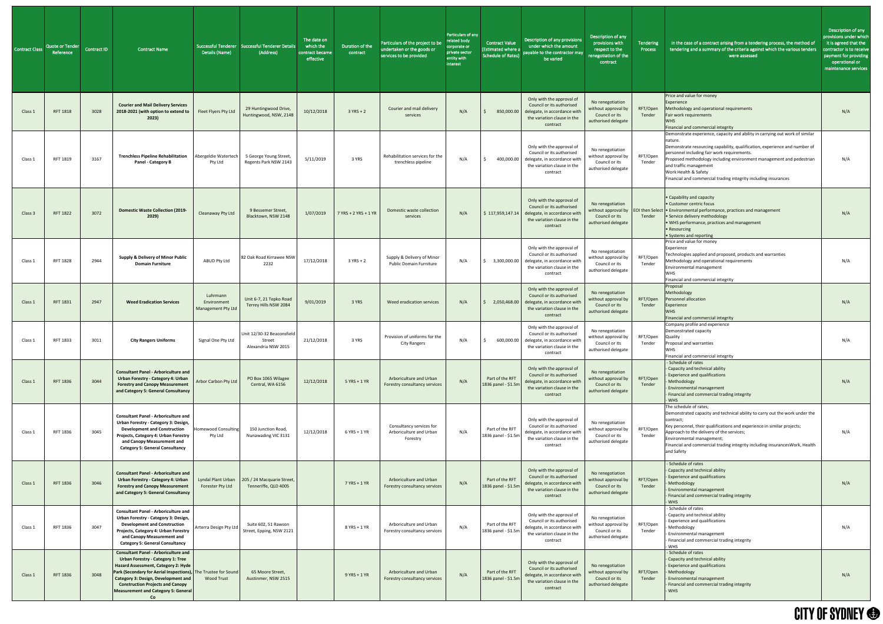| <b>Contract Class</b> | Quote or Tender<br>Reference | Contract ID | <b>Contract Name</b>                                                                                                                                                                                                                                                                                                                   | Details (Name)                                | Successful Tenderer   Successful Tenderer Details<br>(Address) | The date on<br>which the<br>contract became<br>effective | Duration of the<br>contract | Particulars of the project to be<br>undertaken or the goods or<br>services to be provided | Particulars of any<br>related body<br>corporate or<br>private sector<br>entity with<br>interest | <b>Contract Value</b><br>(Estimated where a<br><b>Schedule of Rates)</b> | Description of any provisions<br>under which the amount<br>payable to the contractor may<br>be varied                                                | Description of any<br>provisions with<br>respect to the<br>enegotiation of the<br>contract       | Tendering<br>Process | In the case of a contract arising from a tendering process, the method of<br>tendering and a summary of the criteria against which the various tenders<br>were assessed                                                                                                                                                                                                                                           | Description of any<br>provisions under which<br>it is agreed that the<br>contractor is to receive<br>payment for providing<br>operational or<br>maintenance services |
|-----------------------|------------------------------|-------------|----------------------------------------------------------------------------------------------------------------------------------------------------------------------------------------------------------------------------------------------------------------------------------------------------------------------------------------|-----------------------------------------------|----------------------------------------------------------------|----------------------------------------------------------|-----------------------------|-------------------------------------------------------------------------------------------|-------------------------------------------------------------------------------------------------|--------------------------------------------------------------------------|------------------------------------------------------------------------------------------------------------------------------------------------------|--------------------------------------------------------------------------------------------------|----------------------|-------------------------------------------------------------------------------------------------------------------------------------------------------------------------------------------------------------------------------------------------------------------------------------------------------------------------------------------------------------------------------------------------------------------|----------------------------------------------------------------------------------------------------------------------------------------------------------------------|
| Class 1               | <b>RFT 1818</b>              | 3028        | <b>Courier and Mail Delivery Services</b><br>2018-2021 (with option to extend to<br>2023)                                                                                                                                                                                                                                              | Fleet Flyers Pty Ltd                          | 29 Huntingwood Drive,<br>Huntingwood, NSW, 2148                | 10/12/2018                                               | $3 YRS + 2$                 | Courier and mail delivery<br>services                                                     | N/A                                                                                             | 850,000.00                                                               | Only with the approval of<br>Council or its authorised<br>delegate, in accordance with<br>the variation clause in the<br>contract                    | No renegotiation<br>without approval by<br>Council or its<br>authorised delegate                 | RFT/Open<br>Tender   | Price and value for money<br>Experience<br>Methodology and operational requirements<br>Fair work requirements<br><b>WHS</b><br>Financial and commercial integrity                                                                                                                                                                                                                                                 | N/A                                                                                                                                                                  |
| Class 1               | RFT 1819                     | 3167        | <b>Trenchless Pipeline Rehabilitation</b><br><b>Panel - Category B</b>                                                                                                                                                                                                                                                                 | Abergeldie Watertech<br>Pty Ltd               | 5 George Young Street,<br>Regents Park NSW 2143                | 5/11/2019                                                | 3 YRS                       | Rehabilitation services for the<br>trenchless pipeline                                    | N/A                                                                                             | 400,000.00                                                               | Only with the approval of<br>Council or its authorised<br>delegate, in accordance with<br>the variation clause in the<br>contract                    | No renegotiation<br>without approval by<br>Council or its<br>authorised delegate                 | RFT/Open<br>Tender   | Demonstrate experience, capacity and ability in carrying out work of similar<br>nature.<br>Demonstrate resourcing capability, qualification, experience and number of<br>personnel including fair work requirements.<br>Proposed methodology including environment management and pedestrian<br>and traffic management<br>Work Health & Safety<br>Financial and commercial trading integrity including insurances | N/A                                                                                                                                                                  |
| Class 3               | <b>RFT 1822</b>              | 3072        | <b>Domestic Waste Collection (2019-</b><br>2029)                                                                                                                                                                                                                                                                                       | <b>Cleanaway Pty Ltd</b>                      | 9 Bessemer Street,<br>Blacktown, NSW 2148                      | 1/07/2019                                                | 7 YRS + 2 YRS + 1 YR        | Domestic waste collection<br>services                                                     | N/A                                                                                             |                                                                          | Only with the approval of<br>Council or its authorised<br>$$ 117,959,147.14$ delegate, in accordance with<br>the variation clause in the<br>contract | No renegotiation<br>without approval by EOI then Select<br>Council or its<br>authorised delegate | Tender               | • Capability and capacity<br>• Customer centric focus<br>t . Environmental performance, practices and management<br>• Service delivery methodology<br>• WHS performance, practices and management<br>• Resourcing<br>• Systems and reporting                                                                                                                                                                      | N/A                                                                                                                                                                  |
| Class 1               | <b>RFT 1828</b>              | 2944        | <b>Supply &amp; Delivery of Minor Public</b><br><b>Domain Furniture</b>                                                                                                                                                                                                                                                                | ABUD Pty Ltd                                  | 82 Oak Road Kirrawee NSW<br>2232                               | 17/12/2018                                               | $3$ YRS + 2                 | Supply & Delivery of Minor<br><b>Public Domain Furniture</b>                              | N/A                                                                                             | 3,300,000.00                                                             | Only with the approval of<br>Council or its authorised<br>delegate, in accordance with<br>the variation clause in the<br>contract                    | No renegotiation<br>without approval by<br>Council or its<br>authorised delegate                 | RFT/Open<br>Tender   | Price and value for money<br>Experience<br>Technologies applied and proposed, products and warranties<br>Methodology and operational requirements<br>Environmental management<br>WHS.<br>Financial and commercial integrity                                                                                                                                                                                       | N/A                                                                                                                                                                  |
| Class 1               | RFT 1831                     | 2947        | <b>Weed Eradication Services</b>                                                                                                                                                                                                                                                                                                       | Luhrmann<br>Environment<br>Management Pty Ltd | Unit 6-7, 21 Tepko Road<br>Terrey Hills NSW 2084               | 9/01/2019                                                | 3 YRS                       | Weed eradication services                                                                 | N/A                                                                                             | 2,050,468.00                                                             | Only with the approval of<br>Council or its authorised<br>delegate, in accordance with<br>the variation clause in the<br>contract                    | No renegotiation<br>without approval by<br>Council or its<br>authorised delegate                 | RFT/Open<br>Tender   | Proposal<br>Methodology<br>Personnel allocation<br>Experience<br><b>WHS</b><br>Financial and commercial integrity                                                                                                                                                                                                                                                                                                 | N/A                                                                                                                                                                  |
| Class 1               | RFT 1833                     | 3011        | <b>City Rangers Uniforms</b>                                                                                                                                                                                                                                                                                                           | Signal One Pty Ltd                            | Unit 12/30-32 Beaconsfield<br>Street<br>Alexandria NSW 2015    | 21/12/2018                                               | 3 YRS                       | Provision of uniforms for the<br><b>City Rangers</b>                                      | N/A                                                                                             | 600,000.00                                                               | Only with the approval of<br>Council or its authorised<br>delegate, in accordance with<br>the variation clause in the<br>contract                    | No renegotiation<br>without approval by<br>Council or its<br>authorised delegate                 | RFT/Open<br>Tender   | Company profile and experience<br>Demonstrated capacity<br>Quality<br>Proposal and warranties<br><b>WHS</b><br>Financial and commercial integrity                                                                                                                                                                                                                                                                 | N/A                                                                                                                                                                  |
| Class 1               | <b>RFT 1836</b>              | 3044        | <b>Consultant Panel - Arboriculture and</b><br><b>Urban Forestry - Category 4: Urban</b><br><b>Forestry and Canopy Measurement</b><br>and Category 5: General Consultancy                                                                                                                                                              | Arbor Carbon Pty Ltd                          | PO Box 1065 Wilagee<br>Central, WA 6156                        | 12/12/2018                                               | $5$ YRS + 1 YR              | Arboriculture and Urban<br>Forestry consultancy services                                  | N/A                                                                                             | Part of the RFT<br>1836 panel - \$1.5n                                   | Only with the approval of<br>Council or its authorised<br>delegate, in accordance with<br>the variation clause in the<br>contract                    | No renegotiation<br>without approval by<br>Council or its<br>authorised delegate                 | RFT/Open<br>Tender   | - Schedule of rates<br>Capacity and technical ability<br><b>Experience and qualifications</b><br>Methodology<br><b>Environmental management</b><br>Financial and commercial trading integrity<br><b>WHS</b>                                                                                                                                                                                                       | N/A                                                                                                                                                                  |
| Class 1               | RFT 1836                     | 3045        | <b>Consultant Panel - Arboriculture and</b><br>Urban Forestry - Category 3: Design,<br><b>Development and Construction</b><br>Projects, Category 4: Urban Forestry<br>and Canopy Measurement and<br><b>Category 5: General Consultancy</b>                                                                                             | Iomewood Consulting<br>Pty Ltd                | 150 Junction Road,<br>Nunawading VIC 3131                      | 12/12/2018                                               | 6 YRS + 1 YR                | Consultancy services for<br>Arboriculture and Urban<br>Forestry                           | N/A                                                                                             | Part of the RFT<br>1836 panel - \$1.5n                                   | Only with the approval of<br>Council or its authorised<br>delegate, in accordance with<br>the variation clause in the<br>contract                    | No renegotiation<br>without approval by<br>Council or its<br>authorised delegate                 | RFT/Open<br>Tender   | The schedule of rates;<br>Demonstrated capacity and technical ability to carry out the work under the<br>contract;<br>Key personnel, their qualifications and experience in similar projects;<br>Approach to the delivery of the services;<br>Environmental management;<br>Financial and commercial trading integrity including insurancesWork, Health<br>and Safety                                              | N/A                                                                                                                                                                  |
| Class 1               | <b>RFT 1836</b>              | 3046        | <b>Consultant Panel - Arboriculture and</b><br>Urban Forestry - Category 4: Urban   Lyndal Plant Urban   205 / 24 Macquarie Street,<br><b>Forestry and Canopy Measurement</b><br>and Category 5: General Consultancy                                                                                                                   | Forester Pty Ltd                              | Tenneriffe, QLD 4005                                           |                                                          | 7 YRS + 1 YR                | Arboriculture and Urban<br>Forestry consultancy services                                  | N/A                                                                                             | Part of the RFT<br>1836 panel - \$1.5m                                   | Only with the approval of<br>Council or its authorised<br>delegate, in accordance with<br>the variation clause in the<br>contract                    | No renegotiation<br>without approval by $\ $<br>Council or its<br>authorised delegate            | RFT/Open<br>Tender   | - Schedule of rates<br>- Capacity and technical ability<br>- Experience and qualifications<br>Methodology<br>- Environmental management<br>- Financial and commercial trading integrity<br>- WHS                                                                                                                                                                                                                  | N/A                                                                                                                                                                  |
| Class 1               | RFT 1836                     | 3047        | <b>Consultant Panel - Arboriculture and</b><br>Urban Forestry - Category 3: Design,<br><b>Development and Construction</b><br>Projects, Category 4: Urban Forestry<br>and Canopy Measurement and<br><b>Category 5: General Consultancy</b>                                                                                             | Arterra Design Pty Ltd                        | Suite 602, 51 Rawson<br>Street, Epping, NSW 2121               |                                                          | 8 YRS + 1 YR                | Arboriculture and Urban<br>Forestry consultancy services                                  | N/A                                                                                             | Part of the RFT<br>1836 panel - \$1.5m                                   | Only with the approval of<br>Council or its authorised<br>delegate, in accordance with<br>the variation clause in the<br>contract                    | No renegotiation<br>without approval by<br>Council or its<br>authorised delegate                 | RFT/Open<br>Tender   | - Schedule of rates<br>- Capacity and technical ability<br>- Experience and qualifications<br>Methodology<br>- Environmental management<br>- Financial and commercial trading integrity<br>- WHS                                                                                                                                                                                                                  | N/A                                                                                                                                                                  |
| Class 1               | RFT 1836                     | 3048        | <b>Consultant Panel - Arboriculture and</b><br><b>Urban Forestry - Category 1: Tree</b><br>Hazard Assessment, Category 2: Hyde<br>Park (Secondary for Aerial Inspections), The Trustee for Sound<br>Category 3: Design, Development and<br><b>Construction Projects and Canopy</b><br><b>Measurement and Category 5: General</b><br>Co | <b>Wood Trust</b>                             | 65 Moore Street,<br>Austinmer, NSW 2515                        |                                                          | $9$ YRS + 1 YR              | Arboriculture and Urban<br>Forestry consultancy services                                  | N/A                                                                                             | Part of the RFT<br>1836 panel - \$1.5m                                   | Only with the approval of<br>Council or its authorised<br>delegate, in accordance with<br>the variation clause in the<br>contract                    | No renegotiation<br>without approval by<br>Council or its<br>authorised delegate                 | RFT/Open<br>Tender   | - Schedule of rates<br>- Capacity and technical ability<br>- Experience and qualifications<br>Methodology<br>- Environmental management<br>- Financial and commercial trading integrity<br>- WHS                                                                                                                                                                                                                  | N/A                                                                                                                                                                  |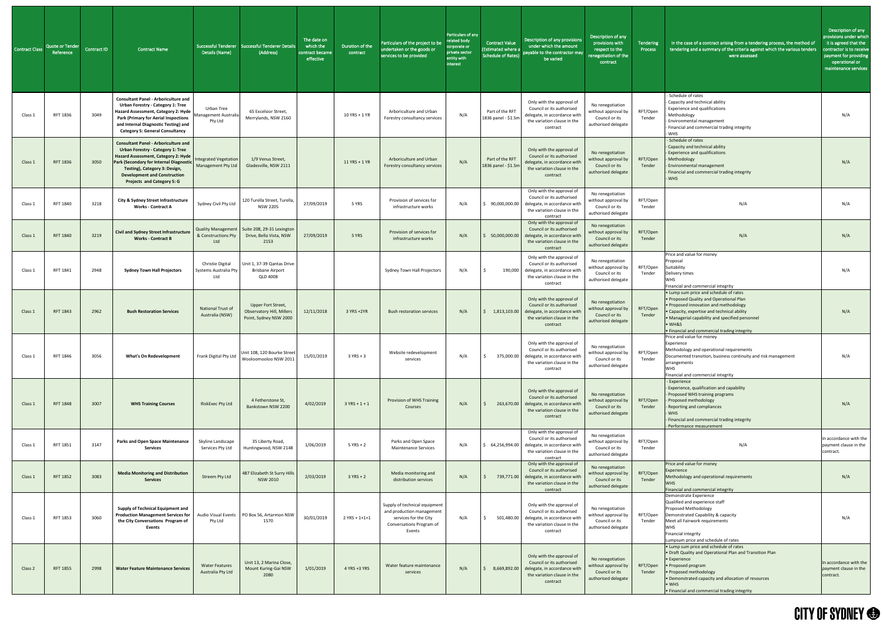| <b>Contract Class</b> | <b>Quote or Tender</b><br>Reference | Contract ID | <b>Contract Name</b>                                                                                                                                                                                                                                                                   | Details (Name)                                   | Successful Tenderer   Successful Tenderer Details<br>(Address)                     | The date on<br>which the<br>contract became<br>effective | Duration of the<br>contract | Particulars of the project to be<br>undertaken or the goods or<br>services to be provided                                 | Particulars of any<br>related body<br>corporate or<br>private sector<br>entity with<br>interest | <b>Contract Value</b><br>(Estimated where a<br><b>Schedule of Rates)</b> | Description of any provisions<br>under which the amount<br>payable to the contractor may<br>be varied                                        | Description of any<br>provisions with<br>respect to the<br>renegotiation of the<br>contract | Tendering<br><b>Process</b> | In the case of a contract arising from a tendering process, the method of<br>tendering and a summary of the criteria against which the various tenders<br>were assessed                                                                                                                    | Description of any<br>provisions under which<br>it is agreed that the<br>contractor is to receive<br>payment for providing<br>operational or<br>maintenance services |
|-----------------------|-------------------------------------|-------------|----------------------------------------------------------------------------------------------------------------------------------------------------------------------------------------------------------------------------------------------------------------------------------------|--------------------------------------------------|------------------------------------------------------------------------------------|----------------------------------------------------------|-----------------------------|---------------------------------------------------------------------------------------------------------------------------|-------------------------------------------------------------------------------------------------|--------------------------------------------------------------------------|----------------------------------------------------------------------------------------------------------------------------------------------|---------------------------------------------------------------------------------------------|-----------------------------|--------------------------------------------------------------------------------------------------------------------------------------------------------------------------------------------------------------------------------------------------------------------------------------------|----------------------------------------------------------------------------------------------------------------------------------------------------------------------|
| Class 1               | RFT 1836                            | 3049        | <b>Consultant Panel - Arboriculture and</b><br><b>Urban Forestry - Category 1: Tree</b><br>Hazard Assessment, Category 2: Hyde<br><b>Park (Primary for Aerial Inspections</b><br>and Internal Diagnostic Testing) and<br><b>Category 5: General Consultancy</b>                        | Urban Tree<br>Management Australia<br>Pty Ltd    | 65 Excelsior Street,<br>Merrylands, NSW 2160                                       |                                                          | 10 YRS + 1 YR               | Arboriculture and Urban<br>Forestry consultancy services                                                                  | N/A                                                                                             | Part of the RFT<br>1836 panel - \$1.5m                                   | Only with the approval of<br>Council or its authorised<br>delegate, in accordance with<br>the variation clause in the<br>contract            | No renegotiation<br>without approval by<br>Council or its<br>authorised delegate            | RFT/Open<br>Tender          | - Schedule of rates<br>- Capacity and technical ability<br><b>Experience and qualifications</b><br>Methodology<br><b>Environmental management</b><br>- Financial and commercial trading integrity<br>WHS                                                                                   | N/A                                                                                                                                                                  |
| Class :               | <b>RFT 1836</b>                     | 3050        | <b>Consultant Panel - Arboriculture and</b><br><b>Urban Forestry - Category 1: Tree</b><br>Hazard Assessment, Category 2: Hyde<br>Park (Secondary for Internal Diagnostic<br>Testing), Category 3: Design,<br><b>Development and Construction</b><br><b>Projects and Category 5: G</b> | Integrated Vegetation<br>Management Pty Ltd      | 1/9 Venus Street,<br>Gladesville, NSW 2111                                         |                                                          | 11 YRS + 1 YR               | Arboriculture and Urban<br>Forestry consultancy services                                                                  | N/A                                                                                             | Part of the RFT<br>1836 panel - \$1.5m                                   | Only with the approval of<br>Council or its authorised<br>delegate, in accordance with<br>the variation clause in the<br>contract            | No renegotiation<br>without approval by<br>Council or its<br>authorised delegate            | RFT/Open<br>Tender          | - Schedule of rates<br>Capacity and technical ability<br><b>Experience and qualifications</b><br>Methodology<br><b>Environmental management</b><br>- Financial and commercial trading integrity<br><b>WHS</b>                                                                              | N/A                                                                                                                                                                  |
| Class :               | RFT 1840                            | 3218        | <b>City &amp; Sydney Street Infrastructure</b><br><b>Works - Contract A</b>                                                                                                                                                                                                            | Sydney Civil Pty Ltd                             | 120 Turella Street, Turella<br><b>NSW 2205</b>                                     | 27/09/2019                                               | 5 YRS                       | Provision of services for<br>infrastructure works                                                                         | N/A                                                                                             | 90,000,000.00                                                            | Only with the approval of<br>Council or its authorised<br>delegate, in accordance with<br>the variation clause in the<br>contract            | No renegotiation<br>without approval by<br>Council or its<br>authorised delegate            | RFT/Open<br>Tender          | N/A                                                                                                                                                                                                                                                                                        | N/A                                                                                                                                                                  |
| Class 1               | RFT 1840                            | 3219        | Civil and Sydney Street Infrastructure<br><b>Works - Contract B</b>                                                                                                                                                                                                                    | & Constructions Pty<br>Ltd                       | Quality Management   Suite 208, 29-31 Lexington<br>Drive, Bella Vista, NSW<br>2153 | 27/09/2019                                               | 5 YRS                       | Provision of services for<br>infrastructure works                                                                         | N/A                                                                                             | 50,000,000.00                                                            | Only with the approval of<br>Council or its authorised<br>delegate, in accordance with<br>the variation clause in the<br>contract            | No renegotiation<br>without approval by<br>Council or its<br>authorised delegate            | RFT/Open<br>Tender          | N/A                                                                                                                                                                                                                                                                                        | N/A                                                                                                                                                                  |
| Class 1               | RFT 1841                            | 2948        | <b>Sydney Town Hall Projectors</b>                                                                                                                                                                                                                                                     | Christie Digital<br>Systems Australia Pty<br>Ltd | Unit 1, 37-39 Qantas Drive<br><b>Brisbane Airport</b><br>QLD 4008                  |                                                          |                             | Sydney Town Hall Projectors                                                                                               | N/A                                                                                             | 190,000                                                                  | Only with the approval of<br>Council or its authorised<br>delegate, in accordance with<br>the variation clause in the<br>contract            | No renegotiation<br>without approval by<br>Council or its<br>authorised delegate            | RFT/Open<br>Tender          | Price and value for money<br>Proposal<br>Suitability<br>Delivery times<br><b>WHS</b><br>Financial and commercial integrity                                                                                                                                                                 | N/A                                                                                                                                                                  |
| Class :               | <b>RFT 1843</b>                     | 2962        | <b>Bush Restoration Services</b>                                                                                                                                                                                                                                                       | National Trust of<br>Australia (NSW)             | Upper Fort Street,<br><b>Observatory Hill, Millers</b><br>Point, Sydney NSW 2000   | 12/11/2018                                               | 3 YRS +2YR                  | <b>Bush restoration services</b>                                                                                          | N/A                                                                                             | 1,813,103.00                                                             | Only with the approval of<br>Council or its authorised<br>delegate, in accordance with<br>the variation clause in the<br>contract            | No renegotiation<br>without approval by<br>Council or its<br>authorised delegate            | RFT/Open<br>Tender          | • Lump sum price and schedule of rates<br>• Proposed Quality and Operational Plan<br>• Proposed innovation and methodology<br>• Capacity, expertise and technical ability<br>• Managerial capability and specified personnel<br>· WH&S<br>• Financial and commercial trading integrity     | N/A                                                                                                                                                                  |
| Class 1               | RFT 1846                            | 3056        | <b>What's On Redevelopment</b>                                                                                                                                                                                                                                                         | Frank Digital Pty Ltd                            | Unit 108, 120 Bourke Street<br>Wooloomooloo NSW 2011                               | 15/01/2019                                               | $3$ YRS + 3                 | Website redevelopment<br>services                                                                                         | N/A                                                                                             | 375,000.00                                                               | Only with the approval of<br>Council or its authorised<br>delegate, in accordance with<br>the variation clause in the<br>contract            | No renegotiation<br>without approval by<br>Council or its<br>authorised delegate            | RFT/Open<br>Tender          | Price and value for money<br>Experience<br>Methodology and operational requirements<br>Documented transition, business continuity and risk management<br>arrangements<br><b>WHS</b><br>Financial and commercial integrity                                                                  | N/A                                                                                                                                                                  |
| Class 1               | <b>RFT 1848</b>                     | 3007        | <b>WHS Training Courses</b>                                                                                                                                                                                                                                                            | <b>RiskExec Pty Ltd</b>                          | 4 Fetherstone St,<br>Bankstown NSW 2200                                            | 4/02/2019                                                | $3 YRS + 1 + 1$             | Provision of WHS Training<br>Courses                                                                                      | N/A                                                                                             | 263,670.00                                                               | Only with the approval of<br>Council or its authorised<br>delegate, in accordance with<br>the variation clause in the<br>contract            | No renegotiation<br>without approval by<br>Council or its<br>authorised delegate            | RFT/Open<br>Tender          | - Experience<br>Experience, qualification and capability<br>Proposed WHS training programs<br>Proposed methodology<br>Reporting and compliances<br><b>WHS</b><br>Financial and commercial trading integrity<br>- Performance measurement                                                   | N/A                                                                                                                                                                  |
| Class:                | RFT 1851                            | 3147        | <b>Parks and Open Space Maintenance</b><br><b>Services</b>                                                                                                                                                                                                                             | Skyline Landscape<br>Services Pty Ltd            | 35 Liberty Road,<br>Huntingwood, NSW 2148                                          | 1/06/2019                                                | $5$ YRS + 2                 | Parks and Open Space<br><b>Maintenance Services</b>                                                                       | N/A                                                                                             | 64,256,994.00                                                            | Only with the approval of<br>Council or its authorised<br>delegate, in accordance with<br>the variation clause in the<br>contract            | No renegotiation<br>without approval by<br>Council or its<br>authorised delegate            | RFT/Open<br>Tender          | N/A                                                                                                                                                                                                                                                                                        | n accordance with the<br>payment clause in the<br>contract.                                                                                                          |
| Class 1               | <b>RFT 1852</b>                     | 3083        | <b>Media Monitoring and Distribution</b><br><b>Services</b>                                                                                                                                                                                                                            | Streem Pty Ltd                                   | 487 Elizabeth St Surry Hills<br><b>NSW 2010</b>                                    | 2/03/2019                                                | $3 YRS + 2$                 | Media monitoring and<br>distribution services                                                                             | N/A                                                                                             |                                                                          | Only with the approval of<br>Council or its authorised<br>739,771.00 delegate, in accordance with<br>the variation clause in the<br>contract | No renegotiation<br>without approval by<br>Council or its<br>authorised delegate            | RFT/Open<br>Tender          | Price and value for money<br>Experience<br>Methodology and operational requirements<br><b>IWHS</b><br>Financial and commercial integrity                                                                                                                                                   | N/A                                                                                                                                                                  |
| Class 1               | RFT 1853                            | 3060        | <b>Supply of Technical Equipment and</b><br><b>Production Management Services for</b><br>the City Conversations Program of<br><b>Events</b>                                                                                                                                            | Pty Ltd                                          | Audio Visual Events   PO Box 56, Artarmon NSW<br>1570                              | 30/01/2019                                               | $2$ YRS + 1+1+1             | Supply of technical equipment<br>and production management<br>services for the City<br>Conversations Program of<br>Events | N/A                                                                                             | 501,480.00                                                               | Only with the approval of<br>Council or its authorised<br>delegate, in accordance with<br>the variation clause in the<br>contract            | No renegotiation<br>without approval by<br>Council or its<br>authorised delegate            | RFT/Open<br>Tender          | Demonstrate Experience<br>Qualified and experience staff<br>Proposed Methodology<br>Demonstrated Capability & capacity<br>Meet all Fairwork requirements<br><b>WHS</b><br>Financial integrity<br>Lumpsum price and schedule of rates                                                       | N/A                                                                                                                                                                  |
| Class 2               | <b>RFT 1855</b>                     | 2998        | <b>Water Feature Maintenance Services</b>                                                                                                                                                                                                                                              | <b>Water Features</b><br>Australia Pty Ltd       | Unit 13, 2 Marina Close,<br>Mount Kuring-Gai NSW<br>2080                           | 1/01/2019                                                | 4 YRS +3 YRS                | Water feature maintenance<br>services                                                                                     | N/A                                                                                             | 8,669,892.00                                                             | Only with the approval of<br>Council or its authorised<br>delegate, in accordance with<br>the variation clause in the<br>contract            | No renegotiation<br>without approval by<br>Council or its<br>authorised delegate            | RFT/Open<br>Tender          | • Lump sum price and schedule of rates<br>• Draft Quality and Operational Plan and Transition Plan<br>• Experience<br>• Proposed program<br>• Proposed methodology<br>• Demonstrated capacity and allocation of resources<br>$\bullet$ WHS<br>• Financial and commercial trading integrity | In accordance with the<br>payment clause in the<br>contract.                                                                                                         |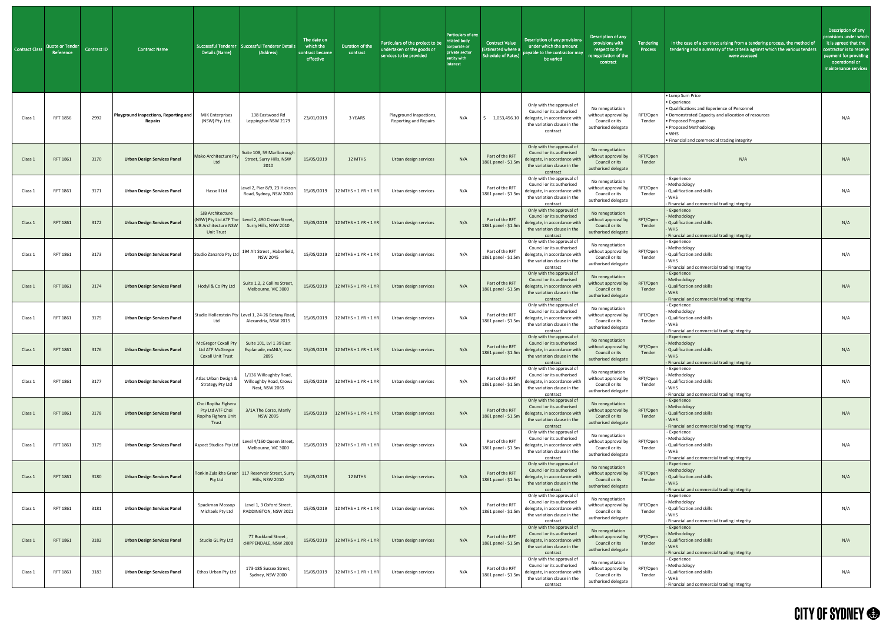| <b>Contract Class</b> | Quote or Tender<br>Reference | Contract ID | <b>Contract Name</b>                                    | Details (Name)                                                                         | Successful Tenderer   Successful Tenderer Details<br>(Address)             | The date on<br>which the<br>contract became<br>effective | Duration of the<br>contract      | Particulars of the project to be<br>undertaken or the goods or<br>services to be provided | Particulars of any<br>related body<br>corporate or<br>private sector<br>entity with<br>interest | <b>Contract Value</b><br>(Estimated where a<br><b>Schedule of Rates)</b> | Description of any provisions<br>under which the amount<br>payable to the contractor may<br>be varied                             | Description of any<br>provisions with<br>respect to the<br>renegotiation of the<br>contract | Tendering<br>Process | In the case of a contract arising from a tendering process, the method of<br>tendering and a summary of the criteria against which the various tenders<br>were assessed                                                                                  | Description of any<br>provisions under which<br>it is agreed that the<br>contractor is to receive<br>payment for providing<br>operational or<br>maintenance services |
|-----------------------|------------------------------|-------------|---------------------------------------------------------|----------------------------------------------------------------------------------------|----------------------------------------------------------------------------|----------------------------------------------------------|----------------------------------|-------------------------------------------------------------------------------------------|-------------------------------------------------------------------------------------------------|--------------------------------------------------------------------------|-----------------------------------------------------------------------------------------------------------------------------------|---------------------------------------------------------------------------------------------|----------------------|----------------------------------------------------------------------------------------------------------------------------------------------------------------------------------------------------------------------------------------------------------|----------------------------------------------------------------------------------------------------------------------------------------------------------------------|
| Class 1               | RFT 1856                     | 2992        | Playground Inspections, Reporting and<br><b>Repairs</b> | <b>MJK Enterprises</b><br>(NSW) Pty. Ltd.                                              | 138 Eastwood Rd<br>Leppington NSW 2179                                     | 23/01/2019                                               | 3 YEARS                          | Playground Inspections,<br><b>Reporting and Repairs</b>                                   | N/A                                                                                             | 1,053,456.10                                                             | Only with the approval of<br>Council or its authorised<br>delegate, in accordance with<br>the variation clause in the<br>contract | No renegotiation<br>without approval by<br>Council or its<br>authorised delegate            | RFT/Open<br>Tender   | • Lump Sum Price<br>• Experience<br>• Qualifications and Experience of Personnel<br>• Demonstrated Capacity and allocation of resources<br>• Proposed Program<br>• Proposed Methodology<br>$\bullet$ WHS<br>• Financial and commercial trading integrity | N/A                                                                                                                                                                  |
| Class :               | <b>RFT 1861</b>              | 3170        | <b>Urban Design Services Panel</b>                      | Mako Architecture Pty<br>Ltd                                                           | Suite 108, 59 Marlborough<br>Street, Surry Hills, NSW<br>2010              | 15/05/2019                                               | 12 MTHS                          | Urban design services                                                                     | N/A                                                                                             | Part of the RFT<br>1861 panel - \$1.5m                                   | Only with the approval of<br>Council or its authorised<br>delegate, in accordance with<br>the variation clause in the<br>contract | No renegotiation<br>without approval by<br>Council or its<br>authorised delegate            | RFT/Open<br>Tender   | N/A                                                                                                                                                                                                                                                      | N/A                                                                                                                                                                  |
| Class:                | RFT 1861                     | 3171        | <b>Urban Design Services Panel</b>                      | Hassell Ltd                                                                            | Level 2, Pier 8/9, 23 Hickson<br>Road, Sydney, NSW 2000                    |                                                          | 15/05/2019 12 MTHS + 1 YR + 1 YR | Urban design services                                                                     | N/A                                                                                             | Part of the RFT<br>1861 panel - \$1.5m                                   | Only with the approval of<br>Council or its authorised<br>delegate, in accordance with<br>the variation clause in the<br>contract | No renegotiation<br>without approval by<br>Council or its<br>authorised delegate            | RFT/Open<br>Tender   | - Experience<br>Methodology<br>- Qualification and skills<br><b>WHS</b><br>Financial and commercial trading integrity                                                                                                                                    | N/A                                                                                                                                                                  |
| Class 1               | RFT 1861                     | 3172        | <b>Urban Design Services Panel</b>                      | SJB Architecture<br>(NSW) Pty Ltd ATF The<br>SJB Architecture NSW<br><b>Unit Trust</b> | Level 2, 490 Crown Street<br>Surry Hills, NSW 2010                         |                                                          | 15/05/2019 12 MTHS + 1 YR + 1 YR | Urban design services                                                                     | N/A                                                                                             | Part of the RFT<br>1861 panel - \$1.5m                                   | Only with the approval of<br>Council or its authorised<br>delegate, in accordance with<br>the variation clause in the<br>contract | No renegotiation<br>without approval by<br>Council or its<br>authorised delegate            | RFT/Open<br>Tender   | Experience<br>Methodology<br>- Qualification and skills<br><b>WHS</b><br>- Financial and commercial trading integrity                                                                                                                                    | N/A                                                                                                                                                                  |
| Class :               | RFT 1861                     | 3173        | <b>Urban Design Services Panel</b>                      | Studio Zanardo Pty Ltd                                                                 | 194 Alt Street, Haberfield,<br><b>NSW 2045</b>                             | 15/05/2019                                               | 12 MTHS + 1 YR + 1 YR            | Urban design services                                                                     | N/A                                                                                             | Part of the RFT<br>1861 panel - \$1.5m                                   | Only with the approval of<br>Council or its authorised<br>delegate, in accordance with<br>the variation clause in the<br>contract | No renegotiation<br>without approval by<br>Council or its<br>authorised delegate            | RFT/Open<br>Tender   | - Experience<br><b>Methodology</b><br>- Qualification and skills<br><b>WHS</b><br>- Financial and commercial trading integrity                                                                                                                           | N/A                                                                                                                                                                  |
| Class:                | RFT 1861                     | 3174        | <b>Urban Design Services Panel</b>                      | Hodyl & Co Pty Ltd                                                                     | Suite 1.2, 2 Collins Street<br>Melbourne, VIC 3000                         | 15/05/2019                                               | 12 MTHS + 1 YR + 1 YR            | Urban design services                                                                     | N/A                                                                                             | Part of the RFT<br>1861 panel - \$1.5m                                   | Only with the approval of<br>Council or its authorised<br>delegate, in accordance with<br>the variation clause in the<br>contract | No renegotiation<br>without approval by<br>Council or its<br>authorised delegate            | RFT/Open<br>Tender   | - Experience<br>Methodology<br>Qualification and skills<br><b>WHS</b><br>Financial and commercial trading integrity                                                                                                                                      | N/A                                                                                                                                                                  |
| Class :               | RFT 1861                     | 3175        | <b>Urban Design Services Panel</b>                      | Ltd                                                                                    | Studio Hollenstein Pty Level 1, 24-26 Botany Road,<br>Alexandria, NSW 2015 | 15/05/2019                                               | 12 MTHS + 1 YR + 1 YR            | Urban design services                                                                     | N/A                                                                                             | Part of the RFT<br>1861 panel - \$1.5m                                   | Only with the approval of<br>Council or its authorised<br>delegate, in accordance with<br>the variation clause in the<br>contract | No renegotiation<br>without approval by<br>Council or its<br>authorised delegate            | RFT/Open<br>Tender   | Experience<br>Methodology<br>- Qualification and skills<br><b>WHS</b><br>Financial and commercial trading integrity                                                                                                                                      | N/A                                                                                                                                                                  |
| Class 1               | <b>RFT 1861</b>              | 3176        | <b>Urban Design Services Panel</b>                      | McGregor Coxall Pty<br>Ltd ATF McGregor<br><b>Coxall Unit Trust</b>                    | Suite 101, Lvl 1 39 East<br>Esplanade, mANLY, nsw<br>2095                  | 15/05/2019                                               | 12 MTHS + 1 YR + 1 YR            | Urban design services                                                                     | N/A                                                                                             | Part of the RFT<br>1861 panel - \$1.5m                                   | Only with the approval of<br>Council or its authorised<br>delegate, in accordance with<br>the variation clause in the<br>contract | No renegotiation<br>without approval by<br>Council or its<br>authorised delegate            | RFT/Open<br>Tender   | - Experience<br>Methodology<br>Qualification and skills<br><b>WHS</b><br>Financial and commercial trading integrity                                                                                                                                      | N/A                                                                                                                                                                  |
| Class :               | RFT 1861                     | 3177        | <b>Urban Design Services Panel</b>                      | Atlas Urban Design &<br><b>Strategy Pty Ltd</b>                                        | 1/136 Willoughby Road,<br>Willoughby Road, Crows<br>Nest, NSW 2065         | 15/05/2019                                               | 12 MTHS + 1 YR + 1 YR            | Urban design services                                                                     | N/A                                                                                             | Part of the RFT<br>1861 panel - \$1.5m                                   | Only with the approval of<br>Council or its authorised<br>delegate, in accordance with<br>the variation clause in the<br>contract | No renegotiation<br>without approval by<br>Council or its<br>authorised delegate            | RFT/Open<br>Tender   | Experience<br>Methodology<br>- Qualification and skills<br><b>WHS</b><br>Financial and commercial trading integrity                                                                                                                                      | N/A                                                                                                                                                                  |
| Class 1               | RFT 1861                     | 3178        | <b>Urban Design Services Panel</b>                      | Choi Ropiha Fighera<br>Pty Ltd ATF Choi<br>Ropiha Fighera Unit<br>Trust                | 3/1A The Corso, Manly<br><b>NSW 2095</b>                                   | 15/05/2019                                               | $12$ MTHS + 1 YR + 1 YR          | Urban design services                                                                     | N/A                                                                                             | Part of the RFT<br>1861 panel - \$1.5m                                   | Only with the approval of<br>Council or its authorised<br>delegate, in accordance with<br>the variation clause in the<br>contract | No renegotiation<br>without approval by<br>Council or its<br>authorised delegate            | RFT/Open<br>Tender   | Experience<br>Methodology<br>- Qualification and skills<br><b>WHS</b><br>Financial and commercial trading integrity                                                                                                                                      | N/A                                                                                                                                                                  |
| Class:                | RFT 1861                     | 3179        | <b>Urban Design Services Panel</b>                      | <b>Aspect Studios Pty Ltd</b>                                                          | Level 4/160 Queen Street,<br>Melbourne, VIC 3000                           | 15/05/2019                                               | 12 MTHS + 1 YR + 1 YR            | Urban design services                                                                     | N/A                                                                                             | Part of the RFT<br>1861 panel - \$1.5m                                   | Only with the approval of<br>Council or its authorised<br>delegate, in accordance with<br>the variation clause in the<br>contract | No renegotiation<br>without approval by<br>Council or its<br>authorised delegate            | RFT/Open<br>Tender   | Experience<br>Methodology<br>- Qualification and skills<br><b>WHS</b><br>Financial and commercial trading integrity                                                                                                                                      | N/A                                                                                                                                                                  |
| Class 1               | RFT 1861                     | 3180        | <b>Urban Design Services Panel</b>                      | Pty Ltd                                                                                | Tonkin Zulaikha Greer 117 Reservoir Street, Surry<br>Hills, NSW 2010       | 15/05/2019                                               | 12 MTHS                          | Urban design services                                                                     | N/A                                                                                             | Part of the RFT<br>1861 panel - \$1.5m                                   | Only with the approval of<br>Council or its authorised<br>delegate, in accordance with<br>the variation clause in the<br>contract | No renegotiation<br>without approval by<br>Council or its<br>authorised delegate            | RFT/Open<br>Tender   | - Experience<br>Methodology<br>Qualification and skills<br>- WHS<br>- Financial and commercial trading integrity                                                                                                                                         | N/A                                                                                                                                                                  |
| Class 1               | RFT 1861                     | 3181        | <b>Urban Design Services Panel</b>                      | Spackman Mossop<br>Michaels Pty Ltd                                                    | Level 1, 3 Oxford Street,<br>PADDINGTON, NSW 2021                          |                                                          | 15/05/2019 12 MTHS + 1 YR + 1 YR | Urban design services                                                                     | N/A                                                                                             | Part of the RFT<br>1861 panel - \$1.5m                                   | Only with the approval of<br>Council or its authorised<br>delegate, in accordance with<br>the variation clause in the<br>contract | No renegotiation<br>without approval by<br>Council or its<br>authorised delegate            | RFT/Open<br>Tender   | Experience<br>Methodology<br>- Qualification and skills<br><b>WHS</b><br>Financial and commercial trading integrity                                                                                                                                      | N/A                                                                                                                                                                  |
| Class 1               | RFT 1861                     | 3182        | <b>Urban Design Services Panel</b>                      | Studio GL Pty Ltd                                                                      | 77 Buckland Street,<br><b>CHIPPENDALE, NSW 2008</b>                        |                                                          | 15/05/2019 12 MTHS + 1 YR + 1 YR | Urban design services                                                                     | N/A                                                                                             | Part of the RFT<br>1861 panel - \$1.5m                                   | Only with the approval of<br>Council or its authorised<br>delegate, in accordance with<br>the variation clause in the<br>contract | No renegotiation<br>without approval by<br>Council or its<br>authorised delegate            | RFT/Open<br>Tender   | - Experience<br>Methodology<br>- Qualification and skills<br><b>WHS</b><br>- Financial and commercial trading integrity                                                                                                                                  | N/A                                                                                                                                                                  |
| Class 1               | RFT 1861                     | 3183        | <b>Urban Design Services Panel</b>                      | Ethos Urban Pty Ltd                                                                    | 173-185 Sussex Street<br>Sydney, NSW 2000                                  |                                                          | 15/05/2019 12 MTHS + 1 YR + 1 YR | Urban design services                                                                     | N/A                                                                                             | Part of the RFT<br>1861 panel - \$1.5m                                   | Only with the approval of<br>Council or its authorised<br>delegate, in accordance with<br>the variation clause in the<br>contract | No renegotiation<br>without approval by<br>Council or its<br>authorised delegate            | RFT/Open<br>Tender   | Experience<br>Methodology<br>- Qualification and skills<br><b>WHS</b><br>- Financial and commercial trading integrity                                                                                                                                    | N/A                                                                                                                                                                  |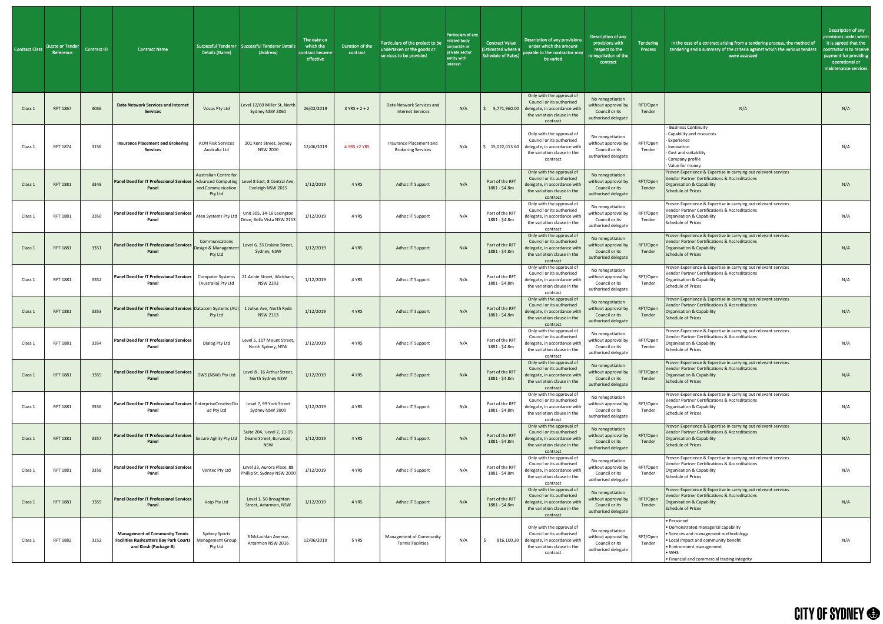| <b>Contract Class</b> | <b>Quote or Tender</b><br>Reference | Contract ID | <b>Contract Name</b>                                                                                            | Details (Name)                                               | Successful Tenderer   Successful Tenderer Detail:<br>(Address)    | The date on<br>which the<br>contract became<br>effective | Duration of the<br>contract | Particulars of the project to be<br>undertaken or the goods or<br>services to be provided | Particulars of any<br>related body<br>corporate or<br>private sector<br>entity with<br>interest | <b>Contract Value</b><br>(Estimated where a<br><b>Schedule of Rates)</b> | Description of any provisions<br>under which the amount<br>payable to the contractor may<br>be varied                                        | Description of any<br>provisions with<br>respect to the<br>renegotiation of the<br>contract | Tendering<br>Process | In the case of a contract arising from a tendering process, the method of<br>tendering and a summary of the criteria against which the various tenders<br>were assessed                                                           | Description of any<br>provisions under which<br>it is agreed that the<br>contractor is to receive<br>payment for providing<br>operational or<br>maintenance services |
|-----------------------|-------------------------------------|-------------|-----------------------------------------------------------------------------------------------------------------|--------------------------------------------------------------|-------------------------------------------------------------------|----------------------------------------------------------|-----------------------------|-------------------------------------------------------------------------------------------|-------------------------------------------------------------------------------------------------|--------------------------------------------------------------------------|----------------------------------------------------------------------------------------------------------------------------------------------|---------------------------------------------------------------------------------------------|----------------------|-----------------------------------------------------------------------------------------------------------------------------------------------------------------------------------------------------------------------------------|----------------------------------------------------------------------------------------------------------------------------------------------------------------------|
| Class 1               | RFT 1867                            | 3036        | <b>Data Network Services and Internet</b><br><b>Services</b>                                                    | Vocus Pty Ltd                                                | Level 12/60 Miller St, North<br>Sydney NSW 2060                   | 26/02/2019                                               | $3 YRS + 2 + 2$             | Data Network Services and<br><b>Internet Services</b>                                     | N/A                                                                                             | 5,771,960.00                                                             | Only with the approval of<br>Council or its authorised<br>delegate, in accordance with<br>the variation clause in the<br>contract            | No renegotiation<br>without approval by<br>Council or its<br>authorised delegate            | RFT/Open<br>Tender   | N/A                                                                                                                                                                                                                               | N/A                                                                                                                                                                  |
| Class 1               | RFT 1874                            | 3156        | <b>Insurance Placement and Brokering</b><br><b>Services</b>                                                     | <b>AON Risk Services</b><br>Australia Ltd                    | 201 Kent Street, Sydney<br><b>NSW 2000</b>                        | 12/06/2019                                               | 4 YRS +2 YRS                | Insurance Placement and<br><b>Brokering Services</b>                                      | N/A                                                                                             | 15,022,013.60                                                            | Only with the approval of<br>Council or its authorised<br>delegate, in accordance with<br>the variation clause in the<br>contract            | No renegotiation<br>without approval by<br>Council or its<br>authorised delegate            | RFT/Open<br>Tender   | <b>Business Continuity</b><br>Capability and resources<br>- Experience<br>Innovation<br>- Cost and suitability<br>- Company profile<br>- Value for money                                                                          | N/A                                                                                                                                                                  |
| Class 1               | <b>RFT 1881</b>                     | 3349        | <b>Panel Deed for IT Professional Services   Advanced Computing</b><br>Panel                                    | <b>Australian Centre for</b><br>and Communication<br>Pty Ltd | Level 8 East, 8 Central Ave,<br>Eveleigh NSW 2015                 | 1/12/2019                                                | 4 YRS                       | <b>Adhoc IT Support</b>                                                                   | N/A                                                                                             | Part of the RFT<br>1881 - \$4.8m                                         | Only with the approval of<br>Council or its authorised<br>delegate, in accordance with<br>the variation clause in the<br>contract            | No renegotiation<br>without approval by<br>Council or its<br>authorised delegate            | RFT/Open<br>Tender   | Proven Experience & Expertise in carrying out relevant services<br>Vendor Partner Certifications & Accreditations<br><b>Organisation &amp; Capability</b><br><b>Schedule of Prices</b>                                            | N/A                                                                                                                                                                  |
| Class 1               | RFT 1881                            | 3350        | Panel Deed for IT Professional Services   Aten Systems Pty Ltd  <br>Panel                                       |                                                              | Unit 305, 14-16 Lexington<br>Drive, Bella Vista NSW 2153          | 1/12/2019                                                | 4 YRS                       | Adhoc IT Support                                                                          | N/A                                                                                             | Part of the RFT<br>1881 - \$4.8m                                         | Only with the approval of<br>Council or its authorised<br>delegate, in accordance with<br>the variation clause in the<br>contract            | No renegotiation<br>without approval by<br>Council or its<br>authorised delegate            | RFT/Open<br>Tender   | Proven Experience & Expertise in carrying out relevant services<br>Vendor Partner Certifications & Accreditations<br>Organisation & Capability<br><b>Schedule of Prices</b>                                                       | N/A                                                                                                                                                                  |
| Class 1               | RFT 1881                            |             | <b>Panel Deed for IT Professional Services</b><br>Design & Management<br>Panel                                  | Communications<br>Pty Ltd                                    | Level 6, 33 Erskine Street,<br>Sydney, NSW                        | 1/12/2019                                                | <b>Example 4 YRS</b>        | Adhoc IT Support                                                                          | N/A                                                                                             | Part of the RFT<br>1881 - \$4.8m                                         | Only with the approval of<br>Council or its authorised<br>delegate, in accordance with<br>the variation clause in the<br>contract            | No renegotiation<br>without approval by<br>Council or its<br>authorised delegate            | RFT/Open<br>Tender   | Proven Experience & Expertise in carrying out relevant services<br>Vendor Partner Certifications & Accreditations<br>Organisation & Capability<br><b>Schedule of Prices</b>                                                       | N/A                                                                                                                                                                  |
| Class 1               | RFT 1881                            | 3352        | Panel Deed for IT Professional Services<br>Panel                                                                | Computer Systems<br>(Australia) Pty Ltd                      | 21 Annie Street. Wickham.<br><b>NSW 2293</b>                      | 1/12/2019                                                | 4 YRS                       | Adhoc IT Support                                                                          | N/A                                                                                             | Part of the RFT<br>1881 - \$4.8m                                         | Only with the approval of<br>Council or its authorised<br>delegate, in accordance with<br>the variation clause in the<br>contract            | No renegotiation<br>without approval by<br>Council or its<br>authorised delegate            | RFT/Open<br>Tender   | Proven Experience & Expertise in carrying out relevant services<br>Vendor Partner Certifications & Accreditations<br>Organisation & Capability<br><b>Schedule of Prices</b>                                                       | N/A                                                                                                                                                                  |
| Class:                | RFT 1881                            | 3353        | Panel Deed for IT Professional Services Datacom Systems (AU)<br>Panel                                           | Pty Ltd                                                      | 1 Julius Ave, North Ryde<br><b>NSW 2113</b>                       | 1/12/2019                                                | 4 YRS                       | <b>Adhoc IT Support</b>                                                                   | N/A                                                                                             | Part of the RFT<br>1881 - \$4.8m                                         | Only with the approval of<br>Council or its authorised<br>delegate, in accordance with<br>the variation clause in the<br>contract            | No renegotiation<br>without approval by<br>Council or its<br>authorised delegate            | RFT/Open<br>Tender   | Proven Experience & Expertise in carrying out relevant services<br><b>Vendor Partner Certifications &amp; Accreditations</b><br><b>Organisation &amp; Capability</b><br><b>Schedule of Prices</b>                                 | N/A                                                                                                                                                                  |
| Class 1               | RFT 1881                            | 3354        | <b>Panel Deed for IT Professional Services</b><br>Panel                                                         | Dialog Pty Ltd                                               | Level 5, 107 Mount Street,<br>North Sydney, NSW                   | 1/12/2019                                                | 4 YRS                       | Adhoc IT Support                                                                          | N/A                                                                                             | Part of the RFT<br>1881 - \$4.8m                                         | Only with the approval of<br>Council or its authorised<br>delegate, in accordance with<br>the variation clause in the<br>contract            | No renegotiation<br>without approval by<br>Council or its<br>authorised delegate            | RFT/Open<br>Tender   | Proven Experience & Expertise in carrying out relevant services<br>Vendor Partner Certifications & Accreditations<br>Organisation & Capability<br><b>Schedule of Prices</b>                                                       | N/A                                                                                                                                                                  |
| Class:                | RFT 1881                            | 3355        | <b>Panel Deed for IT Professional Services</b><br>Panel                                                         | DWS (NSW) Pty Ltd                                            | Level 8, 16 Arthur Street,<br>North Sydney NSW                    | 1/12/2019                                                | 4 YRS                       | <b>Adhoc IT Support</b>                                                                   | N/A                                                                                             | Part of the RFT<br>1881 - \$4.8m                                         | Only with the approval of<br>Council or its authorised<br>delegate, in accordance with<br>the variation clause in the<br>contract            | No renegotiation<br>without approval by<br>Council or its<br>authorised delegate            | RFT/Open<br>Tender   | Proven Experience & Expertise in carrying out relevant services<br><b>Vendor Partner Certifications &amp; Accreditations</b><br><b>Organisation &amp; Capability</b><br><b>Schedule of Prices</b>                                 | N/A                                                                                                                                                                  |
| Class:                | RFT 1881                            | 3356        | Panel Deed for IT Professional Services   EnterpriseCreativeClo<br>Panel                                        | ud Pty Ltd                                                   | Level 7, 99 York Street<br>Sydney NSW 2000                        | 1/12/2019                                                | 4 YRS                       | Adhoc IT Support                                                                          | N/A                                                                                             | Part of the RFT<br>1881 - \$4.8m                                         | Only with the approval of<br>Council or its authorised<br>delegate, in accordance with<br>the variation clause in the<br>contract            | No renegotiation<br>without approval by<br>Council or its<br>authorised delegate            | RFT/Open<br>Tender   | Proven Experience & Expertise in carrying out relevant services<br><b>Vendor Partner Certifications &amp; Accreditations</b><br>Organisation & Capability<br><b>Schedule of Prices</b>                                            | N/A                                                                                                                                                                  |
| Class 1               | RFT 1881                            | 3357        | <b>Panel Deed for IT Professional Services</b> Secure Agility Pty Ltd<br>Panel                                  |                                                              | Suite 204, Level 2, 11-15<br>Deane Street, Burwood,<br><b>NSW</b> | 1/12/2019                                                | 4 YRS                       | <b>Adhoc IT Support</b>                                                                   | N/A                                                                                             | Part of the RFT<br>1881 - \$4.8m                                         | Only with the approval of<br>Council or its authorised<br>delegate, in accordance with<br>the variation clause in the<br>contract            | No renegotiation<br>without approval by<br>Council or its<br>authorised delegate            | RFT/Open<br>Tender   | Proven Experience & Expertise in carrying out relevant services<br><b>Vendor Partner Certifications &amp; Accreditations</b><br><b>Organisation &amp; Capability</b><br><b>Schedule of Prices</b>                                 | N/A                                                                                                                                                                  |
| Class 1               | RFT 1881                            | 3358        | Panel Deed for IT Professional Services<br>Panel                                                                | Veritec Pty Ltd                                              | Level 33, Aurora Place, 88<br>Phillip St, Sydney NSW 2000         | 1/12/2019                                                | 4 YRS                       | Adhoc IT Support                                                                          | N/A                                                                                             | Part of the RFT<br>1881 - \$4.8m                                         | Only with the approval of<br>Council or its authorised<br>delegate, in accordance with<br>the variation clause in the<br>contract            | No renegotiation<br>without approval by<br>Council or its<br>authorised delegate            | RFT/Open<br>Tender   | Proven Experience & Expertise in carrying out relevant services<br>Vendor Partner Certifications & Accreditations<br>Organisation & Capability<br><b>Schedule of Prices</b>                                                       | N/A                                                                                                                                                                  |
| Class 1               | RFT 1881                            | 3359        | <b>Panel Deed for IT Professional Services</b><br>Panel                                                         | Voip Pty Ltd                                                 | Level 1, 50 Broughton<br>Street, Artarmon, NSW                    | 1/12/2019                                                | 4 YRS                       | <b>Adhoc IT Support</b>                                                                   | N/A                                                                                             | Part of the RFT<br>1881 - \$4.8m                                         | Only with the approval of<br>Council or its authorised<br>delegate, in accordance with<br>the variation clause in the<br>contract            | No renegotiation<br>without approval by<br>Council or its<br>authorised delegate            | RFT/Open<br>Tender   | Proven Experience & Expertise in carrying out relevant services<br>Vendor Partner Certifications & Accreditations<br>Organisation & Capability<br><b>Schedule of Prices</b>                                                       | N/A                                                                                                                                                                  |
| Class 1               | RFT 1882                            | 3152        | <b>Management of Community Tennis</b><br><b>Facilities Rushcutters Bay Park Courts</b><br>and Kiosk (Package B) | <b>Sydney Sports</b><br>Management Group<br>Pty Ltd          | 3 McLachlan Avenue,<br>Artarmon NSW 2016                          | 12/06/2019                                               | 5 YRS                       | Management of Community<br><b>Tennis Facilities</b>                                       | N/A                                                                                             |                                                                          | Only with the approval of<br>Council or its authorised<br>816,100.20 delegate, in accordance with<br>the variation clause in the<br>contract | No renegotiation<br>without approval by<br>Council or its<br>authorised delegate            | RFT/Open<br>Tender   | • Personnel<br>• Demonstrated managerial capability<br>• Services and management methodology<br>. Local impact and community benefit<br>• Environment management<br>$\bullet$ WHS<br>• Financial and commercial trading integrity | N/A                                                                                                                                                                  |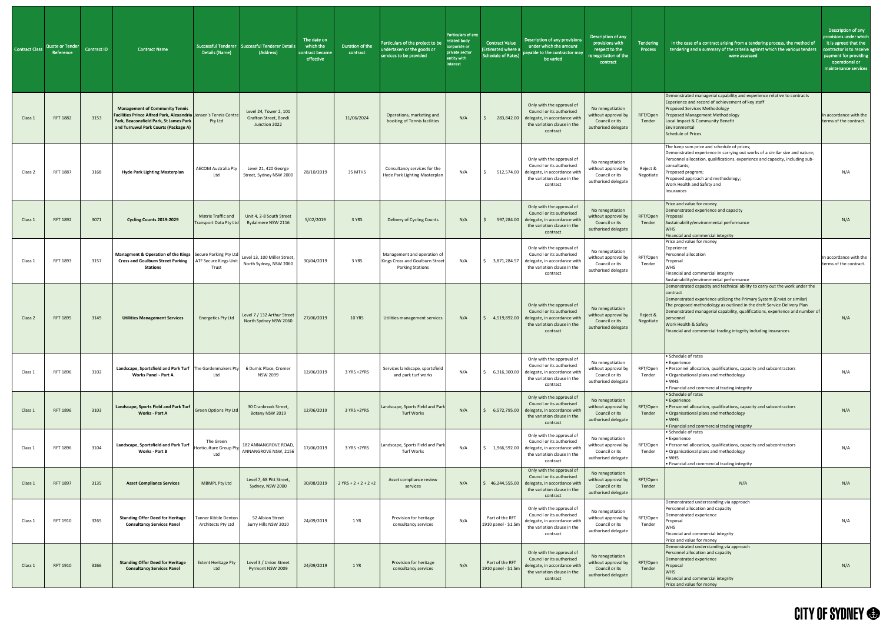| Contract Class | <b>Quote or Tender</b><br>Reference | <b>Contract ID</b> | <b>Contract Name</b>                                                                                                                                                                        | Details (Name)                                      | Successful Tenderer   Successful Tenderer Detail<br>(Address)           | The date on<br>which the<br>contract became<br>effective | Duration of the<br>contract | Particulars of the project to be<br>undertaken or the goods or<br>services to be provided | Particulars of any<br>related body<br>corporate or<br>private sector<br>entity with<br>interest | <b>Contract Value</b><br>(Estimated where a<br><b>Schedule of Rates)</b> | Description of any provisions<br>under which the amount<br>payable to the contractor may<br>be varied                                           | Description of any<br>provisions with<br>respect to the<br>enegotiation of the<br>contract | Tendering<br>Process  | In the case of a contract arising from a tendering process, the method of<br>tendering and a summary of the criteria against which the various tenders<br>were assessed                                                                                                                                                                                                                                                                | Description of any<br>provisions under which<br>it is agreed that the<br>contractor is to receive<br>payment for providing<br>operational or<br>maintenance services |
|----------------|-------------------------------------|--------------------|---------------------------------------------------------------------------------------------------------------------------------------------------------------------------------------------|-----------------------------------------------------|-------------------------------------------------------------------------|----------------------------------------------------------|-----------------------------|-------------------------------------------------------------------------------------------|-------------------------------------------------------------------------------------------------|--------------------------------------------------------------------------|-------------------------------------------------------------------------------------------------------------------------------------------------|--------------------------------------------------------------------------------------------|-----------------------|----------------------------------------------------------------------------------------------------------------------------------------------------------------------------------------------------------------------------------------------------------------------------------------------------------------------------------------------------------------------------------------------------------------------------------------|----------------------------------------------------------------------------------------------------------------------------------------------------------------------|
| Class 1        | <b>RFT 1882</b>                     | 3153               | <b>Management of Community Tennis</b><br>Facilities Prince Alfred Park, Alexandria Jensen's Tennis Centre<br>Park, Beaconsfield Park, St James Park<br>and Turruwul Park Courts (Package A) | Pty Ltd                                             | Level 24, Tower 2, 101<br><b>Grafton Street, Bondi</b><br>Junction 2022 |                                                          | 11/06/2024                  | Operations, marketing and<br>booking of Tennis facilities                                 | N/A                                                                                             | 283,842.00                                                               | Only with the approval of<br>Council or its authorised<br>delegate, in accordance with<br>the variation clause in the<br>contract               | No renegotiation<br>without approval by<br>Council or its<br>authorised delegate           | RFT/Open<br>Tender    | Demonstrated managerial capability and experience relative to contracts<br>Experience and record of achievement of key staff<br><b>Proposed Services Methodology</b><br>Proposed Management Methodology<br>Local Impact & Community Benefit<br>Environmental<br><b>Schedule of Prices</b>                                                                                                                                              | In accordance with the<br>terms of the contract.                                                                                                                     |
| Class 2        | RFT 1887                            | 3168               | <b>Hyde Park Lighting Masterplan</b>                                                                                                                                                        | <b>AECOM Australia Pty</b><br>Ltd                   | Level 21, 420 George<br>Street, Sydney NSW 2000                         | 28/10/2019                                               | 35 MTHS                     | Consultancy services for the<br>Hyde Park Lighting Masterplan                             | N/A                                                                                             | 512,574.00                                                               | Only with the approval of<br>Council or its authorised<br>delegate, in accordance with<br>the variation clause in the<br>contract               | No renegotiation<br>without approval by<br>Council or its<br>authorised delegate           | Reject &<br>Negotiate | The lump sum price and schedule of prices;<br>Demonstrated experience in carrying out works of a similar size and nature;<br>Personnel allocation, qualifications, experience and capacity, including sub-<br>consultants;<br>Proposed program;<br>Proposed approach and methodology;<br>Work Health and Safety and<br>Insurances                                                                                                      | N/A                                                                                                                                                                  |
| Class 1        | <b>RFT 1892</b>                     | 3071               | Cycling Counts 2019-2029                                                                                                                                                                    | <b>Matrix Traffic and</b><br>Transport Data Pty Ltd | Unit 4, 2-8 South Street<br>Rydalmere NSW 2116                          | 5/02/2019                                                | 3 YRS                       | Delivery of Cycling Counts                                                                | N/A                                                                                             |                                                                          | Only with the approval of<br>Council or its authorised<br>597,284.00 delegate, in accordance with<br>the variation clause in the<br>contract    | No renegotiation<br>without approval by<br>Council or its<br>authorised delegate           | RFT/Open<br>Tender    | Price and value for money<br>Demonstrated experience and capacity<br>Proposal<br>Sustainability/environmental performance<br><b>WHS</b><br>Financial and commercial integrity                                                                                                                                                                                                                                                          | N/A                                                                                                                                                                  |
| Class 1        | RFT 1893                            | 3157               | Managment & Operation of the Kings   Secure Parking Pty Ltd  <br>Cross and Goulburn Street Parking   ATF Secure Kings Unit<br><b>Stations</b>                                               | Trust                                               | Level 13, 100 Miller Street,<br>North Sydney, NSW 2060                  | 30/04/2019                                               | 3 YRS                       | Management and operation of<br>Kings Cross and Goulburn Street<br><b>Parking Stations</b> | N/A                                                                                             | 3,871,284.57                                                             | Only with the approval of<br>Council or its authorised<br>delegate, in accordance wit<br>the variation clause in the<br>contract                | No renegotiation<br>without approval by<br>Council or its<br>authorised delegate           | RFT/Open<br>Tender    | Price and value for money<br>Experience<br>Personnel allocation<br>Proposal<br><b>WHS</b><br>Financial and commercial integrity<br>Sustainability/environmental performance                                                                                                                                                                                                                                                            | In accordance with the<br>terms of the contract.                                                                                                                     |
| Class 2        | <b>RFT 1895</b>                     | 3149               | <b>Utilities Management Services</b>                                                                                                                                                        | <b>Energetics Pty Ltd</b>                           | Level 7 / 132 Arthur Street<br>North Sydney NSW 2060                    | 27/06/2019                                               | <b>10 YRS</b>               | Utilities management services                                                             | N/A                                                                                             | 4,519,892.00                                                             | Only with the approval of<br>Council or its authorised<br>delegate, in accordance with<br>the variation clause in the<br>contract               | No renegotiation<br>without approval by<br>Council or its<br>authorised delegate           | Reject &<br>Negotiate | Demonstrated capacity and technical ability to carry out the work under the<br>contract<br>Demonstrated experience utilizing the Primary System (Envizi or similar)<br>The proposed methodology as outlined in the draft Service Delivery Plan<br>Demonstrated managerial capability, qualifications, experience and number of<br>personnel<br>Work Health & Safety<br>Financial and commercial trading integrity including insurances | N/A                                                                                                                                                                  |
| Class 1        | RFT 1896                            | 3102               | Landscape, Sportsfield and Park Turf   The Gardenmakers Pty<br><b>Works Panel - Part A</b>                                                                                                  | Ltd                                                 | 6 Dumic Place, Cromer<br><b>NSW 2099</b>                                | 12/06/2019                                               | 3 YRS +2YRS                 | Services landscape, sportsfield<br>and park turf works                                    | N/A                                                                                             | 6,316,300.00                                                             | Only with the approval of<br>Council or its authorised<br>delegate, in accordance with<br>the variation clause in the<br>contract               | No renegotiation<br>without approval by<br>Council or its<br>authorised delegate           | RFT/Open<br>Tender    | • Schedule of rates<br>• Experience<br>• Personnel allocation, qualifications, capacity and subcontractors<br>• Organisational plans and methodology<br>$\bullet$ WHS<br>. Financial and commercial trading integrity                                                                                                                                                                                                                  | N/A                                                                                                                                                                  |
| Class 1        | <b>RFT 1896</b>                     | 3103               | Landscape, Sports Field and Park Turf  <br><b>Works - Part A</b>                                                                                                                            | <b>Green Options Pty Ltd</b>                        | 30 Cranbrook Street,<br>Botany NSW 2019                                 | 12/06/2019                                               | 3 YRS +2YRS                 | Landscape, Sports Field and Park<br><b>Turf Works</b>                                     | N/A                                                                                             | 6,572,795.00                                                             | Only with the approval of<br>Council or its authorised<br>delegate, in accordance with<br>the variation clause in the<br>contract               | No renegotiation<br>without approval by<br>Council or its<br>authorised delegate           | RFT/Open<br>Tender    | • Schedule of rates<br>• Experience<br>• Personnel allocation, qualifications, capacity and subcontractors<br>• Organisational plans and methodology<br>$\bullet$ WHS<br>• Financial and commercial trading integrity                                                                                                                                                                                                                  | N/A                                                                                                                                                                  |
| Class 1        | RFT 1896                            | 3104               | Landscape, Sportsfield and Park Turf<br>Works - Part B                                                                                                                                      | The Green<br>Horticulture Group Pty<br>Ltd          | 182 ANNANGROVE ROAD,<br>ANNANGROVE NSW, 2156                            | 17/06/2019                                               | 3 YRS +2YRS                 | Landscape, Sports Field and Park<br>Turf Works                                            | N/A                                                                                             | 1,966,592.00                                                             | Only with the approval of<br>Council or its authorised<br>delegate, in accordance with<br>the variation clause in the<br>contract               | No renegotiation<br>without approval by<br>Council or its<br>authorised delegate           | RFT/Open<br>Tender    | • Schedule of rates<br>• Experience<br>· Personnel allocation, qualifications, capacity and subcontractors<br>• Organisational plans and methodology<br>$\bullet$ WHS<br>. Financial and commercial trading integrity                                                                                                                                                                                                                  | N/A                                                                                                                                                                  |
| Class 1        | <b>RFT 1897</b>                     | 3135               | <b>Asset Compliance Services</b>                                                                                                                                                            | <b>MBMPL Pty Ltd</b>                                | Level 7, 68 Pitt Street,<br>Sydney, NSW 2000                            | 30/08/2019                                               | $2 YRS + 2 + 2 + 2 + 2$     | Asset compliance review<br>services                                                       | N/A                                                                                             |                                                                          | Only with the approval of<br>Council or its authorised<br>46,244,555.00 delegate, in accordance with<br>the variation clause in the<br>contract | No renegotiation<br>without approval by<br>Council or its<br>authorised delegate           | RFT/Open<br>Tender    | N/A                                                                                                                                                                                                                                                                                                                                                                                                                                    | N/A                                                                                                                                                                  |
| Class 1        | RFT 1910                            | 3265               | <b>Standing Offer Deed for Heritage</b><br><b>Consultancy Services Panel</b>                                                                                                                | Tanner Kibble Denton<br>Architects Pty Ltd          | 52 Albion Street<br>Surry Hills NSW 2010                                | 24/09/2019                                               | 1 YR                        | Provision for heritage<br>consultancy services                                            | N/A                                                                                             | Part of the RFT<br>1910 panel - \$1.5m                                   | Only with the approval of<br>Council or its authorised<br>delegate, in accordance with<br>the variation clause in the<br>contract               | No renegotiation<br>without approval by<br>Council or its<br>authorised delegate           | RFT/Open<br>Tender    | Demonstrated understanding via approach<br>Personnel allocation and capacity<br>Demonstrated experience<br>Proposal<br><b>WHS</b><br>Financial and commercial integrity<br>Price and value for money                                                                                                                                                                                                                                   | N/A                                                                                                                                                                  |
| Class 1        | RFT 1910                            | 3266               | <b>Standing Offer Deed for Heritage</b><br><b>Consultancy Services Panel</b>                                                                                                                | <b>Extent Heritage Pty</b><br>Ltd                   | Level 3 / Union Street<br>Pyrmont NSW 2009                              | 24/09/2019                                               | 1 YR                        | Provision for heritage<br>consultancy services                                            | N/A                                                                                             | Part of the RFT<br>1910 panel - \$1.5m                                   | Only with the approval of<br>Council or its authorised<br>delegate, in accordance wit<br>the variation clause in the<br>contract                | No renegotiation<br>without approval by<br>Council or its<br>authorised delegate           | RFT/Open<br>Tender    | Demonstrated understanding via approach<br>Personnel allocation and capacity<br>Demonstrated experience<br>Proposal<br><b>WHS</b><br>Financial and commercial integrity<br>Price and value for money                                                                                                                                                                                                                                   | N/A                                                                                                                                                                  |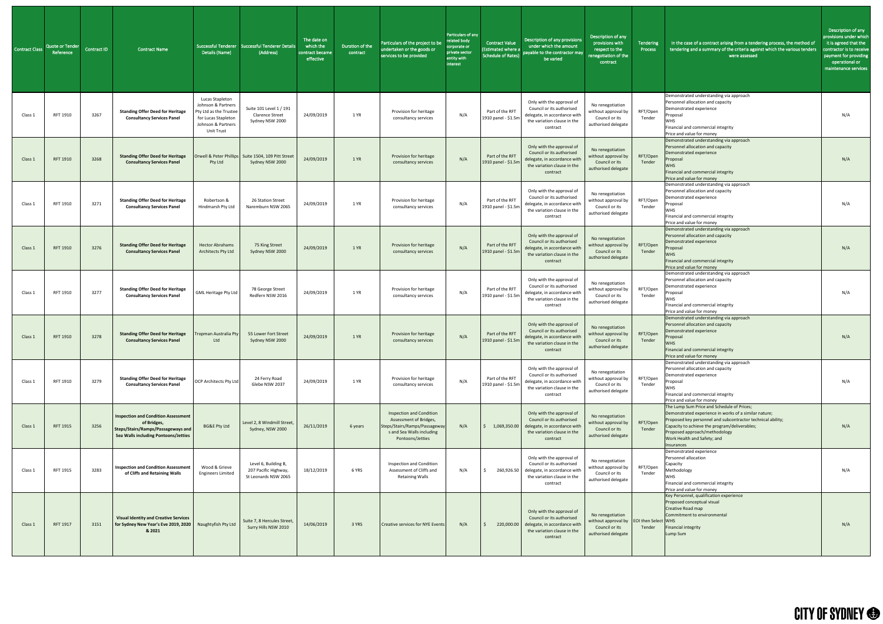| <b>Contract Class</b> | Quote or Tender<br>Reference | <b>Contract ID</b> | <b>Contract Name</b>                                                                                                                    | Details (Name)                                                                                                                    | Successful Tenderer Successful Tenderer Details<br>(Address)           | The date on<br>which the<br>contract became<br>effective | Duration of the<br>contract | Particulars of the project to be<br>undertaken or the goods or<br>services to be provided                                                   | Particulars of any<br>related body<br>corporate or<br>private sector<br>entity with<br>interest | <b>Contract Value</b><br><b>Estimated where a</b><br>Schedule of Rates) | Description of any provisions<br>under which the amount<br>payable to the contractor may<br>be varied                                        | Description of any<br>provisions with<br>respect to the<br>renegotiation of the<br>contract                  | Tendering<br>Process | In the case of a contract arising from a tendering process, the method of<br>tendering and a summary of the criteria against which the various tenders<br>were assessed                                                                                                                                  | Description of any<br>provisions under which<br>it is agreed that the<br>contractor is to receive<br>payment for providing<br>operational or<br>maintenance services |
|-----------------------|------------------------------|--------------------|-----------------------------------------------------------------------------------------------------------------------------------------|-----------------------------------------------------------------------------------------------------------------------------------|------------------------------------------------------------------------|----------------------------------------------------------|-----------------------------|---------------------------------------------------------------------------------------------------------------------------------------------|-------------------------------------------------------------------------------------------------|-------------------------------------------------------------------------|----------------------------------------------------------------------------------------------------------------------------------------------|--------------------------------------------------------------------------------------------------------------|----------------------|----------------------------------------------------------------------------------------------------------------------------------------------------------------------------------------------------------------------------------------------------------------------------------------------------------|----------------------------------------------------------------------------------------------------------------------------------------------------------------------|
| Class 1               | RFT 1910                     | 3267               | <b>Standing Offer Deed for Heritage</b><br><b>Consultancy Services Panel</b>                                                            | Lucas Stapleton<br>Johnson & Partners<br>Pty Ltd as the Trustee<br>for Lucas Stapleton<br>Johnson & Partners<br><b>Unit Trust</b> | Suite 101 Level 1 / 191<br><b>Clarence Street</b><br>Sydney NSW 2000   | 24/09/2019                                               | 1 YR                        | Provision for heritage<br>consultancy services                                                                                              | N/A                                                                                             | Part of the RFT<br>1910 panel - \$1.5m                                  | Only with the approval of<br>Council or its authorised<br>delegate, in accordance with<br>the variation clause in the<br>contract            | No renegotiation<br>without approval by<br>Council or its<br>authorised delegate                             | RFT/Open<br>Tender   | Demonstrated understanding via approach<br>Personnel allocation and capacity<br>Demonstrated experience<br>Proposal<br><b>WHS</b><br>Financial and commercial integrity<br>Price and value for money                                                                                                     | N/A                                                                                                                                                                  |
| Class 1               | RFT 1910                     | 3268               | <b>Standing Offer Deed for Heritage</b><br><b>Consultancy Services Panel</b>                                                            | Pty Ltd                                                                                                                           | Orwell & Peter Phillips Suite 1504, 109 Pitt Street<br>Sydney NSW 2000 | 24/09/2019                                               | 1 YR                        | Provision for heritage<br>consultancy services                                                                                              | N/A                                                                                             | Part of the RFT<br>1910 panel - \$1.5m                                  | Only with the approval of<br>Council or its authorised<br>delegate, in accordance with<br>the variation clause in the<br>contract            | No renegotiation<br>without approval by<br>Council or its<br>authorised delegate                             | RFT/Open<br>Tender   | Demonstrated understanding via approach<br>Personnel allocation and capacity<br>Demonstrated experience<br>Proposal<br><b>WHS</b><br>Financial and commercial integrity<br>Price and value for money                                                                                                     | N/A                                                                                                                                                                  |
| Class 1               | RFT 1910                     | 3271               | <b>Standing Offer Deed for Heritage</b><br><b>Consultancy Services Panel</b>                                                            | Robertson &<br>Hindmarsh Pty Ltd                                                                                                  | 26 Station Street<br>Naremburn NSW 2065                                | 24/09/2019                                               | 1 YR                        | Provision for heritage<br>consultancy services                                                                                              | N/A                                                                                             | Part of the RFT<br>1910 panel - \$1.5m                                  | Only with the approval of<br>Council or its authorised<br>delegate, in accordance with<br>the variation clause in the<br>contract            | No renegotiation<br>without approval by<br>Council or its<br>authorised delegate                             | RFT/Open<br>Tender   | Demonstrated understanding via approach<br>Personnel allocation and capacity<br>Demonstrated experience<br>Proposal<br><b>WHS</b><br>Financial and commercial integrity<br>Price and value for money                                                                                                     | N/A                                                                                                                                                                  |
| Class 1               | RFT 1910                     | 3276               | <b>Standing Offer Deed for Heritage</b><br><b>Consultancy Services Panel</b>                                                            | <b>Hector Abrahams</b><br>Architects Pty Ltd                                                                                      | 75 King Street<br>Sydney NSW 2000                                      | 24/09/2019                                               | 1 YR                        | Provision for heritage<br>consultancy services                                                                                              | N/A                                                                                             | Part of the RFT<br>1910 panel - \$1.5m                                  | Only with the approval of<br>Council or its authorised<br>delegate, in accordance with<br>the variation clause in the<br>contract            | No renegotiation<br>without approval by<br>Council or its<br>authorised delegate                             | RFT/Open<br>Tender   | Demonstrated understanding via approach<br>Personnel allocation and capacity<br>Demonstrated experience<br>Proposal<br><b>WHS</b><br>Financial and commercial integrity<br>Price and value for money                                                                                                     | N/A                                                                                                                                                                  |
| Class 1               | RFT 1910                     | 3277               | <b>Standing Offer Deed for Heritage</b><br><b>Consultancy Services Panel</b>                                                            | <b>GML Heritage Pty Ltd</b>                                                                                                       | 78 George Street<br>Redfern NSW 2016                                   | 24/09/2019                                               | 1 YR                        | Provision for heritage<br>consultancy services                                                                                              | N/A                                                                                             | Part of the RFT<br>1910 panel - \$1.5m                                  | Only with the approval of<br>Council or its authorised<br>delegate, in accordance with<br>the variation clause in the<br>contract            | No renegotiation<br>without approval by<br>Council or its<br>authorised delegate                             | RFT/Open<br>Tender   | Demonstrated understanding via approach<br>Personnel allocation and capacity<br>Demonstrated experience<br>Proposal<br><b>WHS</b><br>Financial and commercial integrity<br>Price and value for money                                                                                                     | N/A                                                                                                                                                                  |
| Class 1               | RFT 1910                     | 3278               | <b>Standing Offer Deed for Heritage</b><br><b>Consultancy Services Panel</b>                                                            | Tropman Australia Pty<br>Ltd                                                                                                      | 55 Lower Fort Street<br>Sydney NSW 2000                                | 24/09/2019                                               | 1 YR                        | Provision for heritage<br>consultancy services                                                                                              | N/A                                                                                             | Part of the RFT<br>1910 panel - \$1.5m                                  | Only with the approval of<br>Council or its authorised<br>delegate, in accordance with<br>the variation clause in the<br>contract            | No renegotiation<br>without approval by<br>Council or its<br>authorised delegate                             | RFT/Open<br>Tender   | Demonstrated understanding via approach<br>Personnel allocation and capacity<br>Demonstrated experience<br>Proposal<br><b>WHS</b><br>Financial and commercial integrity<br>Price and value for money                                                                                                     | N/A                                                                                                                                                                  |
| Class 1               | RFT 1910                     | 3279               | <b>Standing Offer Deed for Heritage</b><br><b>Consultancy Services Panel</b>                                                            | OCP Architects Pty Ltd                                                                                                            | 24 Ferry Road<br>Glebe NSW 2037                                        | 24/09/2019                                               | 1 YR                        | Provision for heritage<br>consultancy services                                                                                              | N/A                                                                                             | Part of the RFT<br>1910 panel - \$1.5m                                  | Only with the approval of<br>Council or its authorised<br>delegate, in accordance with<br>the variation clause in the<br>contract            | No renegotiation<br>without approval by<br>Council or its<br>authorised delegate                             | RFT/Open<br>Tender   | Demonstrated understanding via approach<br>Personnel allocation and capacity<br>Demonstrated experience<br>Proposal<br><b>WHS</b><br>Financial and commercial integrity<br>Price and value for money                                                                                                     | N/A                                                                                                                                                                  |
| Class 1               | RFT 1915                     | 3256               | <b>Inspection and Condition Assessment</b><br>of Bridges,<br>Steps/Stairs/Ramps/Passageways and<br>Sea Walls including Pontoons/Jetties | <b>BG&amp;E Pty Ltd</b>                                                                                                           | Level 2, 8 Windmill Street,<br>Sydney, NSW 2000                        | 26/11/2019                                               | 6 years                     | <b>Inspection and Condition</b><br>Assessment of Bridges,<br>Steps/Stairs/Ramps/Passageway<br>s and Sea Walls including<br>Pontoons/Jetties | N/A                                                                                             | 1,069,350.00                                                            | Only with the approval of<br>Council or its authorised<br>delegate, in accordance with<br>the variation clause in the<br>contract            | No renegotiation<br>without approval by<br>Council or its<br>authorised delegate                             | RFT/Open<br>Tender   | The Lump Sum Price and Schedule of Prices;<br>Demonstrated experience in works of a similar nature;<br>Proposed key personnel and subcontractor technical ability;<br>Capacity to achieve the program/deliverables;<br>Proposed approach/methodology<br>Work Health and Safety; and<br><b>Insurances</b> | N/A                                                                                                                                                                  |
| Class 1               | RFT 1915                     | 3283               | <b>Inspection and Condition Assessment</b><br>of Cliffs and Retaining Walls                                                             | Wood & Grieve<br><b>Engineers Limited</b>                                                                                         | Level 6, Building B,<br>207 Pacific Highway,<br>St Leonards NSW 2065   | 18/12/2019                                               | 6 YRS                       | Inspection and Condition<br>Assessment of Cliffs and<br><b>Retaining Walls</b>                                                              | N/A                                                                                             | 260,926.50                                                              | Only with the approval of<br>Council or its authorised<br>delegate, in accordance with<br>the variation clause in the<br>contract            | No renegotiation<br>without approval by<br>Council or its<br>authorised delegate                             | RFT/Open<br>Tender   | Demonstrated experience<br>Personnel allocation<br>Capacity<br>Methodology<br>WHS<br>Financial and commercial integrity<br>Price and value for money                                                                                                                                                     | N/A                                                                                                                                                                  |
| Class 1               | RFT 1917                     | 3151               | <b>Visual Identity and Creative Services</b><br>for Sydney New Year's Eve 2019, 2020   Naughtyfish Pty Ltd<br>& 2021                    |                                                                                                                                   | Suite 7, 8 Hercules Street,<br>Surry Hills NSW 2010                    | 14/06/2019                                               | 3 YRS                       | Creative services for NYE Events                                                                                                            | N/A                                                                                             |                                                                         | Only with the approval of<br>Council or its authorised<br>220,000.00 delegate, in accordance with<br>the variation clause in the<br>contract | No renegotiation<br>without approval by $\vert$ EOI then Select WHS<br>Council or its<br>authorised delegate | Tender               | Key Personnel, qualification experience<br>Proposed conceptual visual<br>Creative Road map<br>Commitment to environmental<br>Financial integrity<br>Lump Sum                                                                                                                                             | N/A                                                                                                                                                                  |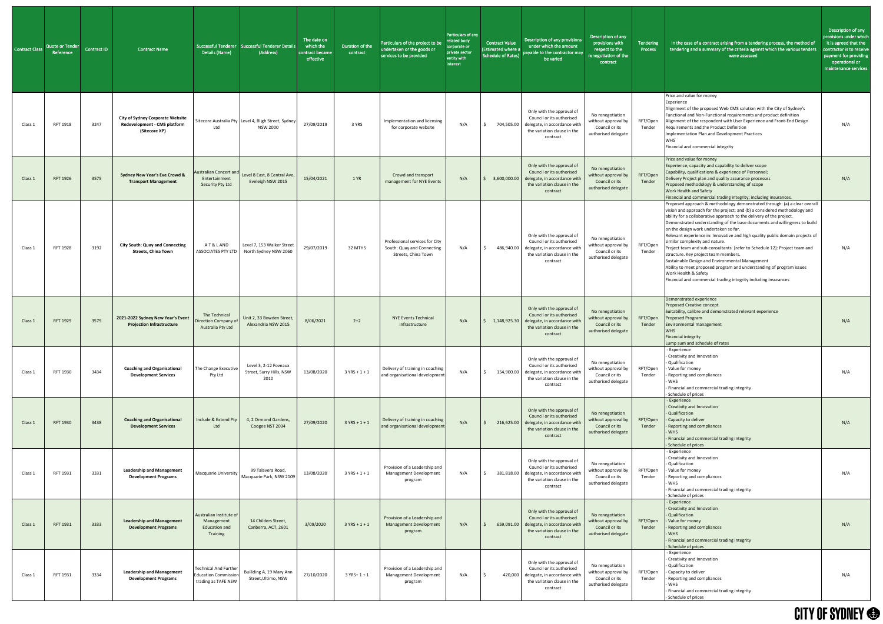| Contract Class | <b>Quote or Tender</b><br>Reference | <b>Contract ID</b> | <b>Contract Name</b>                                                                     | Details (Name)                                                                     | Successful Tenderer Successful Tenderer Details<br>(Address)                         | The date on<br>which the<br>contract became<br>effective | Duration of the<br>contract | Particulars of the project to be<br>undertaken or the goods or<br>services to be provided | Particulars of any<br>related body<br>corporate or<br>private sector<br>entity with<br>interest | <b>Contract Value</b><br>(Estimated where a<br><b>Schedule of Rates)</b> | Description of any provisions<br>under which the amount<br>payable to the contractor may<br>be varied                                        | Description of any<br>provisions with<br>respect to the<br>enegotiation of the<br>contract | Tendering<br>Process | In the case of a contract arising from a tendering process, the method of<br>tendering and a summary of the criteria against which the various tenders<br>were assessed                                                                                                                                                                                                                                                                                                                                                                                                                                                                                                                                                                                                                                             | Description of any<br>provisions under which<br>it is agreed that the<br>contractor is to receive<br>payment for providing<br>operational or<br>maintenance services |
|----------------|-------------------------------------|--------------------|------------------------------------------------------------------------------------------|------------------------------------------------------------------------------------|--------------------------------------------------------------------------------------|----------------------------------------------------------|-----------------------------|-------------------------------------------------------------------------------------------|-------------------------------------------------------------------------------------------------|--------------------------------------------------------------------------|----------------------------------------------------------------------------------------------------------------------------------------------|--------------------------------------------------------------------------------------------|----------------------|---------------------------------------------------------------------------------------------------------------------------------------------------------------------------------------------------------------------------------------------------------------------------------------------------------------------------------------------------------------------------------------------------------------------------------------------------------------------------------------------------------------------------------------------------------------------------------------------------------------------------------------------------------------------------------------------------------------------------------------------------------------------------------------------------------------------|----------------------------------------------------------------------------------------------------------------------------------------------------------------------|
| Class 1        | RFT 1918                            | 3247               | <b>City of Sydney Corporate Website</b><br>Redevelopment - CMS platform<br>(Sitecore XP) | Ltd                                                                                | Sitecore Australia Pty Level 4, Bligh Street, Sydney<br><b>NSW 2000</b>              | 27/09/2019                                               | 3 YRS                       | Implementation and licensing<br>for corporate website                                     | N/A                                                                                             | 704,505.00                                                               | Only with the approval of<br>Council or its authorised<br>delegate, in accordance witl<br>the variation clause in the<br>contract            | No renegotiation<br>without approval by<br>Council or its<br>authorised delegate           | RFT/Open<br>Tender   | Price and value for money<br>Experience<br>Alignment of the proposed Web CMS solution with the City of Sydney's<br>Functional and Non-Functional requirements and product definition<br>Alignment of the respondent with User Experience and Front-End Design<br>Requirements and the Product Definition<br>Implementation Plan and Development Practices<br><b>WHS</b><br>Financial and commercial integrity                                                                                                                                                                                                                                                                                                                                                                                                       | N/A                                                                                                                                                                  |
| Class 1        | <b>RFT 1926</b>                     | 3575               | <b>Sydney New Year's Eve Crowd &amp;</b><br><b>Transport Management</b>                  | <b>Australian Concert and</b><br>Entertainment<br>Security Pty Ltd                 | Level 8 East, 8 Central Ave,<br>Eveleigh NSW 2015                                    | 15/04/2021                                               | 1 YR                        | Crowd and transport<br>management for NYE Events                                          | N/A                                                                                             | 3,600,000.00                                                             | Only with the approval of<br>Council or its authorised<br>delegate, in accordance wit<br>the variation clause in the<br>contract             | No renegotiation<br>without approval by<br>Council or its<br>authorised delegate           | RFT/Open<br>Tender   | Price and value for money<br>Experience, capacity and capability to deliver scope<br>Capability, qualifications & experience of Personnel;<br>Delivery Project plan and quality assurance processes<br>Proposed methodology & understanding of scope<br>Work Health and Safety<br>Financial and commercial trading integrity; including insurances.                                                                                                                                                                                                                                                                                                                                                                                                                                                                 | N/A                                                                                                                                                                  |
| Class 1        | RFT 1928                            | 3192               | <b>City South: Quay and Connecting</b><br><b>Streets, China Town</b>                     |                                                                                    | A T & L AND   Level 7, 153 Walker Street<br>ASSOCIATES PTY LTD North Sydney NSW 2060 | 29/07/2019                                               | 32 MTHS                     | Professional services for City<br>South: Quay and Connecting<br>Streets, China Town       | N/A                                                                                             |                                                                          | Only with the approval of<br>Council or its authorised<br>486,940.00 delegate, in accordance with<br>the variation clause in the<br>contract | No renegotiation<br>without approval by<br>Council or its<br>authorised delegate           | RFT/Open<br>Tender   | Proposed approach & methodology demonstrated through: (a) a clear overall<br>vision and approach for the project; and (b) a considered methodology and<br>ability for a collaborative approach to the delivery of the project.<br>Demonstrated understanding of the base documents and willingness to build<br>on the design work undertaken so far.<br>Relevant experience in: Innovative and high quality public domain projects of<br>similar complexity and nature.<br>Project team and sub-consultants: [refer to Schedule 12]: Project team and<br>structure. Key project team members.<br>Sustainable Design and Environmental Management<br>Ability to meet proposed program and understanding of program issues<br>Work Health & Safety<br>Financial and commercial trading integrity including insurances | N/A                                                                                                                                                                  |
| Class 1        | <b>RFT 1929</b>                     | 3579               | 2021-2022 Sydney New Year's Event<br><b>Projection Infrastructure</b>                    | The Technical<br>Direction Company of<br>Australia Pty Ltd                         | Unit 2, 33 Bowden Street,<br>Alexandria NSW 2015                                     | 8/06/2021                                                | $2+2$                       | <b>NYE Events Technical</b><br>infrastructure                                             | N/A                                                                                             | 1,148,925.30                                                             | Only with the approval of<br>Council or its authorised<br>delegate, in accordance with<br>the variation clause in the<br>contract            | No renegotiation<br>without approval by<br>Council or its<br>authorised delegate           | RFT/Open<br>Tender   | Demonstrated experience<br><b>Proposed Creative concept</b><br>Suitability, calibre and demonstrated relevant experience<br>Proposed Program<br>Environmental management<br><b>WHS</b><br><b>Financial integrity</b><br>Lump sum and schedule of rates                                                                                                                                                                                                                                                                                                                                                                                                                                                                                                                                                              | N/A                                                                                                                                                                  |
| Class 1        | RFT 1930                            | 3434               | <b>Coaching and Organisational</b><br><b>Development Services</b>                        | The Change Executive<br>Pty Ltd                                                    | Level 3, 2-12 Foveaux<br>Street, Surry Hills, NSW<br>2010                            | 13/08/2020                                               | $3 YRS + 1 + 1$             | Delivery of training in coaching<br>and organisational development                        | N/A                                                                                             | 154,900.00                                                               | Only with the approval of<br>Council or its authorised<br>delegate, in accordance with<br>the variation clause in the<br>contract            | No renegotiation<br>without approval by<br>Council or its<br>authorised delegate           | RFT/Open<br>Tender   | - Experience<br>- Creativity and Innovation<br>- Qualification<br>- Value for money<br>- Reporting and compliances<br><b>WHS</b><br>- Financial and commercial trading integrity<br>- Schedule of prices                                                                                                                                                                                                                                                                                                                                                                                                                                                                                                                                                                                                            | N/A                                                                                                                                                                  |
| Class 1        | RFT 1930                            | 3438               | <b>Coaching and Organisational</b><br><b>Development Services</b>                        | Include & Extend Pty<br>Ltd                                                        | 4, 2 Ormond Gardens,<br>Coogee NST 2034                                              | 27/09/2020                                               | $3 YRS + 1 + 1$             | Delivery of training in coaching<br>and organisational development                        | N/A                                                                                             | 216,625.00                                                               | Only with the approval of<br>Council or its authorised<br>delegate, in accordance witl<br>the variation clause in the<br>contract            | No renegotiation<br>without approval by<br>Council or its<br>authorised delegate           | RFT/Open<br>Tender   | - Experience<br>- Creativity and Innovation<br>- Qualification<br>- Capacity to deliver<br>- Reporting and compliances<br><b>WHS</b><br>- Financial and commercial trading integrity<br>- Schedule of prices                                                                                                                                                                                                                                                                                                                                                                                                                                                                                                                                                                                                        | N/A                                                                                                                                                                  |
| Class 1        | RFT 1931                            | 3331               | <b>Leadership and Management</b><br><b>Development Programs</b>                          | Macquarie University                                                               | 99 Talavera Road,<br>Macquarie Park, NSW 2109                                        | 13/08/2020                                               | $3$ YRS + 1 + 1             | Provision of a Leadership and<br>Management Development<br>program                        | N/A                                                                                             | 381,818.00                                                               | Only with the approval of<br>Council or its authorised<br>delegate, in accordance with<br>the variation clause in the<br>contract            | No renegotiation<br>without approval by<br>Council or its<br>authorised delegate           | RFT/Open<br>Tender   | - Experience<br>- Creativity and Innovation<br>- Qualification<br>- Value for money<br>- Reporting and compliances<br>- WHS<br>- Financial and commercial trading integrity<br>- Schedule of prices                                                                                                                                                                                                                                                                                                                                                                                                                                                                                                                                                                                                                 | N/A                                                                                                                                                                  |
| Class 1        | RFT 1931                            | 3333               | <b>Leadership and Management</b><br><b>Development Programs</b>                          | Australian Institute of<br>Management<br><b>Education and</b><br>Training          | 14 Childers Street,<br>Canberra, ACT, 2601                                           | 3/09/2020                                                | $3 YRS + 1 + 1$             | Provision of a Leadership and<br><b>Management Development</b><br>program                 | N/A                                                                                             |                                                                          | Only with the approval of<br>Council or its authorised<br>659,091.00 delegate, in accordance with<br>the variation clause in the<br>contract | No renegotiation<br>without approval by<br>Council or its<br>authorised delegate           | RFT/Open<br>Tender   | - Experience<br>- Creativity and Innovation<br>- Qualification<br>- Value for money<br>- Reporting and compliances<br>- WHS<br>- Financial and commercial trading integrity<br>- Schedule of prices                                                                                                                                                                                                                                                                                                                                                                                                                                                                                                                                                                                                                 | N/A                                                                                                                                                                  |
| Class 1        | RFT 1931                            | 3334               | <b>Leadership and Management</b><br><b>Development Programs</b>                          | <b>Technical And Further</b><br><b>Education Commission</b><br>trading as TAFE NSW | Buillding A, 19 Mary Ann<br>Street, Ultimo, NSW                                      | 27/10/2020                                               | $3$ YRS+ 1 + 1              | Provision of a Leadership and<br>Management Development<br>program                        | N/A                                                                                             | 420,000<br>S.                                                            | Only with the approval of<br>Council or its authorised<br>delegate, in accordance with<br>the variation clause in the<br>contract            | No renegotiation<br>without approval by<br>Council or its<br>authorised delegate           | RFT/Open<br>Tender   | - Experience<br>- Creativity and Innovation<br>- Qualification<br>- Capacity to deliver<br>- Reporting and compliances<br>- WHS<br>- Financial and commercial trading integrity<br>- Schedule of prices                                                                                                                                                                                                                                                                                                                                                                                                                                                                                                                                                                                                             | N/A                                                                                                                                                                  |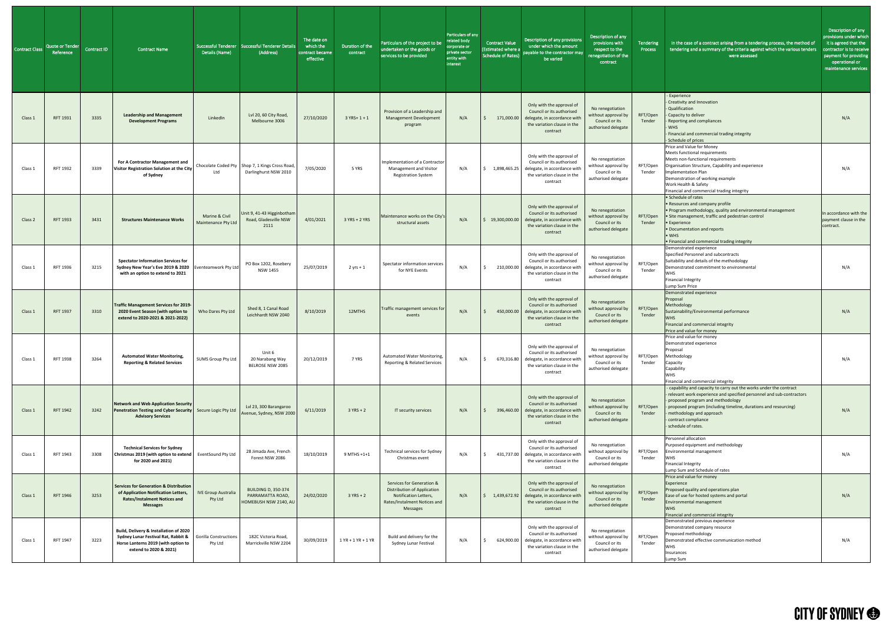| <b>Contract Class</b> | Quote or Tender<br>Reference | <b>Contract ID</b> | Contract Name                                                                                                                                                                   | Details (Name)                        | Successful Tenderer   Successful Tenderer Details<br>(Address)           | The date on<br>which the<br>contract became<br>effective | Duration of the<br>contract | Particulars of the project to be<br>undertaken or the goods or<br>services to be provided                                            | Particulars of any<br>related body<br>corporate or<br>private sector<br>entity with<br>interest | <b>Contract Value</b><br><b>Estimated where a</b><br>Schedule of Rates) | Description of any provisions<br>under which the amount<br>payable to the contractor may<br>be varied                             | Description of any<br>provisions with<br>respect to the<br>renegotiation of the<br>contract | Tendering<br>Process | In the case of a contract arising from a tendering process, the method of<br>tendering and a summary of the criteria against which the various tenders<br>were assessed                                                                                                                                                           | Description of any<br>provisions under which<br>it is agreed that the<br>contractor is to receive<br>payment for providing<br>operational or<br>maintenance services |
|-----------------------|------------------------------|--------------------|---------------------------------------------------------------------------------------------------------------------------------------------------------------------------------|---------------------------------------|--------------------------------------------------------------------------|----------------------------------------------------------|-----------------------------|--------------------------------------------------------------------------------------------------------------------------------------|-------------------------------------------------------------------------------------------------|-------------------------------------------------------------------------|-----------------------------------------------------------------------------------------------------------------------------------|---------------------------------------------------------------------------------------------|----------------------|-----------------------------------------------------------------------------------------------------------------------------------------------------------------------------------------------------------------------------------------------------------------------------------------------------------------------------------|----------------------------------------------------------------------------------------------------------------------------------------------------------------------|
| Class 1               | RFT 1931                     | 3335               | <b>Leadership and Management</b><br><b>Development Programs</b>                                                                                                                 | LinkedIn                              | Lvl 20, 60 City Road,<br>Melbourne 3006                                  | 27/10/2020                                               | $3$ YRS+ 1 + 1              | Provision of a Leadership and<br><b>Management Development</b><br>program                                                            | N/A                                                                                             | 171,000.00                                                              | Only with the approval of<br>Council or its authorised<br>delegate, in accordance with<br>the variation clause in the<br>contract | No renegotiation<br>without approval by<br>Council or its<br>authorised delegate            | RFT/Open<br>Tender   | - Experience<br>- Creativity and Innovation<br>- Qualification<br>- Capacity to deliver<br>- Reporting and compliances<br><b>WHS</b><br>Financial and commercial trading integrity<br>- Schedule of prices                                                                                                                        | N/A                                                                                                                                                                  |
| Class 1               | RFT 1932                     | 3339               | For A Contractor Management and<br>Visitor Registration Solution at the City<br>of Sydney                                                                                       | Ltd                                   | Chocolate Coded Pty Shop 7, 1 Kings Cross Road,<br>Darlinghurst NSW 2010 | 7/05/2020                                                | 5 YRS                       | Implementation of a Contractor<br>Management and Visitor<br><b>Registration System</b>                                               | N/A                                                                                             | 1,898,465.25                                                            | Only with the approval of<br>Council or its authorised<br>delegate, in accordance with<br>the variation clause in the<br>contract | No renegotiation<br>without approval by<br>Council or its<br>authorised delegate            | RFT/Open<br>Tender   | Price and Value for Money<br>Meets functional requirements<br>Meets non-functional requirements<br>Organisation Structure, Capability and experience<br>Implementation Plan<br>Demonstration of working example<br>Work Health & Safety<br>Financial and commercial trading integrity                                             | N/A                                                                                                                                                                  |
| Class 2               | <b>RFT 1933</b>              | 3431               | <b>Structures Maintenance Works</b>                                                                                                                                             | Marine & Civil<br>Maintenance Pty Ltd | Unit 9, 41-43 Higginbotham<br>Road, Gladesville NSW<br>2111              | 4/01/2021                                                | $3$ YRS + 2 YRS             | Maintenance works on the City's<br>structural assets                                                                                 | N/A                                                                                             | 19,300,000.00                                                           | Only with the approval of<br>Council or its authorised<br>delegate, in accordance with<br>the variation clause in the<br>contract | No renegotiation<br>without approval by<br>Council or its<br>authorised delegate            | RFT/Open<br>Tender   | • Schedule of rates<br>. Resources and company profile<br>. Program methodology, quality and environmental management<br>· Site management, traffic and pedestrian control<br>• Experience<br>• Documentation and reports<br>$\bullet$ WHS<br>. Financial and commercial trading integrity                                        | In accordance with the<br>payment clause in the<br>contract.                                                                                                         |
| Class 1               | RFT 1936                     | 3215               | <b>Spectator Information Services for</b><br>Sydney New Year's Eve 2019 & 2020 Eventeamwork Pty Ltd<br>with an option to extend to 2021                                         |                                       | PO Box 1202, Rosebery<br><b>NSW 1455</b>                                 | 25/07/2019                                               | $2$ yrs + 1                 | Spectator information services<br>for NYE Events                                                                                     | N/A                                                                                             | 210,000.00                                                              | Only with the approval of<br>Council or its authorised<br>delegate, in accordance with<br>the variation clause in the<br>contract | No renegotiation<br>without approval by<br>Council or its<br>authorised delegate            | RFT/Open<br>Tender   | Demonstrated experience<br>Specified Personnel and subcontracts<br>Suitability and details of the methodology<br>Demonstrated commitment to environmental<br><b>WHS</b><br><b>Financial Integrity</b><br>Lump Sum Price                                                                                                           | N/A                                                                                                                                                                  |
| Class 1               | RFT 1937                     | 3310               | <b>Traffic Management Services for 2019-</b><br>2020 Event Season (with option to<br>extend to 2020-2021 & 2021-2022)                                                           | Who Dares Pty Ltd                     | Shed 8, 1 Canal Road<br>Leichhardt NSW 2040                              | 8/10/2019                                                | 12MTHS                      | Traffic management services for<br>events                                                                                            | N/A                                                                                             | 450,000.00                                                              | Only with the approval of<br>Council or its authorised<br>delegate, in accordance with<br>the variation clause in the<br>contract | No renegotiation<br>without approval by<br>Council or its<br>authorised delegate            | RFT/Open<br>Tender   | Demonstrated experience<br>Proposal<br>Methodology<br>Sustainability/Environmental performance<br><b>WHS</b><br>Financial and commercial integrity<br>Price and value for money                                                                                                                                                   | N/A                                                                                                                                                                  |
| Class 1               | <b>RFT 1938</b>              | 3264               | <b>Automated Water Monitoring,</b><br><b>Reporting &amp; Related Services</b>                                                                                                   | SUMS Group Pty Ltd                    | Unit 6<br>20 Narabang Way<br>BELROSE NSW 2085                            | 20/12/2019                                               | 7 YRS                       | Automated Water Monitoring,<br>Reporting & Related Services                                                                          | N/A                                                                                             | 670,316.80                                                              | Only with the approval of<br>Council or its authorised<br>delegate, in accordance with<br>the variation clause in the<br>contract | No renegotiation<br>without approval by<br>Council or its<br>authorised delegate            | RFT/Open<br>Tender   | Price and value for money<br>Demonstrated experience<br>Proposal<br>Methodology<br>Capacity<br>Capability<br><b>WHS</b><br>Financial and commercial integrity                                                                                                                                                                     | N/A                                                                                                                                                                  |
| Class 1               | RFT 1942                     | 3242               | Network and Web Application Security<br>Penetration Testing and Cyber Security   Secure Logic Pty Ltd<br><b>Advisory Services</b>                                               |                                       | Lvl 23, 300 Barangaroo<br>Avenue, Sydney, NSW 2000                       | 6/11/2019                                                | $3 YRS + 2$                 | IT security services                                                                                                                 | N/A                                                                                             | 396,460.00                                                              | Only with the approval of<br>Council or its authorised<br>delegate, in accordance with<br>the variation clause in the<br>contract | No renegotiation<br>without approval by<br>Council or its<br>authorised delegate            | RFT/Open<br>Tender   | - capability and capacity to carry out the works under the contract<br>- relevant work experience and specified personnel and sub-contractors<br>- proposed program and methodology<br>- proposed program (including timeline, durations and resourcing)<br>methodology and approach<br>contract compliance<br>schedule of rates. | N/A                                                                                                                                                                  |
| Class 1               | RFT 1943                     | 3308               | <b>Technical Services for Sydney</b><br>Christmas 2019 (with option to extend   EventSound Pty Ltd<br>for 2020 and 2021)                                                        |                                       | 28 Jimada Ave, French<br>Forest NSW 2086                                 | 18/10/2019                                               | 9 MTHS +1+1                 | Technical services for Sydney<br>Christmas event                                                                                     | N/A                                                                                             | 431,737.00                                                              | Only with the approval of<br>Council or its authorised<br>delegate, in accordance with<br>the variation clause in the<br>contract | No renegotiation<br>without approval by<br>Council or its<br>authorised delegate            | RFT/Open<br>Tender   | Personnel allocation<br>Purposed equipment and methodology<br>Environmental management<br><b>WHS</b><br><b>Financial Integrity</b><br>Lump Sum and Schedule of rates                                                                                                                                                              | N/A                                                                                                                                                                  |
| Class 1               | RFT 1946                     | 3253               | <b>Services for Generation &amp; Distribution</b><br>of Application Notification Letters,<br><b>Rates/Instalment Notices and</b><br><b>Messages</b>                             | <b>IVE Group Australia</b><br>Pty Ltd | <b>BUILDING D, 350-374</b><br>PARRAMATTA ROAD,<br>HOMEBUSH NSW 2140, AU  | 24/02/2020                                               | $3$ YRS + 2                 | Services for Generation &<br><b>Distribution of Application</b><br>Notification Letters,<br>Rates/Instalment Notices and<br>Messages | N/A                                                                                             | \$1,439,672.92                                                          | Only with the approval of<br>Council or its authorised<br>delegate, in accordance with<br>the variation clause in the<br>contract | No renegotiation<br>without approval by<br>Council or its<br>authorised delegate            | RFT/Open<br>Tender   | Price and value for money<br>Experience<br>Proposed quality and operations plan<br>Ease of use for hosted systems and portal<br>Environmental management<br><b>WHS</b><br>Financial and commercial integrity                                                                                                                      | N/A                                                                                                                                                                  |
| Class 1               | RFT 1947                     | 3223               | Build, Delivery & Installation of 2020<br><b>Sydney Lunar Festival Rat, Rabbit &amp; Gorilla Constructions</b><br>Horse Lanterns 2019 (with option to<br>extend to 2020 & 2021) | Pty Ltd                               | 182C Victoria Road,<br>Marrickville NSW 2204                             | 30/09/2019                                               | $1$ YR + $1$ YR + $1$ YR    | Build and delivery for the<br>Sydney Lunar Festival                                                                                  | N/A                                                                                             | 624,900.00                                                              | Only with the approval of<br>Council or its authorised<br>delegate, in accordance with<br>the variation clause in the<br>contract | No renegotiation<br>without approval by<br>Council or its<br>authorised delegate            | RFT/Open<br>Tender   | Demonstrated previous experience<br>Demonstrated company resource<br>Proposed methodology<br>Demonstrated effective communication method<br>WHS<br>Insurances<br>Lump Sum                                                                                                                                                         | N/A                                                                                                                                                                  |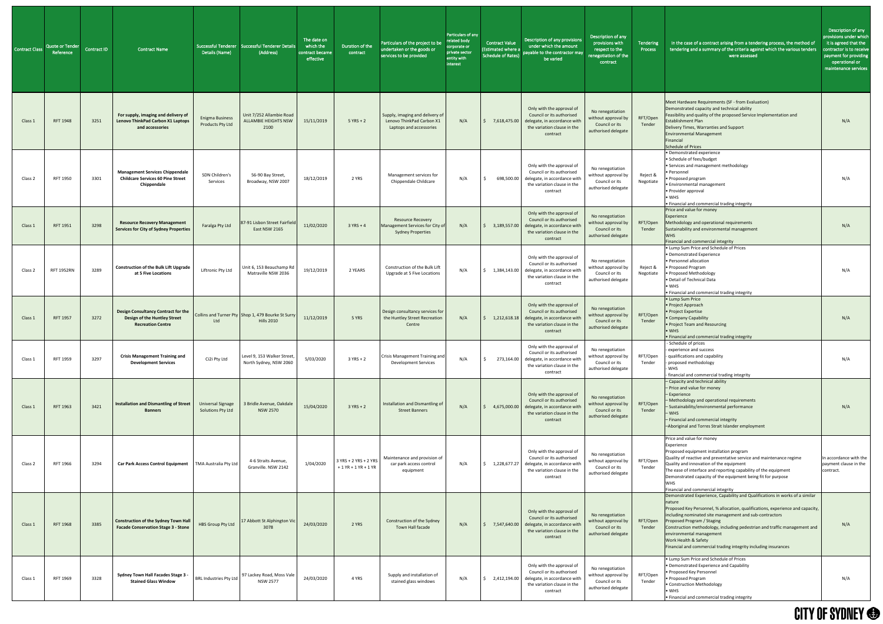| Contract Class | Quote or Tender<br>Reference | <b>Contract ID</b> | <b>Contract Name</b>                                                                                   | Details (Name)                                    | Successful Tenderer   Successful Tenderer Detail<br>(Address)           | The date on<br>which the<br>contract became<br>effective | Duration of the<br>contract                    | Particulars of the project to be<br>undertaken or the goods or<br>services to be provided | Particulars of any<br>related body<br>corporate or<br>private sector<br>entity with<br>interest | <b>Contract Value</b><br>(Estimated where a<br><b>Schedule of Rates)</b> | Description of any provisions<br>under which the amount<br>payable to the contractor may<br>be varied                                            | Description of any<br>provisions with<br>respect to the<br>enegotiation of the<br>contract | Tendering<br>Process  | In the case of a contract arising from a tendering process, the method of<br>tendering and a summary of the criteria against which the various tenders<br>were assessed                                                                                                                                                                                                                                                                                               | Description of any<br>provisions under which<br>it is agreed that the<br>contractor is to receive<br>payment for providing<br>operational or<br>maintenance services |
|----------------|------------------------------|--------------------|--------------------------------------------------------------------------------------------------------|---------------------------------------------------|-------------------------------------------------------------------------|----------------------------------------------------------|------------------------------------------------|-------------------------------------------------------------------------------------------|-------------------------------------------------------------------------------------------------|--------------------------------------------------------------------------|--------------------------------------------------------------------------------------------------------------------------------------------------|--------------------------------------------------------------------------------------------|-----------------------|-----------------------------------------------------------------------------------------------------------------------------------------------------------------------------------------------------------------------------------------------------------------------------------------------------------------------------------------------------------------------------------------------------------------------------------------------------------------------|----------------------------------------------------------------------------------------------------------------------------------------------------------------------|
| Class 1        | <b>RFT 1948</b>              | 3251               | For supply, imaging and delivery of<br><b>Lenovo ThinkPad Carbon X1 Laptops</b><br>and accessories     | <b>Enigma Business</b><br><b>Products Pty Ltd</b> | Unit 7/252 Allambie Road<br><b>ALLAMBIE HEIGHTS NSW</b><br>2100         | 15/11/2019                                               | $5$ YRS + 2                                    | Supply, imaging and delivery of<br>Lenovo ThinkPad Carbon X1<br>Laptops and accessories   | N/A                                                                                             | 7,618,475.00                                                             | Only with the approval of<br>Council or its authorised<br>delegate, in accordance with<br>the variation clause in the<br>contract                | No renegotiation<br>without approval by<br>Council or its<br>authorised delegate           | RFT/Open<br>Tender    | Meet Hardware Requirements (SF - from Evaluation)<br>Demonstrated capacity and technical ability<br>Feasibility and quality of the proposed Service Implementation and<br>Establishment Plan<br>Delivery Times, Warranties and Support<br><b>Environmental Management</b><br>Financial<br>Schedule of Prices                                                                                                                                                          | N/A                                                                                                                                                                  |
| Class 2        | RFT 1950                     | 3301               | <b>Management Services Chippendale</b><br><b>Childcare Services 60 Pine Street</b><br>Chippendale      | SDN Children's<br>Services                        | 56-90 Bay Street,<br>Broadway, NSW 2007                                 | 18/12/2019                                               | 2 YRS                                          | Management services for<br>Chippendale Childcare                                          | N/A                                                                                             |                                                                          | Only with the approval of<br>Council or its authorised<br>698,500.00 delegate, in accordance with<br>the variation clause in the<br>contract     | No renegotiation<br>without approval by<br>Council or its<br>authorised delegate           | Reject &<br>Negotiate | · Demonstrated experience<br>• Schedule of fees/budget<br>• Services and management methodology<br>• Personnel<br>• Proposed program<br>· Environmental management<br>• Provider approval<br>$\bullet$ WHS<br>• Financial and commercial trading integrity                                                                                                                                                                                                            | N/A                                                                                                                                                                  |
| Class 1        | <b>RFT 1951</b>              | 3298               | <b>Resource Recovery Management</b><br><b>Services for City of Sydney Properties</b>                   | Faralga Pty Ltd                                   | 87-91 Lisbon Street Fairfield<br>East NSW 2165                          | 11/02/2020                                               | $3 YRS + 4$                                    | <b>Resource Recovery</b><br>Management Services for City of<br><b>Sydney Properties</b>   | N/A                                                                                             | 3,189,557.00                                                             | Only with the approval of<br>Council or its authorised<br>delegate, in accordance wit<br>the variation clause in the<br>contract                 | No renegotiation<br>without approval by<br>Council or its<br>authorised delegate           | RFT/Open<br>Tender    | Price and value for money<br>Experience<br>Methodology and operational requirements<br>Sustainability and environmental management<br><b>WHS</b><br>Financial and commercial integrity                                                                                                                                                                                                                                                                                | N/A                                                                                                                                                                  |
| Class 2        | <b>RFT 1952RN</b>            | 3289               | <b>Construction of the Bulk Lift Upgrade</b><br>at 5 Five Locations                                    | Liftronic Pty Ltd                                 | Unit 6, 153 Beauchamp Rd<br>Matraville NSW 2036                         | 19/12/2019                                               | 2 YEARS                                        | Construction of the Bulk Lift<br>Upgrade at 5 Five Locations                              | N/A                                                                                             | 1,384,143.00                                                             | Only with the approval of<br>Council or its authorised<br>delegate, in accordance with<br>the variation clause in the<br>contract                | No renegotiation<br>without approval by<br>Council or its<br>authorised delegate           | Reject &<br>Negotiate | • Lump Sum Price and Schedule of Prices<br>• Demonstrated Experience<br>• Personnel allocation<br>• Proposed Program<br>• Proposed Methodology<br>· Detail of Technical Data<br>$\bullet$ WHS<br>• Financial and commercial trading integrity                                                                                                                                                                                                                         | N/A                                                                                                                                                                  |
| Class 1        | <b>RFT 1957</b>              | 3272               | <b>Design Consultancy Contract for the</b><br>Design of the Huntley Street<br><b>Recreation Centre</b> | Ltd                                               | Collins and Turner Pty Shop 1, 479 Bourke St Surry<br><b>Hills 2010</b> | 11/12/2019                                               | 5 YRS                                          | Design consultancy services for<br>the Huntley Street Recreation<br>Centre                | N/A                                                                                             | 1,212,618.18                                                             | Only with the approval of<br>Council or its authorised<br>delegate, in accordance with<br>the variation clause in the<br>contract                | No renegotiation<br>without approval by<br>Council or its<br>authorised delegate           | RFT/Open<br>Tender    | • Lump Sum Price<br>• Project Approach<br>• Project Expertise<br>• Company Capability<br>• Project Team and Resourcing<br>$\bullet$ WHS<br>• Financial and commercial trading integrity                                                                                                                                                                                                                                                                               | N/A                                                                                                                                                                  |
| Class:         | RFT 1959                     | 3297               | <b>Crisis Management Training and</b><br><b>Development Services</b>                                   | Ci2i Pty Ltd                                      | Level 9, 153 Walker Street,<br>North Sydney, NSW 2060                   | 5/03/2020                                                | $3$ YRS + 2                                    | Crisis Management Training and<br><b>Development Services</b>                             | N/A                                                                                             | 273,164.00                                                               | Only with the approval of<br>Council or its authorised<br>delegate, in accordance with<br>the variation clause in the<br>contract                | No renegotiation<br>without approval by<br>Council or its<br>authorised delegate           | RFT/Open<br>Tender    | - Schedule of prices<br>- experience and success<br>- qualifications and capability<br>- proposed methodology<br>- WHS<br>- financial and commercial trading integrity                                                                                                                                                                                                                                                                                                | N/A                                                                                                                                                                  |
| Class 1        | RFT 1963                     | 3421               | <b>Installation and Dismantling of Street</b><br><b>Banners</b>                                        | <b>Universal Signage</b><br>Solutions Pty Ltd     | 3 Bridle Avenue, Oakdale<br><b>NSW 2570</b>                             | 15/04/2020                                               | $3 YRS + 2$                                    | Installation and Dismantling of<br><b>Street Banners</b>                                  | N/A                                                                                             | 4,675,000.00                                                             | Only with the approval of<br>Council or its authorised<br>delegate, in accordance with<br>the variation clause in the<br>contract                | No renegotiation<br>without approval by<br>Council or its<br>authorised delegate           | RFT/Open<br>Tender    | - Capacity and technical ability<br>- Price and value for money<br>- Experience<br>- Methodology and operational requirements<br>- Sustainability/environmental performance<br>- WHS<br>- Financial and commercial integrity<br>-Aboriginal and Torres Strait Islander employment                                                                                                                                                                                     | N/A                                                                                                                                                                  |
| Class 2        | RFT 1966                     | 3294               | Car Park Access Control Equipment   TMA Australia Pty Ltd                                              |                                                   | 4-6 Straits Avenue,<br>Granville. NSW 2142                              | 1/04/2020                                                | 3 YRS + 2 YRS + 2 YRS<br>$+1$ YR + 1 YR + 1 YR | Maintenance and provision of<br>car park access control<br>equipment                      | N/A                                                                                             |                                                                          | Only with the approval of<br>Council or its authorised<br>1,228,677.27 delegate, in accordance with<br>the variation clause in the<br>contract   | No renegotiation<br>without approval by<br>Council or its<br>authorised delegate           | RFT/Open<br>Tender    | Price and value for money<br>Experience<br>Proposed equipment installation program<br>Quality of reactive and preventative service and maintenance regime<br>Quality and innovation of the equipment<br>The ease of interface and reporting capability of the equipment<br>Demonstrated capacity of the equipment being fit for purpose<br><b>WHS</b><br>Financial and commercial integrity                                                                           | In accordance with the<br>payment clause in the<br>contract.                                                                                                         |
| Class 1        | <b>RFT 1968</b>              | 3385               | <b>Construction of the Sydney Town Hall</b><br><b>Facade Conservation Stage 3 - Stone</b>              | HBS Group Pty Ltd                                 | 17 Abbott St Alphington Vic<br>3078                                     | 24/03/2020                                               | 2 YRS                                          | Construction of the Sydney<br>Town Hall facade                                            | N/A                                                                                             |                                                                          | Only with the approval of<br>Council or its authorised<br>7,547,640.00 delegate, in accordance with<br>the variation clause in the<br>contract   | No renegotiation<br>without approval by<br>Council or its<br>authorised delegate           | RFT/Open<br>Tender    | Demonstrated Experience, Capability and Qualifications in works of a similar<br>nature<br>Proposed Key Personnel, % allocation, qualifications, experience and capacity,<br>including nominated site management and sub-contractors<br>Proposed Program / Staging<br>Construction methodology, including pedestrian and traffic management and<br>environmental management<br>Work Health & Safety<br>Financial and commercial trading integrity including insurances | N/A                                                                                                                                                                  |
| Class 1        | RFT 1969                     | 3328               | <b>Sydney Town Hall Facades Stage 3 -</b><br><b>Stained Glass Window</b>                               | <b>BRL Industries Pty Ltd</b>                     | 97 Lackey Road, Moss Vale<br><b>NSW 2577</b>                            | 24/03/2020                                               | 4 YRS                                          | Supply and installation of<br>stained glass windows                                       | N/A                                                                                             |                                                                          | Only with the approval of<br>Council or its authorised<br>$2,412,194.00$ delegate, in accordance with<br>the variation clause in the<br>contract | No renegotiation<br>without approval by<br>Council or its<br>authorised delegate           | RFT/Open<br>Tender    | . Lump Sum Price and Schedule of Prices<br>• Demonstrated Experience and Capability<br>• Proposed Key Personnel<br>• Proposed Program<br>• Construction Methodology<br>$\bullet$ WHS<br>• Financial and commercial trading integrity                                                                                                                                                                                                                                  | N/A                                                                                                                                                                  |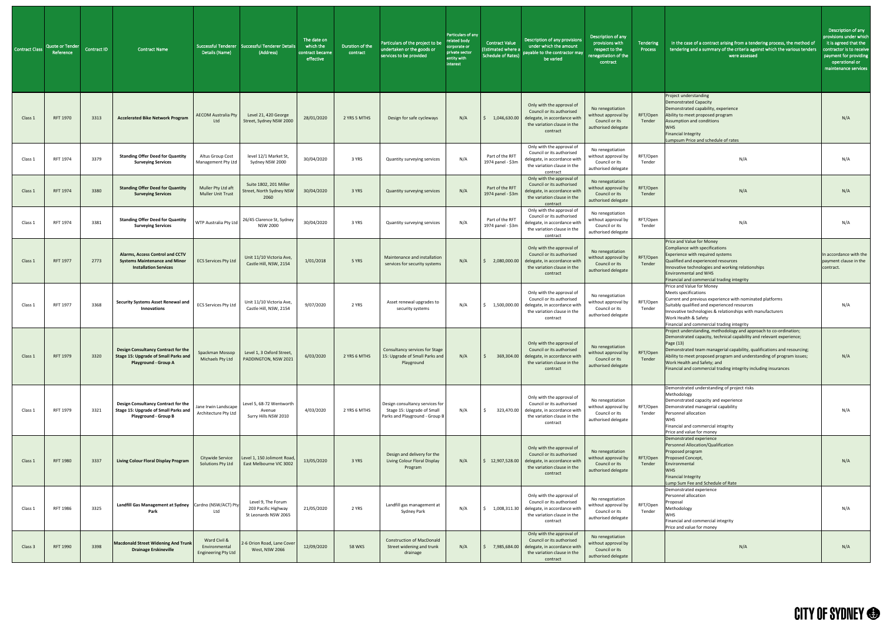| Contract Class | Quote or Tender<br>Reference | <b>Contract ID</b> | <b>Contract Name</b>                                                                                                     | Details (Name)                                              | Successful Tenderer Successful Tenderer Details<br>(Address)      | The date on<br>which the<br>contract became<br>effective | Duration of the<br>contract | Particulars of the project to be<br>undertaken or the goods or<br>services to be provided       | Particulars of any<br>related body<br>corporate or<br>private sector<br>entity with<br>interest | <b>Contract Value</b><br>(Estimated where a<br><b>Schedule of Rates)</b> | Description of any provisions<br>under which the amount<br>payable to the contractor may<br>be varied                                                         | Description of any<br>provisions with<br>respect to the<br>renegotiation of the<br>contract | Tendering<br>Process | In the case of a contract arising from a tendering process, the method of<br>tendering and a summary of the criteria against which the various tenders<br>were assessed                                                                                                                                                                                                                                      | Description of any<br>provisions under which<br>it is agreed that the<br>contractor is to receive<br>payment for providing<br>operational or<br>maintenance services |
|----------------|------------------------------|--------------------|--------------------------------------------------------------------------------------------------------------------------|-------------------------------------------------------------|-------------------------------------------------------------------|----------------------------------------------------------|-----------------------------|-------------------------------------------------------------------------------------------------|-------------------------------------------------------------------------------------------------|--------------------------------------------------------------------------|---------------------------------------------------------------------------------------------------------------------------------------------------------------|---------------------------------------------------------------------------------------------|----------------------|--------------------------------------------------------------------------------------------------------------------------------------------------------------------------------------------------------------------------------------------------------------------------------------------------------------------------------------------------------------------------------------------------------------|----------------------------------------------------------------------------------------------------------------------------------------------------------------------|
| Class 1        | <b>RFT 1970</b>              | 3313               | <b>Accelerated Bike Network Program</b>                                                                                  | <b>AECOM Australia Pty</b><br>Ltd                           | Level 21, 420 George<br>Street, Sydney NSW 2000                   | 28/01/2020                                               | 2 YRS 5 MTHS                | Design for safe cycleways                                                                       | N/A                                                                                             | 1,046,630.00                                                             | Only with the approval of<br>Council or its authorised<br>delegate, in accordance with<br>the variation clause in the<br>contract                             | No renegotiation<br>without approval by<br>Council or its<br>authorised delegate            | RFT/Open<br>Tender   | Project understanding<br>Demonstrated Capacity<br>Demonstrated capability, experience<br>Ability to meet proposed program<br><b>Assumption and conditions</b><br><b>WHS</b><br><b>Financial Integrity</b><br>Lumpsum Price and schedule of rates                                                                                                                                                             | N/A                                                                                                                                                                  |
| Class 1        | RFT 1974                     | 3379               | <b>Standing Offer Deed for Quantity</b><br><b>Surveying Services</b>                                                     | Altus Group Cost<br>Management Pty Ltd                      | level 12/1 Market St,<br>Sydney NSW 2000                          | 30/04/2020                                               | 3 YRS                       | Quantity surveying services                                                                     | N/A                                                                                             | Part of the RFT<br>1974 panel - \$3m                                     | Only with the approval of<br>Council or its authorised<br>delegate, in accordance with<br>the variation clause in the<br>contract                             | No renegotiation<br>without approval by<br>Council or its<br>authorised delegate            | RFT/Open<br>Tender   | N/A                                                                                                                                                                                                                                                                                                                                                                                                          | N/A                                                                                                                                                                  |
| Class 1        | <b>RFT 1974</b>              | 3380               | <b>Standing Offer Deed for Quantity</b><br><b>Surveying Services</b>                                                     | Muller Pty Ltd aft<br><b>Muller Unit Trust</b>              | Suite 1802, 201 Miller<br>Street, North Sydney NSW<br>2060        | 30/04/2020                                               | 3 YRS                       | <b>Quantity surveying services</b>                                                              | N/A                                                                                             | Part of the RFT<br>1974 panel - \$3m                                     | Only with the approval of<br>Council or its authorised<br>delegate, in accordance with<br>the variation clause in the<br>contract                             | No renegotiation<br>without approval by<br>Council or its<br>authorised delegate            | RFT/Open<br>Tender   | N/A                                                                                                                                                                                                                                                                                                                                                                                                          | N/A                                                                                                                                                                  |
| Class 1        | RFT 1974                     | 3381               | <b>Standing Offer Deed for Quantity</b><br><b>Surveying Services</b>                                                     | WTP Australia Pty Ltd                                       | 26/45 Clarence St, Sydney<br><b>NSW 2000</b>                      | 30/04/2020                                               | 3 YRS                       | Quantity surveying services                                                                     | N/A                                                                                             | Part of the RFT<br>1974 panel - \$3m                                     | Only with the approval of<br>Council or its authorised<br>delegate, in accordance with<br>the variation clause in the<br>contract                             | No renegotiation<br>without approval by<br>Council or its<br>authorised delegate            | RFT/Open<br>Tender   | N/A                                                                                                                                                                                                                                                                                                                                                                                                          | N/A                                                                                                                                                                  |
| Class 1        | <b>RFT 1977</b>              | 2773               | Alarms, Access Control and CCTV<br><b>Systems Maintenance and Minor</b><br><b>Installation Services</b>                  | <b>ECS Services Pty Ltd</b>                                 | Unit 11/10 Victoria Ave,<br>Castle Hill, NSW, 2154                | 1/01/2018                                                | 5 YRS                       | Maintenance and installation<br>services for security systems                                   | N/A                                                                                             | 2,080,000.00                                                             | Only with the approval of<br>Council or its authorised<br>delegate, in accordance with<br>the variation clause in the<br>contract                             | No renegotiation<br>without approval by<br>Council or its<br>authorised delegate            | RFT/Open<br>Tender   | Price and Value for Money<br>Compliance with specifications<br>Experience with required systems<br>Qualified and experienced resources<br>Innovative technologies and working relationships<br><b>Environmental and WHS</b><br>Financial and commercial trading integrity                                                                                                                                    | In accordance with the<br>payment clause in the<br>contract.                                                                                                         |
| Class 1        | RFT 1977                     | 3368               | Security Systems Asset Renewal and<br><b>Innovations</b>                                                                 | <b>ECS Services Pty Ltd</b>                                 | Unit 11/10 Victoria Ave,<br>Castle Hill, NSW, 2154                | 9/07/2020                                                | 2 YRS                       | Asset renewal upgrades to<br>security systems                                                   | N/A                                                                                             | 1,500,000.00                                                             | Only with the approval of<br>Council or its authorised<br>delegate, in accordance with<br>the variation clause in the<br>contract                             | No renegotiation<br>without approval by<br>Council or its<br>authorised delegate            | RFT/Open<br>Tender   | Price and Value for Money<br>Meets specifications<br>Current and previous experience with nominated platforms<br>Suitably qualified and experienced resources<br>Innovative technologies & relationships with manufacturers<br>Work Health & Safety<br>Financial and commercial trading integrity                                                                                                            | N/A                                                                                                                                                                  |
| Class 1        | <b>RFT 1979</b>              | 3320               | <b>Design Consultancy Contract for the</b><br><b>Stage 15: Upgrade of Small Parks and</b><br><b>Playground - Group A</b> | Spackman Mossop<br>Michaels Pty Ltd                         | Level 1, 3 Oxford Street,<br>PADDINGTON, NSW 2021                 | 6/03/2020                                                | 2 YRS 6 MTHS                | <b>Consultancy services for Stage</b><br>15: Upgrade of Small Parks and<br>Playground           | N/A                                                                                             | 369,304.00                                                               | Only with the approval of<br>Council or its authorised<br>delegate, in accordance with<br>the variation clause in the<br>contract                             | No renegotiation<br>without approval by<br>Council or its<br>authorised delegate            | RFT/Open<br>Tender   | Project understanding, methodology and approach to co-ordination;<br>Demonstrated capacity, technical capability and relevant experience;<br>Page (13)<br>Demonstrated team managerial capability, qualifications and resourcing;<br>Ability to meet proposed program and understanding of program issues;<br>Work Health and Safety; and<br>Financial and commercial trading integrity including insurances | N/A                                                                                                                                                                  |
| Class 1        | RFT 1979                     | 3321               | Design Consultancy Contract for the<br><b>Stage 15: Upgrade of Small Parks and</b><br><b>Playground - Group B</b>        | Jane Irwin Landscape<br>Architecture Pty Ltd                | Level 5, 68-72 Wentworth<br>Avenue<br>Surry Hills NSW 2010        | 4/03/2020                                                | 2 YRS 6 MTHS                | Design consultancy services for<br>Stage 15: Upgrade of Small<br>Parks and Playground - Group B | N/A                                                                                             | 323,470.00                                                               | Only with the approval of<br>Council or its authorised<br>delegate, in accordance with<br>the variation clause in the<br>contract                             | No renegotiation<br>without approval by<br>Council or its<br>authorised delegate            | RFT/Open<br>Tender   | Demonstrated understanding of project risks<br>Methodology<br>Demonstrated capacity and experience<br>Demonstrated managerial capability<br>Personnel allocation<br><b>WHS</b><br>Financial and commercial integrity<br>Price and value for money                                                                                                                                                            | N/A                                                                                                                                                                  |
| Class 1        | <b>RFT 1980</b>              | 3337               | <b>Living Colour Floral Display Program</b>                                                                              | Citywide Service<br>Solutions Pty Ltd                       | Level 1, 150 Jolimont Road,<br>East Melbourne VIC 3002            | 13/05/2020                                               | 3 YRS                       | Design and delivery for the<br><b>Living Colour Floral Display</b><br>Program                   | N/A                                                                                             | 12,907,528.00                                                            | Only with the approval of<br>Council or its authorised<br>delegate, in accordance with<br>the variation clause in the<br>contract                             | No renegotiation<br>without approval by<br>Council or its<br>authorised delegate            | RFT/Open<br>Tender   | Demonstrated experience<br>Personnel Allocation/Qualification<br>Proposed program<br>Proposed Concept,<br>Environmental<br><b>WHS</b><br><b>Financial Integrity</b><br>Lump Sum Fee and Schedule of Rate                                                                                                                                                                                                     | N/A                                                                                                                                                                  |
| Class 1        | RFT 1986                     | 3325               | Landfill Gas Management at Sydney   Cardno (NSW/ACT) Pty<br>Park                                                         | Ltd                                                         | Level 9, The Forum<br>203 Pacific Highway<br>St Leonards NSW 2065 | 21/05/2020                                               | 2 YRS                       | Landfill gas management at<br>Sydney Park                                                       | N/A                                                                                             |                                                                          | Only with the approval of<br>Council or its authorised<br>$\binom{6}{5}$ 1,008,311.30 delegate, in accordance with<br>the variation clause in the<br>contract | No renegotiation<br>without approval by<br>Council or its<br>authorised delegate            | RFT/Open<br>Tender   | Demonstrated experience<br>Personnel allocation<br>Proposal<br>Methodology<br><b>WHS</b><br>Financial and commercial integrity<br>Price and value for money                                                                                                                                                                                                                                                  | N/A                                                                                                                                                                  |
| Class 3        | RFT 1990                     | 3398               | <b>Macdonald Street Widening And Trunk</b><br><b>Drainage Erskineville</b>                                               | Ward Civil &<br>Environmental<br><b>Engineering Pty Ltd</b> | 2-6 Orion Road, Lane Cover<br>West, NSW 2066                      | 12/09/2020                                               | <b>58 WKS</b>               | <b>Construction of MacDonald</b><br>Street widening and trunk<br>drainage                       | N/A                                                                                             |                                                                          | Only with the approval of<br>Council or its authorised<br>$\frac{1}{2}$ 7,985,684.00 delegate, in accordance with<br>the variation clause in the<br>contract  | No renegotiation<br>without approval by<br>Council or its<br>authorised delegate            |                      | N/A                                                                                                                                                                                                                                                                                                                                                                                                          | N/A                                                                                                                                                                  |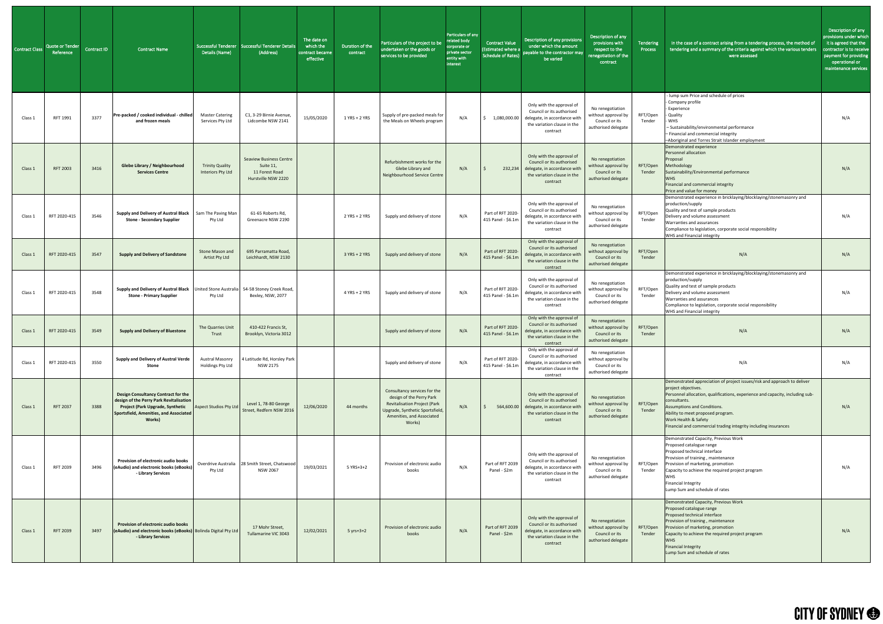| <b>Contract Class</b> | <b>Quote or Tender</b><br>Reference | <b>Contract ID</b> | <b>Contract Name</b>                                                                                                                                                                 | Details (Name)                              | Successful Tenderer   Successful Tenderer Details<br>(Address)                       | The date on<br>which the<br>contract became<br>effective | Duration of the<br>contract | Particulars of the project to be<br>undertaken or the goods or<br>services to be provided                                                                                 | Particulars of any<br>related body<br>corporate or<br>private sector<br>entity with<br>interest | <b>Contract Value</b><br><b>Estimated where a</b><br>Schedule of Rates) | Description of any provisions<br>under which the amount<br>payable to the contractor may<br>be varied                                          | Description of any<br>provisions with<br>respect to the<br>renegotiation of the<br>contract | Tendering<br>Process | In the case of a contract arising from a tendering process, the method of<br>tendering and a summary of the criteria against which the various tenders<br>were assessed                                                                                                                                                                                                | Description of any<br>provisions under which<br>it is agreed that the<br>contractor is to receive<br>payment for providing<br>operational or<br>maintenance services |
|-----------------------|-------------------------------------|--------------------|--------------------------------------------------------------------------------------------------------------------------------------------------------------------------------------|---------------------------------------------|--------------------------------------------------------------------------------------|----------------------------------------------------------|-----------------------------|---------------------------------------------------------------------------------------------------------------------------------------------------------------------------|-------------------------------------------------------------------------------------------------|-------------------------------------------------------------------------|------------------------------------------------------------------------------------------------------------------------------------------------|---------------------------------------------------------------------------------------------|----------------------|------------------------------------------------------------------------------------------------------------------------------------------------------------------------------------------------------------------------------------------------------------------------------------------------------------------------------------------------------------------------|----------------------------------------------------------------------------------------------------------------------------------------------------------------------|
| Class 1               | RFT 1991                            | 3377               | Pre-packed / cooked individual - chilled<br>and frozen meals                                                                                                                         | <b>Master Catering</b><br>Services Pty Ltd  | C1, 3-29 Birnie Avenue,<br>Lidcombe NSW 2141                                         | 15/05/2020                                               | 1 YRS + 2 YRS               | Supply of pre-packed meals for<br>the Meals on Wheels program                                                                                                             | N/A                                                                                             |                                                                         | Only with the approval of<br>Council or its authorised<br>1,080,000.00 delegate, in accordance with<br>the variation clause in the<br>contract | No renegotiation<br>without approval by<br>Council or its<br>authorised delegate            | RFT/Open<br>Tender   | - lump sum Price and schedule of prices<br>- Company profile<br>- Experience<br>- Quality<br><b>WHS</b><br>- Sustainability/environmental performance<br>- Financial and commercial integrity<br>-Aboriginal and Torres Strait Islander employment                                                                                                                     | N/A                                                                                                                                                                  |
| Class 1               | <b>RFT 2003</b>                     | 3416               | <b>Glebe Library / Neighbourhood</b><br><b>Services Centre</b>                                                                                                                       | <b>Trinity Quality</b><br>Interiors Pty Ltd | <b>Seaview Business Centre</b><br>Suite 11,<br>11 Forest Road<br>Hurstville NSW 2220 |                                                          |                             | Refurbishment works for the<br>Glebe Library and<br>Neighbourhood Service Centre                                                                                          | N/A                                                                                             |                                                                         | Only with the approval of<br>Council or its authorised<br>232,234 delegate, in accordance with<br>the variation clause in the<br>contract      | No renegotiation<br>without approval by<br>Council or its<br>authorised delegate            | RFT/Open<br>Tender   | Demonstrated experience<br>Personnel allocation<br>Proposal<br>Methodology<br>Sustainability/Environmental performance<br><b>WHS</b><br>Financial and commercial integrity<br>Price and value for money                                                                                                                                                                | N/A                                                                                                                                                                  |
| Class 1               | RFT 2020-415                        | 3546               | Supply and Delivery of Austral Black   Sam The Paving Man<br><b>Stone - Secondary Supplier</b>                                                                                       | Pty Ltd                                     | 61-65 Roberts Rd,<br>Greenacre NSW 2190                                              |                                                          | 2 YRS + 2 YRS               | Supply and delivery of stone                                                                                                                                              | N/A                                                                                             | Part of RFT 2020<br>415 Panel - \$6.1m                                  | Only with the approval of<br>Council or its authorised<br>delegate, in accordance with<br>the variation clause in the<br>contract              | No renegotiation<br>without approval by<br>Council or its<br>authorised delegate            | RFT/Open<br>Tender   | Demonstrated experience in bricklaying/blocklaying/stonemasonry and<br>production/supply<br>Quality and test of sample products<br>Delivery and volume assessment<br>Warranties and assurances<br>Compliance to legislation, corporate social responsibility<br>WHS and Financial integrity                                                                            | N/A                                                                                                                                                                  |
| Class 1               | RFT 2020-415                        | 3547               | <b>Supply and Delivery of Sandstone</b>                                                                                                                                              | Stone Mason and<br><b>Artist Pty Ltd</b>    | 695 Parramatta Road,<br>Leichhardt, NSW 2130                                         |                                                          | 3 YRS + 2 YRS               | Supply and delivery of stone                                                                                                                                              | N/A                                                                                             | Part of RFT 2020<br>415 Panel - \$6.1m                                  | Only with the approval of<br>Council or its authorised<br>delegate, in accordance with<br>the variation clause in the<br>contract              | No renegotiation<br>without approval by<br>Council or its<br>authorised delegate            | RFT/Open<br>Tender   | N/A                                                                                                                                                                                                                                                                                                                                                                    | N/A                                                                                                                                                                  |
| Class 1               | RFT 2020-415                        | 3548               | Supply and Delivery of Austral Black   United Stone Australia<br><b>Stone - Primary Supplier</b>                                                                                     | Pty Ltd                                     | 54-58 Stoney Creek Road,<br>Bexley, NSW, 2077                                        |                                                          | 4 YRS + 2 YRS               | Supply and delivery of stone                                                                                                                                              | N/A                                                                                             | Part of RFT 2020<br>415 Panel - \$6.1m                                  | Only with the approval of<br>Council or its authorised<br>delegate, in accordance with<br>the variation clause in the<br>contract              | No renegotiation<br>without approval by<br>Council or its<br>authorised delegate            | RFT/Open<br>Tender   | Demonstrated experience in bricklaying/blocklaying/stonemasonry and<br>production/supply<br>Quality and test of sample products<br>Delivery and volume assessment<br>Warranties and assurances<br>Compliance to legislation, corporate social responsibility<br>WHS and Financial integrity                                                                            | N/A                                                                                                                                                                  |
| Class 1               | RFT 2020-415                        | 3549               | <b>Supply and Delivery of Bluestone</b>                                                                                                                                              | The Quarries Unit<br>Trust                  | 410-422 Francis St,<br>Brooklyn, Victoria 3012                                       |                                                          |                             | Supply and delivery of stone                                                                                                                                              | N/A                                                                                             | Part of RFT 2020-<br>415 Panel - \$6.1m                                 | Only with the approval of<br>Council or its authorised<br>delegate, in accordance with<br>the variation clause in the<br>contract              | No renegotiation<br>without approval by<br>Council or its<br>authorised delegate            | RFT/Open<br>Tender   | N/A                                                                                                                                                                                                                                                                                                                                                                    | N/A                                                                                                                                                                  |
| Class 1               | RFT 2020-415                        | 3550               | Supply and Delivery of Austral Verde<br><b>Stone</b>                                                                                                                                 | <b>Austral Masonry</b><br>Holdings Pty Ltd  | 4 Latitude Rd, Horsley Park<br><b>NSW 2175</b>                                       |                                                          |                             | Supply and delivery of stone                                                                                                                                              | N/A                                                                                             | Part of RFT 2020<br>415 Panel - \$6.1m                                  | Only with the approval of<br>Council or its authorised<br>delegate, in accordance with<br>the variation clause in the<br>contract              | No renegotiation<br>without approval by<br>Council or its<br>authorised delegate            |                      | N/A                                                                                                                                                                                                                                                                                                                                                                    | N/A                                                                                                                                                                  |
| Class 1               | <b>RFT 2037</b>                     | 3388               | <b>Design Consultancy Contract for the</b><br>design of the Perry Park Revitalisation<br><b>Project (Park Upgrade, Synthetic</b><br>Sportsfield, Amenities, and Associated<br>Works) | <b>Aspect Studios Pty Ltd</b>               | Level 1, 78-80 George<br>Street, Redfern NSW 2016                                    | 12/06/2020                                               | 44 months                   | Consultancy services for the<br>design of the Perry Park<br><b>Revitalisation Project (Park</b><br>Upgrade, Synthetic Sportsfield,<br>Amenities, and Associated<br>Works) | N/A                                                                                             | 564,600.00                                                              | Only with the approval of<br>Council or its authorised<br>delegate, in accordance with<br>the variation clause in the<br>contract              | No renegotiation<br>without approval by<br>Council or its<br>authorised delegate            | RFT/Open<br>Tender   | Demonstrated appreciation of project issues/risk and approach to deliver<br>project objectives.<br>Personnel allocation, qualifications, experience and capacity, including sub-<br>consultants.<br><b>Assumptions and Conditions.</b><br>Ability to meet proposed program.<br>Work Health & Safety<br>Financial and commercial trading integrity including insurances | N/A                                                                                                                                                                  |
| Class 1               | RFT 2039                            | 3496               | <b>Provision of electronic audio books</b><br>(eAudio) and electronic books (eBooks)<br>- Library Services                                                                           | Pty Ltd                                     | Overdrive Australia 28 Smith Street, Chatswood<br><b>NSW 2067</b>                    | 19/03/2021                                               | 5 YRS+3+2                   | Provision of electronic audio<br>books                                                                                                                                    | N/A                                                                                             | Part of RFT 2039<br>Panel - \$2m                                        | Only with the approval of<br>Council or its authorised<br>delegate, in accordance with<br>the variation clause in the<br>contract              | No renegotiation<br>without approval by<br>Council or its<br>authorised delegate            | RFT/Open<br>Tender   | Demonstrated Capacity, Previous Work<br>Proposed catalogue range<br>Proposed technical interface<br>Provision of training, maintenance<br>Provision of marketing, promotion<br>Capacity to achieve the required project program<br><b>WHS</b><br><b>Financial Integrity</b><br>Lump Sum and schedule of rates                                                          | N/A                                                                                                                                                                  |
| Class 1               | <b>RFT 2039</b>                     | 3497               | <b>Provision of electronic audio books</b><br>(eAudio) and electronic books (eBooks) Bolinda Digital Pty Ltd<br>- Library Services                                                   |                                             | 17 Mohr Street,<br>Tullamarine VIC 3043                                              | 12/02/2021                                               | $5 yrs + 3 + 2$             | Provision of electronic audio<br>books                                                                                                                                    | N/A                                                                                             | Part of RFT 2039<br>Panel - \$2m                                        | Only with the approval of<br>Council or its authorised<br>delegate, in accordance with<br>the variation clause in the<br>contract              | No renegotiation<br>without approval by<br>Council or its<br>authorised delegate            | RFT/Open<br>Tender   | Demonstrated Capacity, Previous Work<br>Proposed catalogue range<br>Proposed technical interface<br>Provision of training, maintenance<br>Provision of marketing, promotion<br>Capacity to achieve the required project program<br><b>WHS</b><br><b>Financial Integrity</b><br>Lump Sum and schedule of rates                                                          | N/A                                                                                                                                                                  |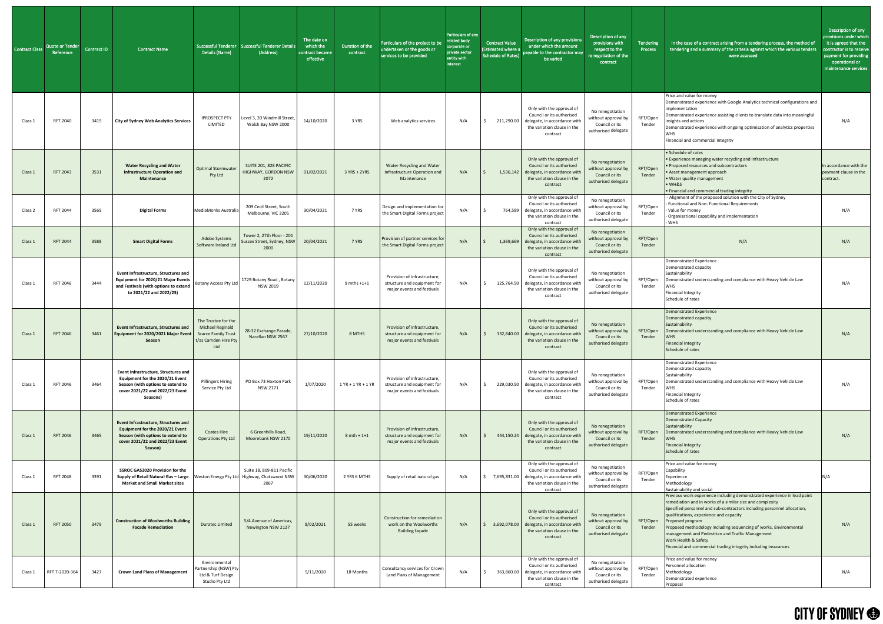| <b>Contract Class</b> | Quote or Tender<br>Reference | Contract ID | <b>Contract Name</b>                                                                                                                                                    | Details (Name)                                                                                              | Successful Tenderer Successful Tenderer Details<br>(Address)                         | The date on<br>which the<br>contract became<br>effective | Duration of the<br>contract | Particulars of the project to be<br>undertaken or the goods or<br>services to be provided | Particulars of any<br>related body<br>corporate or<br>private sector<br>entity with<br>interest | <b>Contract Value</b><br><b>Estimated where a</b><br><b>Schedule of Rates)</b> | Description of any provisions<br>under which the amount<br>payable to the contractor may<br>be varied                                        | Description of any<br>provisions with<br>respect to the<br>enegotiation of the<br>contract | Tendering<br>Process | In the case of a contract arising from a tendering process, the method of<br>tendering and a summary of the criteria against which the various tenders<br>were assessed                                                                                                                                                                                                                                                                                                                             | Description of any<br>provisions under which<br>it is agreed that the<br>contractor is to receive<br>payment for providing<br>operational or<br>maintenance services |
|-----------------------|------------------------------|-------------|-------------------------------------------------------------------------------------------------------------------------------------------------------------------------|-------------------------------------------------------------------------------------------------------------|--------------------------------------------------------------------------------------|----------------------------------------------------------|-----------------------------|-------------------------------------------------------------------------------------------|-------------------------------------------------------------------------------------------------|--------------------------------------------------------------------------------|----------------------------------------------------------------------------------------------------------------------------------------------|--------------------------------------------------------------------------------------------|----------------------|-----------------------------------------------------------------------------------------------------------------------------------------------------------------------------------------------------------------------------------------------------------------------------------------------------------------------------------------------------------------------------------------------------------------------------------------------------------------------------------------------------|----------------------------------------------------------------------------------------------------------------------------------------------------------------------|
| Class 1               | RFT 2040                     | 3415        | <b>City of Sydney Web Analytics Services</b>                                                                                                                            | <b>IPROSPECT PTY</b><br>LIMITED                                                                             | Level 3, 20 Windmill Street,<br>Walsh Bay NSW 2000                                   | 14/10/2020                                               | 3 YRS                       | Web analytics services                                                                    | N/A                                                                                             | 211,290.00                                                                     | Only with the approval of<br>Council or its authorised<br>delegate, in accordance with<br>the variation clause in the<br>contract            | No renegotiation<br>without approval by<br>Council or its<br>authorised delegate           | RFT/Open<br>Tender   | Price and value for money<br>Demonstrated experience with Google Analytics technical configurations and<br>implementation<br>Demonstrated experience assisting clients to translate data into meaningful<br>insights and actions<br>Demonstrated experience with ongoing optimisation of analytics properties<br>WHS.<br>Financial and commercial integrity                                                                                                                                         | N/A                                                                                                                                                                  |
| Class 1               | <b>RFT 2043</b>              | 3531        | <b>Water Recycling and Water</b><br><b>Infrastructure Operation and</b><br>Maintenance                                                                                  | <b>Optimal Stormwater</b><br>Pty Ltd                                                                        | SUITE 201, 828 PACIFIC<br><b>HIGHWAY, GORDON NSW</b><br>2072                         | 01/02/2021                                               | 3 YRS + 2YRS                | <b>Water Recycling and Water</b><br>Infrastructure Operation and<br>Maintenance           | N/A                                                                                             | 1,536,142                                                                      | Only with the approval of<br>Council or its authorised<br>delegate, in accordance with<br>the variation clause in the<br>contract            | No renegotiation<br>without approval by<br>Council or its<br>authorised delegate           | RFT/Open<br>Tender   | • Schedule of rates<br><b>.</b> Experience managing water recycling and infrastructure<br>• Proposed resources and subcontractors<br>• Asset management approach<br>. Water quality management<br>$\bullet$ WH&S<br>. Financial and commercial trading integrity                                                                                                                                                                                                                                    | In accordance with the<br>payment clause in the<br>contract.                                                                                                         |
| Class <sub>2</sub>    | <b>RFT 2044</b>              | 3569        | <b>Digital Forms</b>                                                                                                                                                    | MediaMonks Australia                                                                                        | 209 Cecil Street, South<br>Melbourne, VIC 3205                                       | 30/04/2021                                               | 7 YRS                       | Design and implementation for<br>the Smart Digital Forms project                          | N/A                                                                                             | 764,589                                                                        | Only with the approval of<br>Council or its authorised<br>delegate, in accordance with<br>the variation clause in the<br>contract            | No renegotiation<br>without approval by<br>Council or its<br>authorised delegate           | RFT/Open<br>Tender   | - Alignment of the proposed solution with the City of Sydney<br>- Functional and Non- Functional Requirements<br>Value for money<br>- Organisational capability and implementation<br>- WHS                                                                                                                                                                                                                                                                                                         | N/A                                                                                                                                                                  |
| Class 1               | <b>RFT 2044</b>              | 3588        | <b>Smart Digital Forms</b>                                                                                                                                              | Adobe Systems                                                                                               | Tower 2, 27th Floor - 201<br>Software Ireland Ltd Sussex Street, Sydney, NSW<br>2000 | 20/04/2021                                               | 7 YRS                       | Provision of partner services for<br>the Smart Digital Forms project                      | N/A                                                                                             |                                                                                | Only with the approval of<br>Council or its authorised<br>1,369,669 delegate, in accordance with<br>the variation clause in the<br>contract  | No renegotiation<br>without approval by<br>Council or its<br>authorised delegate           | RFT/Open<br>Tender   | N/A                                                                                                                                                                                                                                                                                                                                                                                                                                                                                                 | N/A                                                                                                                                                                  |
| Class 1               | RFT 2046                     | 3444        | <b>Event Infrastructure, Structures and</b><br>Equipment for 2020/21 Major Events  <br>and Festivals (with options to extend<br>to 2021/22 and 2022/23)                 | <b>Botany Access Pty Ltd</b>                                                                                | 1729 Botany Road, Botany<br><b>NSW 2019</b>                                          | 12/11/2020                                               | $9$ mths $+1+1$             | Provision of infrastructure,<br>structure and equipment for<br>major events and festivals | N/A                                                                                             | 125,764.50                                                                     | Only with the approval of<br>Council or its authorised<br>delegate, in accordance with<br>the variation clause in the<br>contract            | No renegotiation<br>without approval by<br>Council or its<br>authorised delegate           | RFT/Open<br>Tender   | <b>Demonstrated Experience</b><br>Demonstrated capacity<br>Sustainability<br>Demonstrated understanding and compliance with Heavy Vehicle Law<br><b>WHS</b><br><b>Financial Integrity</b><br>Schedule of rates                                                                                                                                                                                                                                                                                      | N/A                                                                                                                                                                  |
| Class 1               | <b>RFT 2046</b>              | 3461        | <b>Event Infrastructure, Structures and</b><br>Equipment for 2020/2021 Major Event<br>Season                                                                            | The Trustee for the<br><b>Michael Reginald</b><br><b>Scarce Family Trust</b><br>t/as Camden Hire Pty<br>Ltd | 28-32 Exchange Parade,<br>Narellan NSW 2567                                          | 27/10/2020                                               | 8 MTHS                      | Provision of infrastructure,<br>structure and equipment for<br>major events and festivals | N/A                                                                                             | 132,840.00                                                                     | Only with the approval of<br>Council or its authorised<br>delegate, in accordance with<br>the variation clause in the<br>contract            | No renegotiation<br>without approval by<br>Council or its<br>authorised delegate           | RFT/Open<br>Tender   | <b>Demonstrated Experience</b><br>Demonstrated capacity<br>Sustainability<br>Demonstrated understanding and compliance with Heavy Vehicle Law<br><b>WHS</b><br><b>Financial Integrity</b><br>Schedule of rates                                                                                                                                                                                                                                                                                      | N/A                                                                                                                                                                  |
| Class 1               | RFT 2046                     | 3464        | <b>Event Infrastructure, Structures and</b><br>Equipment for the 2020/21 Event<br>Season (with options to extend to<br>cover 2021/22 and 2022/23 Event<br>Seasons)      | <b>Pillingers Hiring</b><br>Service Pty Ltd                                                                 | PO Box 73 Hoxton Park<br>NSW 2171                                                    | 1/07/2020                                                | $1$ YR + 1 YR + 1 YR        | Provision of infrastructure,<br>structure and equipment for<br>major events and festivals | N/A                                                                                             | 229,030.50                                                                     | Only with the approval of<br>Council or its authorised<br>delegate, in accordance with<br>the variation clause in the<br>contract            | No renegotiation<br>without approval by<br>Council or its<br>authorised delegate           | RFT/Open<br>Tender   | Demonstrated Experience<br>Demonstrated capacity<br>Sustainability<br>Demonstrated understanding and compliance with Heavy Vehicle Law<br><b>WHS</b><br><b>Financial Integrity</b><br>Schedule of rates                                                                                                                                                                                                                                                                                             | N/A                                                                                                                                                                  |
| Class 1               | <b>RFT 2046</b>              | 3465        | <b>Event Infrastructure, Structures and</b><br>Equipment for the 2020/21 Event<br>Season (with options to extend to<br>cover 2021/22 and 2022/23 Event<br>Season)       | Coates Hire<br><b>Operations Pty Ltd</b>                                                                    | 6 Greenhills Road,<br>Moorebank NSW 2170                                             | 19/11/2020                                               | $8$ mth + 1+1               | Provision of infrastructure,<br>structure and equipment for<br>major events and festivals | N/A                                                                                             |                                                                                | Only with the approval of<br>Council or its authorised<br>444,150.24 delegate, in accordance with<br>the variation clause in the<br>contract | No renegotiation<br>without approval by<br>Council or its<br>authorised delegate           | RFT/Open<br>Tender   | Demonstrated Experience<br>Demonstrated Capacity<br>Sustainability<br>Demonstrated understanding and compliance with Heavy Vehicle Law<br><b>WHS</b><br><b>Financial Integrity</b><br>Schedule of rates                                                                                                                                                                                                                                                                                             | N/A                                                                                                                                                                  |
| Class 1               | <b>RFT 2048</b>              | 3391        | <b>SSROC GAS2020 Provision for the</b><br>Supply of Retail Natural Gas - Large   Weston Energy Pty Ltd   Highway, Chatswood NSW<br><b>Market and Small Market sites</b> |                                                                                                             | Suite 18, 809-811 Pacific<br>2067                                                    | 30/06/2020                                               | 2 YRS 6 MTHS                | Supply of retail natural gas                                                              | N/A                                                                                             | 7,695,831.00                                                                   | Only with the approval of<br>Council or its authorised<br>delegate, in accordance with<br>the variation clause in the<br>contract            | No renegotiation<br>without approval by<br>Council or its<br>authorised delegate           | RFT/Open<br>Tender   | Price and value for money<br>Capability<br>Experience<br>Methodology<br>Sustainability and social                                                                                                                                                                                                                                                                                                                                                                                                   | N/A                                                                                                                                                                  |
| Class 1               | <b>RFT 2050</b>              | 3479        | <b>Construction of Woolworths Building</b><br><b>Facade Remediation</b>                                                                                                 | <b>Duratec Limited</b>                                                                                      | 5/4 Avenue of Americas,<br>Newington NSW 2127                                        | 8/02/2021                                                | 55 weeks                    | Construction for remediation<br>work on the Woolworths<br><b>Building façade</b>          | N/A                                                                                             | 3,692,078.00                                                                   | Only with the approval of<br>Council or its authorised<br>delegate, in accordance with<br>the variation clause in the<br>contract            | No renegotiation<br>without approval by<br>Council or its<br>authorised delegate           | RFT/Open<br>Tender   | Previous work experience including demonstrated experience in lead paint<br>remediation and in works of a similar size and complexity<br>Specified personnel and sub-contractors including personnel allocation,<br>qualifications, experience and capacity<br>Proposed program<br>Proposed methodology including sequencing of works, Environmental<br>management and Pedestrian and Traffic Management<br>Work Health & Safety<br>Financial and commercial trading integrity including insurances | N/A                                                                                                                                                                  |
| Class 1               | RFT T-2020-364               | 3427        | <b>Crown Land Plans of Management</b>                                                                                                                                   | Environmental<br>Partnership (NSW) Pty<br>Ltd & Turf Design<br>Studio Pty Ltd                               |                                                                                      | 5/11/2020                                                | 18 Months                   | Consultancy services for Crown<br>Land Plans of Management                                | N/A                                                                                             | 363,860.00                                                                     | Only with the approval of<br>Council or its authorised<br>delegate, in accordance with<br>the variation clause in the<br>contract            | No renegotiation<br>without approval by<br>Council or its<br>authorised delegate           | RFT/Open<br>Tender   | Price and value for money<br>Personnel allocation<br>Methodology<br>Demonstrated experience<br>Proposal                                                                                                                                                                                                                                                                                                                                                                                             | N/A                                                                                                                                                                  |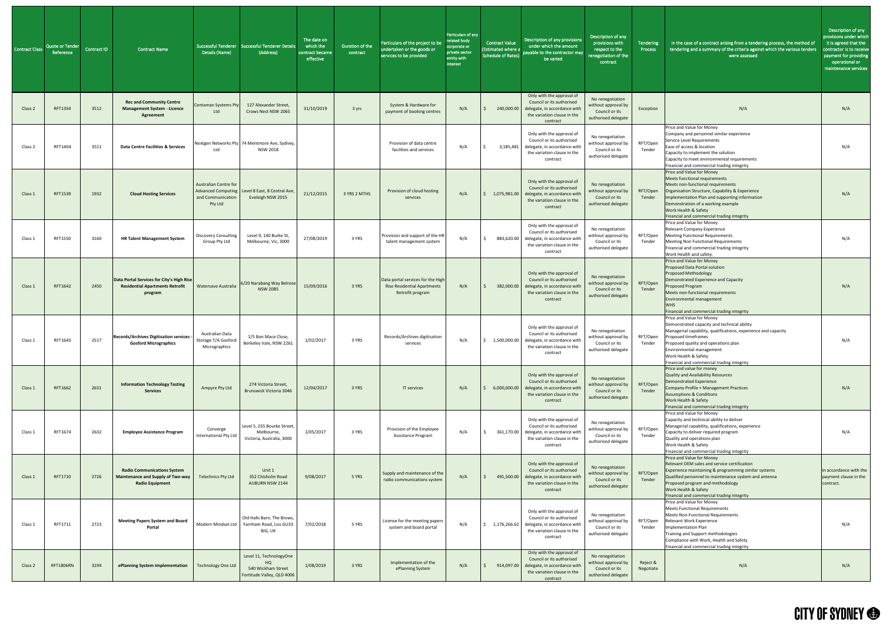| <b>Contract Class</b> | Quote or Tender<br>Reference | <b>Contract ID</b> | <b>Contract Name</b>                                                                              | Details (Name)                                                                            | Successful Tenderer Successful Tenderer Details<br>(Address)                          | The date on<br>which the<br>contract became<br>effective | Duration of the<br>contract | Particulars of the project to be<br>undertaken or the goods or<br>services to be provided   | Particulars of any<br>related body<br>corporate or<br>private sector<br>entity with<br>interest | Contract Value<br>(Estimated where a<br><b>Schedule of Rates)</b> | Description of any provisions<br>under which the amount<br>payable to the contractor may<br>be varied                                        | Description of any<br>provisions with<br>respect to the<br>enegotiation of the<br>contract | Tendering<br>Process  | In the case of a contract arising from a tendering process, the method of<br>tendering and a summary of the criteria against which the various tenders<br>were assessed                                                                                                                                          | Description of any<br>provisions under which<br>it is agreed that the<br>contractor is to receive<br>payment for providing<br>operational or<br>maintenance services |
|-----------------------|------------------------------|--------------------|---------------------------------------------------------------------------------------------------|-------------------------------------------------------------------------------------------|---------------------------------------------------------------------------------------|----------------------------------------------------------|-----------------------------|---------------------------------------------------------------------------------------------|-------------------------------------------------------------------------------------------------|-------------------------------------------------------------------|----------------------------------------------------------------------------------------------------------------------------------------------|--------------------------------------------------------------------------------------------|-----------------------|------------------------------------------------------------------------------------------------------------------------------------------------------------------------------------------------------------------------------------------------------------------------------------------------------------------|----------------------------------------------------------------------------------------------------------------------------------------------------------------------|
| Class 2               | RFT1354                      | 3512               | <b>Rec and Community Centre</b><br><b>Management System - Licence</b><br><b>Agreement</b>         | <b>Centaman Systems Pty</b><br>Ltd                                                        | 127 Alexander Street,<br>Crows Nest NSW 2065                                          | 31/10/2019                                               | 3 yrs                       | System & Hardware for<br>payment of booking centres                                         | N/A                                                                                             |                                                                   | Only with the approval of<br>Council or its authorised<br>240,000.00 delegate, in accordance wit<br>the variation clause in the<br>contract  | No renegotiation<br>without approval by<br>Council or its<br>authorised delegate           | Exception             | N/A                                                                                                                                                                                                                                                                                                              | N/A                                                                                                                                                                  |
| Class 2               | RFT1404                      | 3511               | <b>Data Centre Facilities &amp; Services</b>                                                      | Ltd                                                                                       | Nextgen Networks Pty 74 Mentmore Ave, Sydney,<br><b>NSW 2018</b>                      |                                                          |                             | Provision of data centre<br>facilities and services                                         | N/A                                                                                             | 3,185,481                                                         | Only with the approval of<br>Council or its authorised<br>delegate, in accordance wit<br>the variation clause in the<br>contract             | No renegotiation<br>without approval by<br>Council or its<br>authorised delegate           | RFT/Open<br>Tender    | Price and Value for Money<br>Company and personnel similar experience<br>Service Level Requirements<br>Ease of access & location<br>Capacity to implement the solution<br>Capacity to meet environmental requirements<br>Financial and commercial trading integrity                                              | N/A                                                                                                                                                                  |
| Class 1               | RFT1539                      | 1932               | <b>Cloud Hosting Services</b>                                                                     | <b>Australian Centre for</b><br><b>Advanced Computing</b><br>and Communication<br>Pty Ltd | Level 8 East, 8 Central Ave,<br>Eveleigh NSW 2015                                     | 21/12/2015                                               | 3 YRS 2 MTHS                | Provision of cloud hosting<br>services                                                      | N/A                                                                                             | 1,075,981.00                                                      | Only with the approval of<br>Council or its authorised<br>delegate, in accordance with<br>the variation clause in the<br>contract            | No renegotiation<br>without approval by<br>Council or its<br>authorised delegate           | RFT/Open<br>Tender    | Price and Value for Money<br>Meets functional requirements<br>Meets non-functional requirements<br>Organisation Structure, Capability & Experience<br>Implementation Plan and supporting information<br>Demonstration of a working example<br>Work Health & Safety<br>Financial and commercial trading integrity | N/A                                                                                                                                                                  |
| Class 1               | RFT1550                      | 3160               | <b>HR Talent Management System</b>                                                                | <b>Discovery Consulting</b><br>Group Pty Ltd                                              | Level 9, 140 Burke St,<br>Melbourne, Vic, 3000                                        | 27/08/2019                                               | 3 YRS                       | Provision and support of the HR<br>talent management system                                 | N/A                                                                                             | 883,620.00                                                        | Only with the approval of<br>Council or its authorised<br>delegate, in accordance with<br>the variation clause in the<br>contract            | No renegotiation<br>without approval by<br>Council or its<br>authorised delegate           | RFT/Open<br>Tender    | Price and Value for Money<br>Relevant Company Experience<br><b>Meeting Functional Requirements</b><br><b>Meeting Non Functional Requirements</b><br>Financial and commercial trading integrity<br>Work Health and safety.                                                                                        | N/A                                                                                                                                                                  |
| Class 1               | RFT1642                      | 2450               | Data Portal Services for City's High Rise<br><b>Residential Apartments Retrofit</b><br>program    | Watersave Australia                                                                       | 6/20 Narabang Way Belrose<br><b>NSW 2085</b>                                          | 15/09/2016                                               | 3 YRS                       | Data portal services for the High<br><b>Rise Residential Apartments</b><br>Retrofit program | N/A                                                                                             | 382,000.00                                                        | Only with the approval of<br>Council or its authorised<br>delegate, in accordance with<br>the variation clause in the<br>contract            | No renegotiation<br>without approval by<br>Council or its<br>authorised delegate           | RFT/Open<br>Tender    | Price and Value for Money<br><b>Proposed Data Portal solution</b><br><b>Proposed Methodology</b><br>Demonstrated Experience and Capacity<br>Proposed Program<br>Meets non-functional requirements<br>Environmental management<br><b>WHS</b><br>Financial and commercial trading integrity                        | N/A                                                                                                                                                                  |
| Class 1               | RFT1643                      | 2517               | Records/Archives Digitisation services -<br><b>Gosford Micrographics</b>                          | Australian Data<br>Storage T/A Gosford<br>Micrographics                                   | 1/5 Bon Mace Close,<br>Berkeley Vale, NSW 2261                                        | 1/02/2017                                                | 3 YRS                       | Records/Archives digitisation<br>services                                                   | N/A                                                                                             | 1,500,000.00                                                      | Only with the approval of<br>Council or its authorised<br>delegate, in accordance with<br>the variation clause in the<br>contract            | No renegotiation<br>without approval by<br>Council or its<br>authorised delegate           | RFT/Open<br>Tender    | Price and Value for Money<br>Demonstrated capacity and technical ability<br>Managerial capability, qualifications, experience and capacity<br>Proposed timeframes<br>Proposed quality and operations plan<br>Environmental management<br>Work Health & Safety<br>Financial and commercial trading integrity      | N/A                                                                                                                                                                  |
| Class 1               | RFT1662                      | 2631               | <b>Information Technology Testing</b><br><b>Services</b>                                          | Ampyre Pty Ltd                                                                            | 274 Victoria Street,<br><b>Brunswick Victoria 3046</b>                                | 12/04/2017                                               | 3 YRS                       | IT services                                                                                 | N/A                                                                                             | 6,000,000.00                                                      | Only with the approval of<br>Council or its authorised<br>delegate, in accordance with<br>the variation clause in the<br>contract            | No renegotiation<br>without approval by<br>Council or its<br>authorised delegate           | RFT/Open<br>Tender    | Price and value for money<br>Quality and Availability Resources<br>Demonstrated Experience<br>Company Profile + Management Practices<br><b>Assumptions &amp; Conditions</b><br>Work Health & Safety<br>Financial and commercial trading integrity                                                                | N/A                                                                                                                                                                  |
| Class 1               | RFT1674                      | 2632               | <b>Employee Assistance Program</b>                                                                | Converge<br>International Pty Ltd                                                         | Level 5, 255 Bourke Street,<br>Melbourne,<br>Victoria, Australia, 3000                | 1/05/2017                                                | 3 YRS                       | Provision of the Employee<br>Assistance Program                                             | N/A                                                                                             | 361,170.00                                                        | Only with the approval of<br>Council or its authorised<br>delegate, in accordance with<br>the variation clause in the<br>contract            | No renegotiation<br>without approval by<br>Council or its<br>authorised delegate           | RFT/Open<br>Tender    | Price and Value for Money<br>Capacity and technical ability to deliver<br>Managerial capability, qualifications, experience<br>Capacity to deliver required program<br>Quality and operations plan<br>Work Health & Safety<br>Financial and commercial trading integrity                                         | N/A                                                                                                                                                                  |
| Class 1               | RFT1710                      | 2726               | <b>Radio Communications System</b><br>Maintenance and Supply of Two-way<br><b>Radio Equipment</b> | <b>Telechnics Pty Ltd</b>                                                                 | Unit 1<br>352 Chisholm Road<br>AUBURN NSW 2144                                        | 9/08/2017                                                | 5 YRS                       | Supply and maintenance of the<br>radio communications system                                | N/A                                                                                             |                                                                   | Only with the approval of<br>Council or its authorised<br>491,500.00 delegate, in accordance with<br>the variation clause in the<br>contract | No renegotiation<br>without approval by<br>Council or its<br>authorised delegate           | RFT/Open<br>Tender    | Price and Value for Money<br>Relevant OEM sales and service certification<br>Experience maintaining & programming similar systems<br>Qualified personnel to maintenance system and antenna<br>Proposed program and methodology<br>Work Health & Safety<br>Financial and commercial trading integrity             | In accordance with the<br>payment clause in the<br>contract.                                                                                                         |
| Class 1               | RFT1711                      | 2723               | <b>Meeting Papers System and Board</b><br>Portal                                                  |                                                                                           | Old Halls Barn, The Brows,<br>Modern Mindset Ltd   Farnham Road, Liss GU33<br>8JG, UK | 7/02/2018                                                | 5 YRS                       | License for the meeting papers<br>system and board portal                                   | N/A                                                                                             | 1,176,266.62                                                      | Only with the approval of<br>Council or its authorised<br>delegate, in accordance with<br>the variation clause in the<br>contract            | No renegotiation<br>without approval by<br>Council or its<br>authorised delegate           | RFT/Open<br>Tender    | Price and Value for Money<br><b>Meets Functional Requirements</b><br><b>Meets Non-Functional Requirements</b><br>Relevant Work Experience<br>Implementation Plan<br>Training and Support methodologies<br>Compliance with Work, Health and Safety<br>Financial and commercial trading integrity                  | N/A                                                                                                                                                                  |
| Class 2               | <b>RFT1806RN</b>             | 3194               | ePlanning System Implementation                                                                   | <b>Technology One Ltd</b>                                                                 | Level 11, TechnologyOne<br>HO.<br>540 Wickham Street<br>Fortitude Valley, QLD 4006    | 1/08/2019                                                | 3 YRS                       | Implementation of the<br>ePlanning System                                                   | N/A                                                                                             |                                                                   | Only with the approval of<br>Council or its authorised<br>914,097.00 delegate, in accordance with<br>the variation clause in the<br>contract | No renegotiation<br>without approval by<br>Council or its<br>authorised delegate           | Reject &<br>Negotiate | N/A                                                                                                                                                                                                                                                                                                              | N/A                                                                                                                                                                  |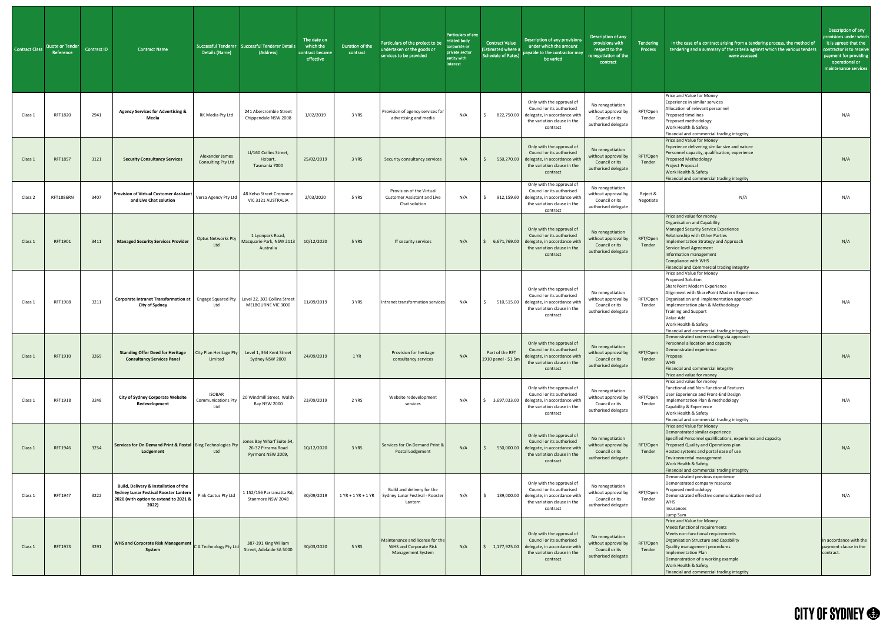| <b>Contract Class</b> | Quote or Tender<br>Reference | <b>Contract ID</b> | <b>Contract Name</b>                                                                                                                    | Details (Name)                                    | Successful Tenderer   Successful Tenderer Details<br>(Address)       | The date on<br>which the<br>contract became<br>effective | Duration of the<br>contract | Particulars of the project to be<br>undertaken or the goods or<br>services to be provided    | Particulars of any<br>related body<br>corporate or<br>private sector<br>entity with<br>interest | Contract Value<br><b>Estimated where a</b><br>Schedule of Rates) | Description of any provisions<br>under which the amount<br>payable to the contractor may<br>be varied                                            | Description of any<br>provisions with<br>respect to the<br>renegotiation of the<br>contract | Tendering<br>Process  | In the case of a contract arising from a tendering process, the method of<br>tendering and a summary of the criteria against which the various tenders<br>were assessed                                                                                                                                                           | Description of any<br>provisions under which<br>it is agreed that the<br>contractor is to receive<br>payment for providing<br>operational or<br>maintenance services |
|-----------------------|------------------------------|--------------------|-----------------------------------------------------------------------------------------------------------------------------------------|---------------------------------------------------|----------------------------------------------------------------------|----------------------------------------------------------|-----------------------------|----------------------------------------------------------------------------------------------|-------------------------------------------------------------------------------------------------|------------------------------------------------------------------|--------------------------------------------------------------------------------------------------------------------------------------------------|---------------------------------------------------------------------------------------------|-----------------------|-----------------------------------------------------------------------------------------------------------------------------------------------------------------------------------------------------------------------------------------------------------------------------------------------------------------------------------|----------------------------------------------------------------------------------------------------------------------------------------------------------------------|
| Class 1               | RFT1820                      | 2941               | <b>Agency Services for Advertising &amp;</b><br>Media                                                                                   | RK Media Pty Ltd                                  | 241 Abercrombie Street<br>Chippendale NSW 2008                       | 1/02/2019                                                | 3 YRS                       | Provision of agency services for<br>advertising and media                                    | N/A                                                                                             | 822,750.00                                                       | Only with the approval of<br>Council or its authorised<br>delegate, in accordance with<br>the variation clause in the<br>contract                | No renegotiation<br>without approval by<br>Council or its<br>authorised delegate            | RFT/Open<br>Tender    | Price and Value for Money<br>Experience in similar services<br>Allocation of relevant personnel<br>Proposed timelines<br>Proposed methodology<br>Work Health & Safety<br>Financial and commercial trading integrity                                                                                                               | N/A                                                                                                                                                                  |
| Class 1               | RFT1857                      | 3121               | <b>Security Consultancy Services</b>                                                                                                    | Alexander James<br>Consulting Pty Ltd             | LI/160 Collins Street,<br>Hobart,<br>Tasmania 7000                   | 25/02/2019                                               | 3 YRS                       | Security consultancy services                                                                | N/A                                                                                             | 550,270.00                                                       | Only with the approval of<br>Council or its authorised<br>delegate, in accordance with<br>the variation clause in the<br>contract                | No renegotiation<br>without approval by<br>Council or its<br>authorised delegate            | RFT/Open<br>Tender    | Price and Value for Money<br>Experience delivering similar size and nature<br>Personnel capacity, qualification, experience<br><b>Proposed Methodology</b><br>Project Proposal<br>Work Health & Safety<br>Financial and commercial trading integrity                                                                              | N/A                                                                                                                                                                  |
| Class 2               | RFT1886RN                    | 3407               | <b>Provision of Virtual Customer Assistant</b><br>and Live Chat solution                                                                | Versa Agency Pty Ltd                              | 48 Kelso Street Cremome<br>VIC 3121 AUSTRALIA                        | 2/03/2020                                                | 5 YRS                       | Provision of the Virtual<br><b>Customer Assistant and Live</b><br>Chat solution              | N/A                                                                                             | 912,159.60                                                       | Only with the approval of<br>Council or its authorised<br>delegate, in accordance with<br>the variation clause in the<br>contract                | No renegotiation<br>without approval by<br>Council or its<br>authorised delegate            | Reject &<br>Negotiate | N/A                                                                                                                                                                                                                                                                                                                               | N/A                                                                                                                                                                  |
| Class 1               | RFT1901                      | 3411               | <b>Managed Security Services Provider</b>                                                                                               | <b>Optus Networks Pty</b><br>Ltd                  | 1 Lyonpark Road,<br>Macquarie Park, NSW 2113<br>Australia            | 10/12/2020                                               | 5 YRS                       | IT security services                                                                         | N/A                                                                                             |                                                                  | Only with the approval of<br>Council or its authorised<br>6,671,769.00 delegate, in accordance with<br>the variation clause in the<br>contract   | No renegotiation<br>without approval by<br>Council or its<br>authorised delegate            | RFT/Open<br>Tender    | Price and value for money<br><b>Organisation and Capability</b><br><b>Managed Security Service Experience</b><br><b>Relationship with Other Parties</b><br>Implementation Strategy and Approach<br>Service level Agreement<br>Information management<br>Compliance with WHS<br>Financial and Commercial trading integrity         | N/A                                                                                                                                                                  |
| Class 1               | RFT1908                      | 3211               | Corporate Intranet Transformation at   Engage Squared Pty   Level 22, 303 Collins Street<br><b>City of Sydney</b>                       | Ltd                                               | MELBOURNE VIC 3000                                                   | 11/09/2019                                               | 3 YRS                       | Intranet transformation services                                                             | N/A                                                                                             | 510,515.00                                                       | Only with the approval of<br>Council or its authorised<br>delegate, in accordance with<br>the variation clause in the<br>contract                | No renegotiation<br>without approval by<br>Council or its<br>authorised delegate            | RFT/Open<br>Tender    | Price and Value for Money<br>Proposed Solution<br>SharePoint Modern Experience<br>Alignment with SharePoint Modern Experience.<br>Organisation and implementation approach<br>Implementation plan & Methodology<br><b>Training and Support</b><br>Value Add<br>Work Health & Safety<br>Financial and commercial trading integrity | N/A                                                                                                                                                                  |
| Class 1               | RFT1910                      | 3269               | <b>Standing Offer Deed for Heritage</b><br><b>Consultancy Services Panel</b>                                                            | City Plan Heritage Pty<br>Limited                 | Level 1, 364 Kent Street<br>Sydney NSW 2000                          | 24/09/2019                                               | 1 YR                        | Provision for heritage<br>consultancy services                                               | N/A                                                                                             | Part of the RFT<br>1910 panel - \$1.5m                           | Only with the approval of<br>Council or its authorised<br>delegate, in accordance with<br>the variation clause in the<br>contract                | No renegotiation<br>without approval by<br>Council or its<br>authorised delegate            | RFT/Open<br>Tender    | Demonstrated understanding via approach<br>Personnel allocation and capacity<br>Demonstrated experience<br>Proposal<br><b>WHS</b><br>Financial and commercial integrity<br>Price and value for money                                                                                                                              | N/A                                                                                                                                                                  |
| Class 1               | RFT1918                      | 3248               | <b>City of Sydney Corporate Website</b><br>Redevelopment                                                                                | <b>ISOBAR</b><br><b>Communications Pty</b><br>Ltd | 20 Windmill Street, Walsh<br><b>Bay NSW 2000</b>                     | 23/09/2019                                               | 2 YRS                       | Website redevelopment<br>services                                                            | N/A                                                                                             | 3,697,033.00                                                     | Only with the approval of<br>Council or its authorised<br>delegate, in accordance with<br>the variation clause in the<br>contract                | No renegotiation<br>without approval by<br>Council or its<br>authorised delegate            | RFT/Open<br>Tender    | Price and value for money<br><b>Functional and Non-Functional Features</b><br>User Experience and Front-End Design<br>Implementation Plan & methodology<br>Capability & Experience<br>Work Health & Safety<br>Financial and commercial trading integrity                                                                          | N/A                                                                                                                                                                  |
| Class 1               | RFT1946                      | 3254               | Services for On Demand Print & Postal   Bing Technologies Pty<br>Lodgement                                                              | Ltd                                               | Jones Bay Wharf Suite 54,<br>26-32 Pirrama Road<br>Pyrmont NSW 2009, | 10/12/2020                                               | 3 YRS                       | Services for On Demand Print &<br>Postal Lodgement                                           | N/A                                                                                             |                                                                  | Only with the approval of<br>Council or its authorised<br>550,000.00 delegate, in accordance with<br>the variation clause in the<br>contract     | No renegotiation<br>without approval by<br>Council or its<br>authorised delegate            | RFT/Open<br>Tender    | Price and Value for Money<br>Demonstrated similar experience<br>Specified Personnel qualifications, experience and capacity<br>Proposed Quality and Operations plan<br>Hosted systems and portal ease of use<br>Environmental management<br>Work Health & Safety<br>Financial and commercial trading integrity                    | N/A                                                                                                                                                                  |
| Class 1               | RFT1947                      | 3222               | Build, Delivery & Installation of the<br><b>Sydney Lunar Festival Rooster Lantern</b><br>2020 (with option to extend to 2021 &<br>2022) | Pink Cactus Pty Ltd                               | 1 152/156 Parramatta Rd,<br>Stanmore NSW 2048                        | 30/09/2019                                               |                             | Build and delivery for the<br>1 YR + 1 YR + 1 YR Sydney Lunar Festival - Rooster<br>Lantern  | N/A                                                                                             | 139,000.00<br>S.                                                 | Only with the approval of<br>Council or its authorised<br>delegate, in accordance with<br>the variation clause in the<br>contract                | No renegotiation<br>without approval by<br>Council or its<br>authorised delegate            | RFT/Open<br>Tender    | Demonstrated previous experience<br>Demonstrated company resource<br>Proposed methodology<br>Demonstrated effective communication method<br><b>WHS</b><br>Insurances<br>Lump Sum                                                                                                                                                  | N/A                                                                                                                                                                  |
| Class 1               | RFT1973                      | 3291               | WHS and Corporate Risk Management C A Technology Pty Ltd<br>System                                                                      |                                                   | 387-391 King William<br>Street, Adelaide SA 5000                     | 30/03/2020                                               | 5 YRS                       | Maintenance and license for the<br><b>WHS and Corporate Risk</b><br><b>Management System</b> | N/A                                                                                             |                                                                  | Only with the approval of<br>Council or its authorised<br>$1,177,925.00$ delegate, in accordance with<br>the variation clause in the<br>contract | No renegotiation<br>without approval by<br>Council or its<br>authorised delegate            | RFT/Open<br>Tender    | Price and Value for Money<br><b>Meets functional requirements</b><br>Meets non-functional requirements<br>Organisation Structure and Capability<br>Quality management procedures<br><b>Implementation Plan</b><br>Demonstration of a working example<br>Work Health & Safety<br>Financial and commercial trading integrity        | In accordance with the<br>payment clause in the<br>contract.                                                                                                         |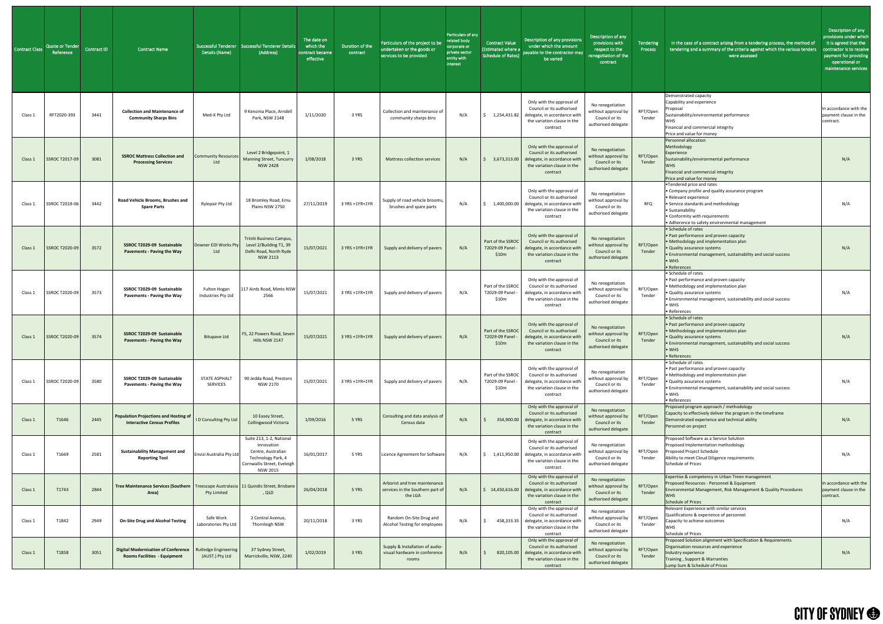| <b>Contract Class</b> | <b>Quote or Tender</b><br>Reference | Contract ID | <b>Contract Name</b>                                                                                   | Details (Name)                                 | Successful Tenderer   Successful Tenderer Details<br>(Address)                                                                       | The date on<br>which the<br>contract became<br>effective | Duration of the<br>contract | Particulars of the project to be<br>undertaken or the goods or<br>services to be provided | Particulars of any<br>related body<br>corporate or<br>private sector<br>entity with<br>interest | <b>Contract Value</b><br><b>Estimated where a</b><br><b>Schedule of Rates)</b> | Description of any provisions<br>under which the amount<br>payable to the contractor may<br>be varied                             | Description of any<br>provisions with<br>respect to the<br>renegotiation of the<br>contract | Tendering<br>Process | In the case of a contract arising from a tendering process, the method of<br>tendering and a summary of the criteria against which the various tenders<br>were assessed                                                                              | Description of any<br>provisions under which<br>it is agreed that the<br>contractor is to receive<br>payment for providing<br>operational or<br>maintenance services |
|-----------------------|-------------------------------------|-------------|--------------------------------------------------------------------------------------------------------|------------------------------------------------|--------------------------------------------------------------------------------------------------------------------------------------|----------------------------------------------------------|-----------------------------|-------------------------------------------------------------------------------------------|-------------------------------------------------------------------------------------------------|--------------------------------------------------------------------------------|-----------------------------------------------------------------------------------------------------------------------------------|---------------------------------------------------------------------------------------------|----------------------|------------------------------------------------------------------------------------------------------------------------------------------------------------------------------------------------------------------------------------------------------|----------------------------------------------------------------------------------------------------------------------------------------------------------------------|
| Class :               | RFT2020-393                         | 3441        | <b>Collection and Maintenance of</b><br><b>Community Sharps Bins</b>                                   | Med-X Pty Ltd                                  | 9 Kenoma Place, Arndell<br>Park, NSW 2148                                                                                            | 1/11/2020                                                | 3 YRS                       | Collection and maintenance of<br>community sharps bins                                    | N/A                                                                                             | 1,254,431.82                                                                   | Only with the approval of<br>Council or its authorised<br>delegate, in accordance with<br>the variation clause in the<br>contract | No renegotiation<br>without approval by<br>Council or its<br>authorised delegate            | RFT/Open<br>Tender   | Demonstrated capacity<br>Capability and experience<br>Proposal<br>Sustainability/environmental performance<br><b>WHS</b><br>Financial and commercial integrity<br>Price and value for money                                                          | In accordance with the<br>payment clause in the<br>contract.                                                                                                         |
| Class 1               | <b>SSROC T2017-09</b>               | 3081        | <b>SSROC Mattress Collection and</b><br><b>Processing Services</b>                                     | <b>Community Resources</b><br>Ltd              | Level 2 Bridgepoint, 1<br><b>Manning Street, Tuncurry</b><br><b>NSW 2428</b>                                                         | 1/08/2018                                                | 3 YRS                       | Mattress collection services                                                              | N/A                                                                                             | 3,673,313.00                                                                   | Only with the approval of<br>Council or its authorised<br>delegate, in accordance with<br>the variation clause in the<br>contract | No renegotiation<br>without approval by<br>Council or its<br>authorised delegate            | RFT/Open<br>Tender   | Personnel allocation<br>Methodology<br>Experience<br>Sustainability/environmental performance<br><b>WHS</b><br>Financial and commercial integrity<br>Price and value for money                                                                       | N/A                                                                                                                                                                  |
| Class 1               | SSROC T2019-06                      | 3442        | Road Vehicle Brooms, Brushes and<br><b>Spare Parts</b>                                                 | Rylepair Pty Ltd                               | 18 Bromley Road, Emu<br>Plains NSW 2750                                                                                              | 27/11/2019                                               | 3 YRS +1YR+1YR              | Supply of road vehicle brooms,<br>brushes and spare parts                                 | N/A                                                                                             | 1,400,000.00                                                                   | Only with the approval of<br>Council or its authorised<br>delegate, in accordance with<br>the variation clause in the<br>contract | No renegotiation<br>without approval by<br>Council or its<br>authorised delegate            | <b>RFQ</b>           | •Tendered price and rates<br>• Company profile and quality assurance program<br>· Relevant experience<br>• Service standards and methodology<br>• Sustainability<br>• Conformity with requirements<br>• Adherence to safety environmental management | N/A                                                                                                                                                                  |
| Class 1               | SSROC T2020-09                      | 3572        | SSROC T2029-09 Sustainable<br><b>Pavements - Paving the Way</b>                                        | Downer EDI Works Pty<br>Ltd                    | Triniti Business Campus,<br>Level 2/Building T1, 39<br>Delhi Road, North Ryde<br><b>NSW 2113</b>                                     | 15/07/2021                                               | 3 YRS +1YR+1YR              | Supply and delivery of pavers                                                             | N/A                                                                                             | Part of the SSROC<br>T2029-09 Panel<br>\$10m                                   | Only with the approval of<br>Council or its authorised<br>delegate, in accordance with<br>the variation clause in the<br>contract | No renegotiation<br>without approval by<br>Council or its<br>authorised delegate            | RFT/Open<br>Tender   | • Schedule of rates<br>• Past performance and proven capacity<br>• Methodology and implementation plan<br>• Quality assurance systems<br>• Environmental management, sustainability and social success<br>$\bullet$ WHS<br>• References              | N/A                                                                                                                                                                  |
| Class 1               | SSROC T2020-09                      | 3573        | SSROC T2029-09 Sustainable<br><b>Pavements - Paving the Way</b>                                        | Fulton Hogan<br>Industries Pty Ltd             | 117 Airds Road, Minto NSW<br>2566                                                                                                    | 15/07/2021                                               | 3 YRS +1YR+1YR              | Supply and delivery of pavers                                                             | N/A                                                                                             | Part of the SSROC<br>T2029-09 Panel<br>\$10m                                   | Only with the approval of<br>Council or its authorised<br>delegate, in accordance with<br>the variation clause in the<br>contract | No renegotiation<br>without approval by<br>Council or its<br>authorised delegate            | RFT/Open<br>Tender   | • Schedule of rates<br>. Past performance and proven capacity<br>• Methodology and implementation plan<br>• Quality assurance systems<br>. Environmental management, sustainability and social success<br>$\bullet$ WHS<br>• References              | N/A                                                                                                                                                                  |
| Class 1               | <b>SSROC T2020-09</b>               | 3574        | SSROC T2029-09 Sustainable<br><b>Pavements - Paving the Way</b>                                        | <b>Bitupave Ltd</b>                            | F5, 22 Powers Road, Seven<br>Hills NSW 2147                                                                                          | 15/07/2021                                               | 3 YRS +1YR+1YR              | Supply and delivery of pavers                                                             | N/A                                                                                             | Part of the SSROC<br>T2029-09 Panel<br>\$10m                                   | Only with the approval of<br>Council or its authorised<br>delegate, in accordance with<br>the variation clause in the<br>contract | No renegotiation<br>without approval by<br>Council or its<br>authorised delegate            | RFT/Open<br>Tender   | • Schedule of rates<br>• Past performance and proven capacity<br>• Methodology and implementation plan<br>• Quality assurance systems<br>. Environmental management, sustainability and social success<br>$\bullet$ WHS<br>• References              | N/A                                                                                                                                                                  |
| Class 1               | SSROC T2020-09                      | 3580        | SSROC T2029-09 Sustainable<br><b>Pavements - Paving the Way</b>                                        | STATE ASPHALT<br><b>SERVICES</b>               | 90 Jedda Road, Prestons<br><b>NSW 2170</b>                                                                                           | 15/07/2021                                               | 3 YRS +1YR+1YR              | Supply and delivery of pavers                                                             | N/A                                                                                             | Part of the SSROC<br>T2029-09 Panel<br>\$10m                                   | Only with the approval of<br>Council or its authorised<br>delegate, in accordance with<br>the variation clause in the<br>contract | No renegotiation<br>without approval by<br>Council or its<br>authorised delegate            | RFT/Open<br>Tender   | • Schedule of rates<br>• Past performance and proven capacity<br>• Methodology and implementation plan<br>• Quality assurance systems<br>• Environmental management, sustainability and social success<br>$\bullet$ WHS<br>• References              | N/A                                                                                                                                                                  |
| Class 1               | T1646                               | 2445        | Population Projections and Hosting of     D Consulting Pty Ltd  <br><b>Interactive Census Profiles</b> |                                                | 10 Easey Street,<br>Collingwood Victoria                                                                                             | 1/09/2016                                                | 5 YRS                       | Consulting and data analysis of<br>Census data                                            | N/A                                                                                             | 354,900.00                                                                     | Only with the approval of<br>Council or its authorised<br>delegate, in accordance with<br>the variation clause in the<br>contract | No renegotiation<br>without approval by<br>Council or its<br>authorised delegate            | RFT/Open<br>Tender   | Proposed program approach / methodology<br>Capacity to effectively deliver the program in the timeframe<br>Demonstrated experience and technical ability<br>Personnel on project                                                                     | N/A                                                                                                                                                                  |
| Class 1               | T1669                               | 2581        | <b>Sustainability Management and</b><br><b>Reporting Tool</b>                                          | Envizi Australia Pty Ltd                       | Suite 213, 1-2, National<br>Innovation<br>Centre, Australian<br>Technology Park, 4<br>Cornwallis Street, Eveleigh<br><b>NSW 2015</b> | 16/01/2017                                               | 5 YRS                       | Licence Agreement for Software                                                            | N/A                                                                                             | 1,411,950.00                                                                   | Only with the approval of<br>Council or its authorised<br>delegate, in accordance with<br>the variation clause in the<br>contract | No renegotiation<br>without approval by<br>Council or its<br>authorised delegate            | RFT/Open<br>Tender   | Proposed Software as a Service Solution<br>Proposed Implementation methodology<br>Proposed Project Schedule<br>Ability to meet Cloud Diligence requirements<br><b>Schedule of Prices</b>                                                             | N/A                                                                                                                                                                  |
| Class 1               | T1743                               | 2844        | Tree Maintenance Services (Southern   Treescape Australasia   11 Quindis Street, Brisbane<br>Area)     | Pty Limited                                    | , QLD                                                                                                                                | 26/04/2018                                               | 5 YRS                       | Arborist and tree maintenance<br>services in the Southern part of<br>the LGA              | N/A                                                                                             | $\frac{1}{2}$ 14,450,616.00                                                    | Only with the approval of<br>Council or its authorised<br>delegate, in accordance with<br>the variation clause in the<br>contract | No renegotiation<br>without approval by<br>Council or its<br>authorised delegate            | RFT/Open<br>Tender   | Expertise & competency in Urban Treen management<br>Proposed Resources - Personnel & Equipment<br>Environmental Management, Risk Management & Quality Procedures<br><b>WHS</b><br><b>Schedule of Prices</b>                                          | In accordance with the<br>payment clause in the<br>contract.                                                                                                         |
| Class 1               | T1842                               | 2949        | <b>On-Site Drug and Alcohol Testing</b>                                                                | Safe Work<br>Laboratories Pty Ltd              | 2 Central Avenue,<br>Thornleigh NSW                                                                                                  | 20/11/2018                                               | 3 YRS                       | Random On-Site Drug and<br>Alcohol Testing for employees                                  | N/A                                                                                             | 458,333.35                                                                     | Only with the approval of<br>Council or its authorised<br>delegate, in accordance with<br>the variation clause in the<br>contract | No renegotiation<br>without approval by<br>Council or its<br>authorised delegate            | RFT/Open<br>Tender   | Relevant Experience with similar services<br>Qualifications & experience of personnel<br>Capacity to achieve outcomes<br>WHS<br><b>Schedule of Prices</b>                                                                                            | N/A                                                                                                                                                                  |
| Class 1               | T1858                               | 3051        | <b>Digital Modernisation of Conference</b><br><b>Rooms Facilities - Equipment</b>                      | <b>Rutledge Engineering</b><br>(AUST.) Pty Ltd | 37 Sydney Street,<br>Marrickville, NSW, 2240                                                                                         | 1/02/2019                                                | 3 YRS                       | Supply & Installation of audio-<br>visual hardware in conference<br>rooms                 | N/A                                                                                             | 820,105.00                                                                     | Only with the approval of<br>Council or its authorised<br>delegate, in accordance with<br>the variation clause in the<br>contract | No renegotiation<br>without approval by<br>Council or its<br>authorised delegate            | RFT/Open<br>Tender   | Proposed Solution alignment with Specification & Requirements<br>Organisation resources and experience<br>Industry experience<br>Training, Support & Warranties<br>Lump Sum & Schedule of Prices                                                     | N/A                                                                                                                                                                  |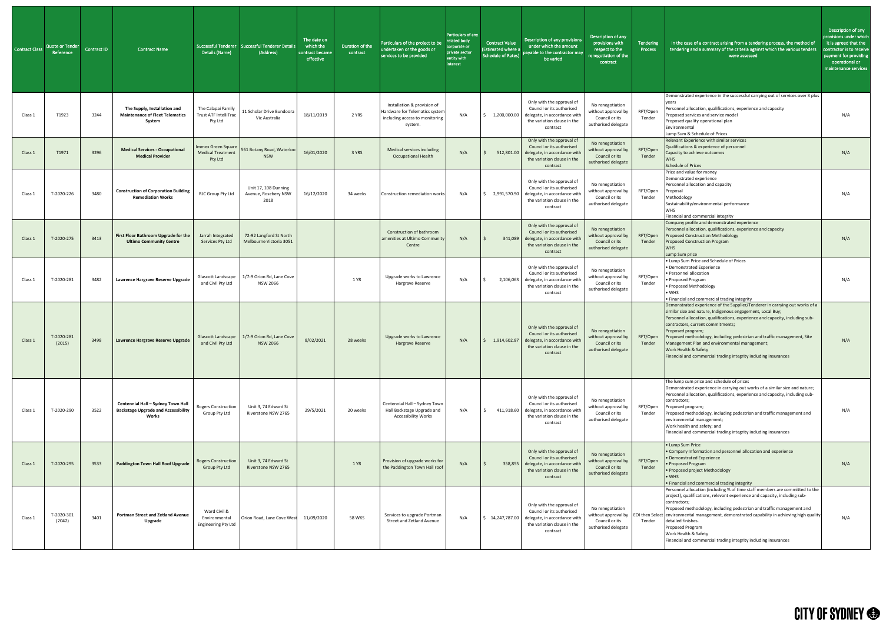| <b>Contract Class</b> | Quote or Tender<br>Reference | Contract ID | Contract Name                                                                             | Details (Name)                                                | Successful Tenderer Successful Tenderer Details<br>(Address) | The date on<br>which the<br>contract became<br>effective | Duration of the<br>contract | Particulars of the project to be<br>undertaken or the goods or<br>services to be provided                  | Particulars of any<br>related body<br>corporate or<br>private sector<br>entity with<br>interest | Contract Value<br>(Estimated where a<br>Schedule of Rates) | Description of any provisions<br>under which the amount<br>payable to the contractor may<br>be varied                                                         | Description of any<br>provisions with<br>respect to the<br>renegotiation of the<br>contract | Tendering<br>Process | In the case of a contract arising from a tendering process, the method of<br>tendering and a summary of the criteria against which the various tenders<br>were assessed                                                                                                                                                                                                                                                                                                                                         | Description of any<br>provisions under which<br>it is agreed that the<br>contractor is to receive<br>payment for providing<br>operational or<br>maintenance services |
|-----------------------|------------------------------|-------------|-------------------------------------------------------------------------------------------|---------------------------------------------------------------|--------------------------------------------------------------|----------------------------------------------------------|-----------------------------|------------------------------------------------------------------------------------------------------------|-------------------------------------------------------------------------------------------------|------------------------------------------------------------|---------------------------------------------------------------------------------------------------------------------------------------------------------------|---------------------------------------------------------------------------------------------|----------------------|-----------------------------------------------------------------------------------------------------------------------------------------------------------------------------------------------------------------------------------------------------------------------------------------------------------------------------------------------------------------------------------------------------------------------------------------------------------------------------------------------------------------|----------------------------------------------------------------------------------------------------------------------------------------------------------------------|
| Class 1               | T1923                        | 3244        | The Supply, Installation and<br><b>Maintenance of Fleet Telematics</b><br>System          | The Calapai Family<br><b>Trust ATF IntelliTrac</b><br>Pty Ltd | 11 Scholar Drive Bundoora<br>Vic Australia                   | 18/11/2019                                               | 2 YRS                       | Installation & provision of<br>Hardware for Telematics system<br>including access to monitoring<br>system. | N/A                                                                                             | 1,200,000.00                                               | Only with the approval of<br>Council or its authorised<br>delegate, in accordance with<br>the variation clause in the<br>contract                             | No renegotiation<br>without approval by<br>Council or its<br>authorised delegate            | RFT/Open<br>Tender   | Demonstrated experience in the successful carrying out of services over 3 plus<br>Personnel allocation, qualifications, experience and capacity<br>Proposed services and service model<br>Proposed quality operational plan<br>Environmental<br>Lump Sum & Schedule of Prices                                                                                                                                                                                                                                   | N/A                                                                                                                                                                  |
| Class 1               | T1971                        | 3296        | <b>Medical Services - Occupational</b><br><b>Medical Provider</b>                         | Immex Green Square<br><b>Medical Treatment</b><br>Pty Ltd     | 561 Botany Road, Waterloo<br><b>NSW</b>                      | 16/01/2020                                               | 3 YRS                       | Medical services including<br><b>Occupational Health</b>                                                   | N/A                                                                                             | 512,801.00                                                 | Only with the approval of<br>Council or its authorised<br>delegate, in accordance with<br>the variation clause in the<br>contract                             | No renegotiation<br>without approval by<br>Council or its<br>authorised delegate            | RFT/Open<br>Tender   | Relevant Experience with similar services<br>Qualifications & experience of personnel<br>Capacity to achieve outcomes<br><b>WHS</b><br><b>Schedule of Prices</b>                                                                                                                                                                                                                                                                                                                                                | N/A                                                                                                                                                                  |
| Class 1               | T-2020-226                   | 3480        | <b>Construction of Corporation Building</b><br><b>Remediation Works</b>                   | RJC Group Pty Ltd                                             | Unit 17, 108 Dunning<br>Avenue, Rosebery NSW<br>2018         | 16/12/2020                                               | 34 weeks                    | Construction remediation works                                                                             | N/A                                                                                             | 2,991,570.90                                               | Only with the approval of<br>Council or its authorised<br>delegate, in accordance with<br>the variation clause in the<br>contract                             | No renegotiation<br>without approval by<br>Council or its<br>authorised delegate            | RFT/Open<br>Tender   | Price and value for money<br>Demonstrated experience<br>Personnel allocation and capacity<br>Proposal<br>Methodology<br>Sustainability/environmental performance<br><b>WHS</b><br>Financial and commercial integrity                                                                                                                                                                                                                                                                                            | N/A                                                                                                                                                                  |
| Class 1               | T-2020-275                   | 3413        | First Floor Bathroom Upgrade for the<br><b>Ultimo Community Centre</b>                    | Jarrah Integrated<br>Services Pty Ltd                         | 72-92 Langford St North<br>Melbourne Victoria 3051           |                                                          |                             | Construction of bathroom<br>amenities at Ultimo Community<br>Centre                                        | N/A                                                                                             | 341,089                                                    | Only with the approval of<br>Council or its authorised<br>delegate, in accordance with<br>the variation clause in the<br>contract                             | No renegotiation<br>without approval by<br>Council or its<br>authorised delegate            | RFT/Open<br>Tender   | Company profile and demonstrated experience<br>Personnel allocation, qualifications, experience and capacity<br><b>Proposed Construction Methodology</b><br><b>Proposed Construction Program</b><br><b>WHS</b><br>Lump Sum price                                                                                                                                                                                                                                                                                | N/A                                                                                                                                                                  |
| Class 1               | T-2020-281                   | 3482        | Lawrence Hargrave Reserve Upgrade                                                         | Glascott Landscape<br>and Civil Pty Ltd                       | 1/7-9 Orion Rd, Lane Cove<br><b>NSW 2066</b>                 |                                                          | 1 YR                        | Upgrade works to Lawrence<br>Hargrave Reserve                                                              | N/A                                                                                             | 2,106,063                                                  | Only with the approval of<br>Council or its authorised<br>delegate, in accordance with<br>the variation clause in the<br>contract                             | No renegotiation<br>without approval by<br>Council or its<br>authorised delegate            | RFT/Open<br>Tender   | • Lump Sum Price and Schedule of Prices<br>• Demonstrated Experience<br>• Personnel allocation<br>• Proposed Program<br>• Proposed Methodology<br>$\bullet$ WHS<br>• Financial and commercial trading integrity                                                                                                                                                                                                                                                                                                 | N/A                                                                                                                                                                  |
| Class 1               | T-2020-281<br>(2015)         | 3498        | Lawrence Hargrave Reserve Upgrade                                                         | <b>Glascott Landscape</b><br>and Civil Pty Ltd                | 1/7-9 Orion Rd, Lane Cove<br><b>NSW 2066</b>                 | 8/02/2021                                                | 28 weeks                    | Upgrade works to Lawrence<br>Hargrave Reserve                                                              | N/A                                                                                             | 1,914,602.87                                               | Only with the approval of<br>Council or its authorised<br>delegate, in accordance with<br>the variation clause in the<br>contract                             | No renegotiation<br>without approval by<br>Council or its<br>authorised delegate            | RFT/Open<br>Tender   | Demonstrated experience of the Supplier/Tenderer in carrying out works of a<br>similar size and nature, Indigenous engagement, Local Buy;<br>Personnel allocation, qualifications, experience and capacity, including sub-<br>contractors, current commitments;<br>Proposed program;<br>Proposed methodology, including pedestrian and traffic management, Site<br>Management Plan and environmental management;<br>Work Health & Safety<br>Financial and commercial trading integrity including insurances     | N/A                                                                                                                                                                  |
| Class 1               | T-2020-290                   | 3522        | Centennial Hall - Sydney Town Hall<br><b>Backstage Upgrade and Accessibility</b><br>Works | Rogers Construction<br>Group Pty Ltd                          | Unit 3, 74 Edward St<br>Riverstone NSW 2765                  | 29/5/2021                                                | 20 weeks                    | Centennial Hall - Sydney Town<br>Hall Backstage Upgrade and<br><b>Accessibility Works</b>                  | N/A                                                                                             |                                                            | Only with the approval of<br>Council or its authorised<br>411,918.60 delegate, in accordance with<br>the variation clause in the<br>contract                  | No renegotiation<br>without approval by<br>Council or its<br>authorised delegate            | RFT/Open<br>Tender   | The lump sum price and schedule of prices<br>Demonstrated experience in carrying out works of a similar size and nature;<br>Personnel allocation, qualifications, experience and capacity, including sub-<br>contractors;<br>Proposed program;<br>Proposed methodology, including pedestrian and traffic management and<br>environmental management;<br>Work health and safety; and<br>Financial and commercial trading integrity including insurances                                                          | N/A                                                                                                                                                                  |
| Class 1               | T-2020-295                   | 3533        | <b>Paddington Town Hall Roof Upgrade</b>                                                  | <b>Rogers Construction</b><br><b>Group Pty Ltd</b>            | Unit 3, 74 Edward St<br>Riverstone NSW 2765                  |                                                          | 1 YR                        | Provision of upgrade works for<br>the Paddington Town Hall roof                                            | N/A                                                                                             | 358,855                                                    | Only with the approval of<br>Council or its authorised<br>delegate, in accordance with<br>the variation clause in the<br>contract                             | No renegotiation<br>without approval by<br>Council or its<br>authorised delegate            | RFT/Open<br>Tender   | • Lump Sum Price<br>• Company Information and personnel allocation and experience<br>• Demonstrated Experience<br>• Proposed Program<br>• Proposed project Methodology<br>$\bullet$ WHS<br>. Financial and commercial trading integrity                                                                                                                                                                                                                                                                         | N/A                                                                                                                                                                  |
| Class 1               | T-2020-301<br>(2042)         | 3401        | <b>Portman Street and Zetland Avenue</b><br>Upgrade                                       | Ward Civil &<br>Environmental<br>Engineering Pty Ltd          | Orion Road, Lane Cove West                                   | 11/09/2020                                               | <b>58 WKS</b>               | Services to upgrade Portman<br>Street and Zetland Avenue                                                   | N/A                                                                                             |                                                            | Only with the approval of<br>Council or its authorised<br>$\frac{1}{2}$ 14,247,787.00 delegate, in accordance with<br>the variation clause in the<br>contract | No renegotiation<br>Council or its<br>authorised delegate                                   | Tender               | Personnel allocation (including % of time staff members are committed to the<br>project), qualifications, relevant experience and capacity, including sub-<br>contractors;<br>Proposed methodology, including pedestrian and traffic management and<br>without approval by   EOI then Select   environmental management, demonstrated capability in achieving high quality<br>detailed finishes.<br>Proposed Program<br>Work Health & Safety<br>Financial and commercial trading integrity including insurances | N/A                                                                                                                                                                  |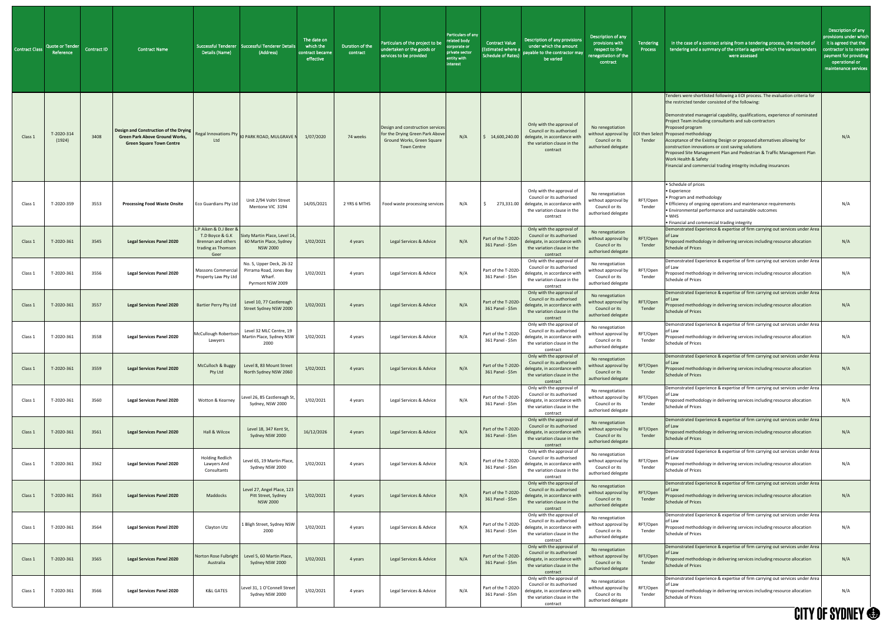| <b>Contract Class</b> | <b>Quote or Tender</b><br>Reference | Contract ID | Contract Name                                                                                                       | Details (Name)                                                          | Successful Tenderer   Successful Tenderer Details<br>(Address)                                   | The date on<br>which the<br>contract became<br>effective | Duration of the<br>contract | Particulars of the project to be<br>undertaken or the goods or<br>services to be provided                              | Particulars of any<br>elated body<br>corporate or<br>private sector<br>entity with<br>interest | <b>Contract Value</b><br><b>Estimated where a</b><br><b>Schedule of Rates)</b> | Description of any provisions<br>under which the amount<br>payable to the contractor may<br>be varied                                        | Description of any<br>provisions with<br>respect to the<br>renegotiation of the<br>contract | Tendering<br>Process             | In the case of a contract arising from a tendering process, the method of<br>tendering and a summary of the criteria against which the various tenders<br>were assessed                                                                                                                                                                                                                                                                                                                                                                                                                                                      | Description of any<br>provisions under whic<br>it is agreed that the<br>contractor is to receive<br>payment for providing<br>operational or<br>maintenance services |
|-----------------------|-------------------------------------|-------------|---------------------------------------------------------------------------------------------------------------------|-------------------------------------------------------------------------|--------------------------------------------------------------------------------------------------|----------------------------------------------------------|-----------------------------|------------------------------------------------------------------------------------------------------------------------|------------------------------------------------------------------------------------------------|--------------------------------------------------------------------------------|----------------------------------------------------------------------------------------------------------------------------------------------|---------------------------------------------------------------------------------------------|----------------------------------|------------------------------------------------------------------------------------------------------------------------------------------------------------------------------------------------------------------------------------------------------------------------------------------------------------------------------------------------------------------------------------------------------------------------------------------------------------------------------------------------------------------------------------------------------------------------------------------------------------------------------|---------------------------------------------------------------------------------------------------------------------------------------------------------------------|
| Class 1               | T-2020-314<br>(1924)                | 3408        | Design and Construction of the Drying  <br><b>Green Park Above Ground Works,</b><br><b>Green Square Town Centre</b> | Ltd                                                                     | Regal Innovations Pty 80 PARK ROAD, MULGRAVE                                                     | 1/07/2020                                                | 74 weeks                    | Design and construction services<br>for the Drying Green Park Abov<br>Ground Works, Green Square<br><b>Town Centre</b> | N/A                                                                                            | 14,600,240.00                                                                  | Only with the approval of<br>Council or its authorised<br>delegate, in accordance with<br>the variation clause in the<br>contract            | No renegotiation<br>without approval by<br>Council or its<br>authorised delegate            | <b>EOI then Select</b><br>Tender | Tenders were shortlisted following a EOI process. The evaluation criteria for<br>the restricted tender consisted of the following:<br>Demonstrated managerial capability, qualifications, experience of nominated<br>Project Team including consultants and sub-contractors<br>Proposed program<br>Proposed methodology<br>Acceptance of the Existing Design or proposed alternatives allowing for<br>construction innovations or cost saving solutions<br>Proposed Site Management Plan and Pedestrian & Traffic Management Plan<br>Work Health & Safety<br>Financial and commercial trading integrity including insurances | N/A                                                                                                                                                                 |
| Class 1               | T-2020-359                          | 3553        | <b>Processing Food Waste Onsite</b>                                                                                 | Eco Guardians Pty Ltd                                                   | Unit 2/94 Voltri Street<br>Mentone VIC 3194                                                      | 14/05/2021                                               | 2 YRS 6 MTHS                | Food waste processing services                                                                                         | N/A                                                                                            |                                                                                | Only with the approval of<br>Council or its authorised<br>273,331.00 delegate, in accordance with<br>the variation clause in the<br>contract | No renegotiation<br>without approval by<br>Council or its<br>authorised delegate            | RFT/Open<br>Tender               | • Schedule of prices<br>• Experience<br>• Program and methodology<br>• Efficiency of ongoing operations and maintenance requirements<br>• Environmental performance and sustainable outcomes<br>$\bullet$ WHS<br>. Financial and commercial trading integrity                                                                                                                                                                                                                                                                                                                                                                | N/A                                                                                                                                                                 |
| Class 1               | T-2020-361                          | 3545        | <b>Legal Services Panel 2020</b>                                                                                    | L.P Aiken & D.J Beer &<br>T.D Boyce & G.K<br>trading as Thomson<br>Geer | Sixty Martin Place, Level 14,<br>Brennan and others   60 Martin Place, Sydney<br><b>NSW 2000</b> | 1/02/2021                                                | 4 years                     | Legal Services & Advice                                                                                                | N/A                                                                                            | Part of the T-2020-<br>361 Panel - \$5m                                        | Only with the approval of<br>Council or its authorised<br>delegate, in accordance with<br>the variation clause in the<br>contract            | No renegotiation<br>without approval by<br>Council or its<br>authorised delegate            | RFT/Open<br>Tender               | Demonstrated Experience & expertise of firm carrying out services under Area<br>of Law<br>Proposed methodology in delivering services including resource allocation<br>Schedule of Prices                                                                                                                                                                                                                                                                                                                                                                                                                                    | N/A                                                                                                                                                                 |
| Class 1               | T-2020-361                          | 3556        | <b>Legal Services Panel 2020</b>                                                                                    | <b>Massons Commercial</b><br>Property Law Pty Ltd                       | No. 5, Upper Deck, 26-32<br>Pirrama Road, Jones Bay<br>Wharf.<br>Pyrmont NSW 2009                | 1/02/2021                                                | 4 years                     | Legal Services & Advice                                                                                                | N/A                                                                                            | Part of the T-2020<br>361 Panel - \$5m                                         | Only with the approval of<br>Council or its authorised<br>delegate, in accordance with<br>the variation clause in the<br>contract            | No renegotiation<br>without approval by<br>Council or its<br>authorised delegate            | RFT/Open<br>Tender               | Demonstrated Experience & expertise of firm carrying out services under Area<br>of Law<br>Proposed methodology in delivering services including resource allocation<br><b>Schedule of Prices</b>                                                                                                                                                                                                                                                                                                                                                                                                                             | N/A                                                                                                                                                                 |
| Class 1               | T-2020-361                          | 3557        | <b>Legal Services Panel 2020</b>                                                                                    | <b>Bartier Perry Pty Ltd</b>                                            | Level 10, 77 Castlereagh<br>Street Sydney NSW 2000                                               | 1/02/2021                                                | 4 years                     | Legal Services & Advice                                                                                                | N/A                                                                                            | Part of the T-2020<br>361 Panel - \$5m                                         | Only with the approval of<br>Council or its authorised<br>delegate, in accordance with<br>the variation clause in the<br>contract            | No renegotiation<br>without approval by<br>Council or its<br>authorised delegate            | RFT/Open<br>Tender               | Demonstrated Experience & expertise of firm carrying out services under Area<br>of Law<br>Proposed methodology in delivering services including resource allocation<br><b>Schedule of Prices</b>                                                                                                                                                                                                                                                                                                                                                                                                                             | N/A                                                                                                                                                                 |
| Class 1               | T-2020-361                          | 3558        | <b>Legal Services Panel 2020</b>                                                                                    | McCullough Robertson<br>Lawyers                                         | Level 32 MLC Centre, 19<br>Martin Place, Sydney NSW<br>2000                                      | 1/02/2021                                                | 4 years                     | Legal Services & Advice                                                                                                | N/A                                                                                            | Part of the T-2020<br>361 Panel - \$5m                                         | Only with the approval of<br>Council or its authorised<br>delegate, in accordance with<br>the variation clause in the<br>contract            | No renegotiation<br>without approval by<br>Council or its<br>authorised delegate            | RFT/Open<br>Tender               | Demonstrated Experience & expertise of firm carrying out services under Area<br>of Law<br>Proposed methodology in delivering services including resource allocation<br><b>Schedule of Prices</b>                                                                                                                                                                                                                                                                                                                                                                                                                             | N/A                                                                                                                                                                 |
| Class 1               | T-2020-361                          | 3559        | <b>Legal Services Panel 2020</b>                                                                                    | McCulloch & Buggy<br>Pty Ltd                                            | Level 8, 83 Mount Street<br>North Sydney NSW 2060                                                | 1/02/2021                                                | 4 years                     | Legal Services & Advice                                                                                                | N/A                                                                                            | Part of the T-2020-<br>361 Panel - \$5m                                        | Only with the approval of<br>Council or its authorised<br>delegate, in accordance with<br>the variation clause in the<br>contract            | No renegotiation<br>without approval by<br>Council or its<br>authorised delegate            | RFT/Open<br>Tender               | Demonstrated Experience & expertise of firm carrying out services under Area<br>of Law<br>roposed methodology in delivering services including resource allocation<br>Schedule of Prices                                                                                                                                                                                                                                                                                                                                                                                                                                     | N/A                                                                                                                                                                 |
| Class 1               | T-2020-361                          | 3560        | <b>Legal Services Panel 2020</b>                                                                                    | Wotton & Kearney                                                        | Level 26, 85 Castlereagh St,<br>Sydney, NSW 2000                                                 | 1/02/2021                                                | 4 years                     | Legal Services & Advice                                                                                                | N/A                                                                                            | Part of the T-2020<br>361 Panel - \$5m                                         | Only with the approval of<br>Council or its authorised<br>delegate, in accordance with<br>the variation clause in the<br>contract            | No renegotiation<br>without approval by<br>Council or its<br>authorised delegate            | RFT/Open<br>Tender               | Demonstrated Experience & expertise of firm carrying out services under Area<br>of Law<br>Proposed methodology in delivering services including resource allocation<br>Schedule of Prices                                                                                                                                                                                                                                                                                                                                                                                                                                    | N/A                                                                                                                                                                 |
| Class 1               | T-2020-361                          | 3561        | <b>Legal Services Panel 2020</b>                                                                                    | Hall & Wilcox                                                           | Level 18, 347 Kent St,<br>Sydney NSW 2000                                                        | 16/12/2026                                               | 4 years                     | Legal Services & Advice                                                                                                | N/A                                                                                            | Part of the T-2020<br>361 Panel - \$5m                                         | Only with the approval of<br>Council or its authorised<br>delegate, in accordance with<br>the variation clause in the<br>contract            | No renegotiation<br>without approval b<br>Council or its<br>authorised delegate             | RFT/Open<br>Tender               | Demonstrated Experience & expertise of firm carrying out services under Area<br>of Law<br>Proposed methodology in delivering services including resource allocation<br>Schedule of Prices                                                                                                                                                                                                                                                                                                                                                                                                                                    | N/A                                                                                                                                                                 |
| Class 1               | T-2020-361                          | 3562        | <b>Legal Services Panel 2020</b>                                                                                    | <b>Holding Redlich</b><br>Lawyers And<br>Consultants                    | Level 65, 19 Martin Place,<br>Sydney NSW 2000                                                    | 1/02/2021                                                | 4 years                     | Legal Services & Advice                                                                                                | N/A                                                                                            | Part of the T-2020-<br>361 Panel - \$5m                                        | Only with the approval of<br>Council or its authorised<br>delegate, in accordance with<br>the variation clause in the<br>contract            | No renegotiation<br>without approval by<br>Council or its<br>authorised delegate            | RFT/Open<br>Tender               | Demonstrated Experience & expertise of firm carrying out services under Area<br>วf Law<br>Proposed methodology in delivering services including resource allocation<br>Schedule of Prices                                                                                                                                                                                                                                                                                                                                                                                                                                    | N/A                                                                                                                                                                 |
| Class 1               | T-2020-361                          | 3563        | <b>Legal Services Panel 2020</b>                                                                                    | Maddocks                                                                | Level 27, Angel Place, 123<br>Pitt Street, Sydney<br><b>NSW 2000</b>                             | 1/02/2021                                                | 4 years                     | Legal Services & Advice                                                                                                | N/A                                                                                            | Part of the T-2020-<br>361 Panel - \$5m                                        | Only with the approval of<br>Council or its authorised<br>delegate, in accordance with<br>the variation clause in the<br>contract            | No renegotiation<br>without approval by<br>Council or its<br>authorised delegate            | RFT/Open<br>Tender               | Demonstrated Experience & expertise of firm carrying out services under Area<br>of Law<br>Proposed methodology in delivering services including resource allocation<br><b>Schedule of Prices</b>                                                                                                                                                                                                                                                                                                                                                                                                                             | N/A                                                                                                                                                                 |
| Class 1               | T-2020-361                          | 3564        | <b>Legal Services Panel 2020</b>                                                                                    | Clayton Utz                                                             | 1 Bligh Street, Sydney NSW<br>2000                                                               | 1/02/2021                                                | 4 years                     | Legal Services & Advice                                                                                                | N/A                                                                                            | Part of the T-2020-<br>361 Panel - \$5m                                        | Only with the approval of<br>Council or its authorised<br>delegate, in accordance with<br>the variation clause in the<br>contract            | No renegotiation<br>without approval by<br>Council or its<br>authorised delegate            | RFT/Open<br>Tender               | Demonstrated Experience & expertise of firm carrying out services under Area<br>of Law<br>Proposed methodology in delivering services including resource allocation<br>Schedule of Prices                                                                                                                                                                                                                                                                                                                                                                                                                                    | N/A                                                                                                                                                                 |
| Class 1               | T-2020-361                          | 3565        | <b>Legal Services Panel 2020</b>                                                                                    | Australia                                                               | Norton Rose Fulbright Level 5, 60 Martin Place,<br>Sydney NSW 2000                               | 1/02/2021                                                | 4 years                     | Legal Services & Advice                                                                                                | N/A                                                                                            | Part of the T-2020-<br>361 Panel - \$5m                                        | Only with the approval of<br>Council or its authorised<br>delegate, in accordance with<br>the variation clause in the<br>contract            | No renegotiation<br>without approval by<br>Council or its<br>authorised delegate            | RFT/Open<br>Tender               | Demonstrated Experience & expertise of firm carrying out services under Area<br>of Law<br>Proposed methodology in delivering services including resource allocation<br><b>Schedule of Prices</b>                                                                                                                                                                                                                                                                                                                                                                                                                             | N/A                                                                                                                                                                 |
| Class 1               | T-2020-361                          | 3566        | <b>Legal Services Panel 2020</b>                                                                                    | <b>K&amp;L GATES</b>                                                    | Level 31, 1 O'Connell Street<br>Sydney NSW 2000                                                  | 1/02/2021                                                | 4 years                     | Legal Services & Advice                                                                                                | N/A                                                                                            | Part of the T-2020-<br>361 Panel - \$5m                                        | Only with the approval of<br>Council or its authorised<br>delegate, in accordance with<br>the variation clause in the<br>contract            | No renegotiation<br>without approval by<br>Council or its<br>authorised delegate            | RFT/Open<br>Tender               | Demonstrated Experience & expertise of firm carrying out services under Area<br>of Law<br>Proposed methodology in delivering services including resource allocation<br><b>Schedule of Prices</b>                                                                                                                                                                                                                                                                                                                                                                                                                             | N/A                                                                                                                                                                 |
|                       |                                     |             |                                                                                                                     |                                                                         |                                                                                                  |                                                          |                             |                                                                                                                        |                                                                                                |                                                                                |                                                                                                                                              |                                                                                             |                                  |                                                                                                                                                                                                                                                                                                                                                                                                                                                                                                                                                                                                                              | <b>CITY OF SYDNEY ®</b>                                                                                                                                             |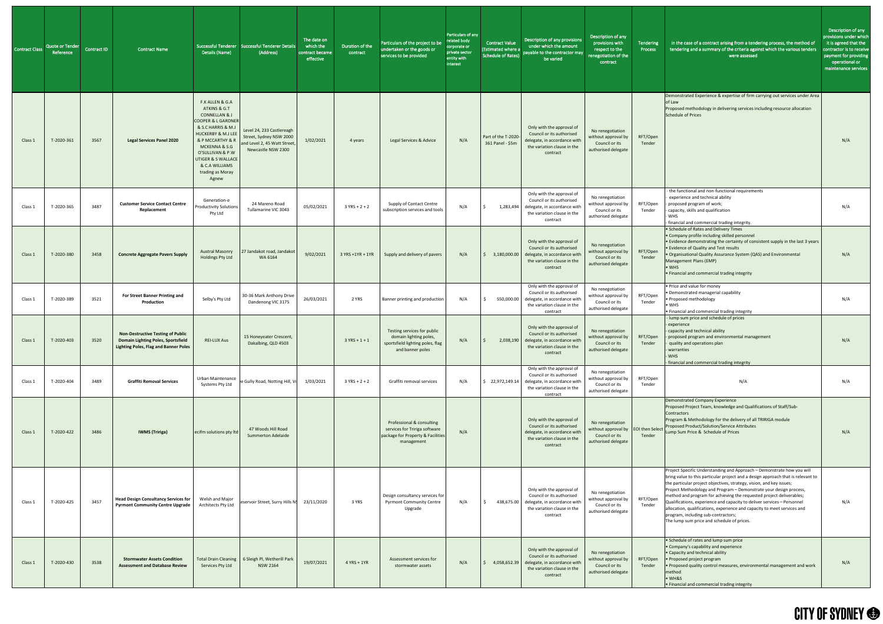| Contract Class | Quote or Tender<br>Reference | Contract ID | <b>Contract Name</b>                                                                                                                  | Details (Name)                                                                                                                                                                                                                                                                    | Successful Tenderer   Successful Tenderer Details<br>(Address)                                             | The date on<br>which the<br>contract became<br>effective | Duration of the<br>contract | Particulars of the project to be<br>undertaken or the goods or<br>services to be provided                     | Particulars of any<br>related body<br>corporate or<br>private sector<br>entity with<br>interest | <b>Contract Value</b><br><b>(Estimated where a</b><br><b>Schedule of Rates)</b> |
|----------------|------------------------------|-------------|---------------------------------------------------------------------------------------------------------------------------------------|-----------------------------------------------------------------------------------------------------------------------------------------------------------------------------------------------------------------------------------------------------------------------------------|------------------------------------------------------------------------------------------------------------|----------------------------------------------------------|-----------------------------|---------------------------------------------------------------------------------------------------------------|-------------------------------------------------------------------------------------------------|---------------------------------------------------------------------------------|
| Class 1        | T-2020-361                   | 3567        | <b>Legal Services Panel 2020</b>                                                                                                      | F.K ALLEN & G.A<br>ATKINS & G.T<br><b>CONNELLAN &amp; J</b><br><b>COOPER &amp; L GARDNER</b><br>& S.C HARRIS & M.J<br><b>HUCKERBY &amp; M.J LEE</b><br>& P MCCARTHY & R<br>MCKENNA & S.G<br>O'SULLIVAN & P.W<br>UTIGER & S WALLACE<br>& C.A WILLIAMS<br>trading as Moray<br>Agnew | Level 24, 233 Castlereagh<br>Street, Sydney NSW 2000<br>and Level 2, 45 Watt Street,<br>Newcastle NSW 2300 | 1/02/2021                                                | 4 years                     | Legal Services & Advice                                                                                       | N/A                                                                                             | Part of the T-2020-<br>361 Panel - \$5m                                         |
| Class 1        | T-2020-365                   | 3487        | <b>Customer Service Contact Centre</b><br>Replacement                                                                                 | Generation-e<br><b>Productivity Solutions</b><br>Pty Ltd                                                                                                                                                                                                                          | 24 Mareno Road<br>Tullamarine VIC 3043                                                                     | 05/02/2021                                               | $3 YRS + 2 + 2$             | Supply of Contact Centre<br>subscription services and tools                                                   | N/A                                                                                             | \$<br>1,283,494                                                                 |
| Class 1        | T-2020-380                   | 3458        | <b>Concrete Aggregate Pavers Supply</b>                                                                                               | <b>Austral Masonry</b><br><b>Holdings Pty Ltd</b>                                                                                                                                                                                                                                 | 27 Jandakot road, Jandakot<br>WA 6164                                                                      | 9/02/2021                                                | 3 YRS +1YR + 1YR            | Supply and delivery of pavers                                                                                 | N/A                                                                                             | $\varsigma$<br>3,180,000.00                                                     |
| Class 1        | T-2020-389                   | 3521        | For Street Banner Printing and<br>Production                                                                                          | Selby's Pty Ltd                                                                                                                                                                                                                                                                   | 30-36 Mark Anthony Drive<br>Dandenong VIC 3175                                                             | 26/03/2021                                               | 2 YRS                       | Banner printing and production                                                                                | N/A                                                                                             | \$<br>550,000.00                                                                |
| Class 1        | T-2020-403                   | 3520        | <b>Non-Destructive Testing of Public</b><br><b>Domain Lighting Poles, Sportsfield</b><br><b>Lighting Poles, Flag and Banner Poles</b> | <b>REI-LUX Aus</b>                                                                                                                                                                                                                                                                | 15 Honeyeater Crescent,<br>Dakalbing, QLD 4503                                                             |                                                          | $3 YRS + 1 + 1$             | Testing services for public<br>domain lighting poles,<br>sportsfield lighting poles, flag<br>and banner poles | N/A                                                                                             | $\zeta$<br>2,038,190                                                            |
| Class 1        | T-2020-404                   | 3489        | <b>Graffiti Removal Services</b>                                                                                                      | Urban Maintenance<br>Systems Pty Ltd                                                                                                                                                                                                                                              | ee Gully Road, Notting Hill, Vi                                                                            | 1/03/2021                                                | $3 YRS + 2 + 2$             | Graffiti removal services                                                                                     | N/A                                                                                             | \$22,972,149.14                                                                 |
| Class 1        | T-2020-422                   | 3486        | <b>IWMS (Tririga)</b>                                                                                                                 | ecifm solutions pty ltd                                                                                                                                                                                                                                                           | 47 Woods Hill Road<br><b>Summerton Adelaide</b>                                                            |                                                          |                             | Professional & consulting<br>services for Tririga software<br>package for Property & Facilities<br>management | N/A                                                                                             |                                                                                 |
| Class 1        | T-2020-425                   | 3457        | <b>Head Design Consultancy Services for</b><br><b>Pyrmont Community Centre Upgrade</b>                                                | Welsh and Major<br>Architects Pty Ltd                                                                                                                                                                                                                                             | eservoir Street, Surry Hills N!                                                                            | 23/11/2020                                               | 3 YRS                       | Design consultancy services for<br><b>Pyrmont Community Centre</b><br>Upgrade                                 | N/A                                                                                             | \$<br>438,675.00                                                                |
| Class 1        | T-2020-430                   | 3538        | <b>Stormwater Assets Condition</b><br><b>Assessment and Database Review</b>                                                           | <b>Total Drain Cleaning</b><br>Services Pty Ltd                                                                                                                                                                                                                                   | 6 Sleigh Pl, Wetherill Park<br><b>NSW 2164</b>                                                             | 19/07/2021                                               | $4$ YRS + 1YR               | Assessment services for<br>stormwater assets                                                                  | N/A                                                                                             | $\varsigma$<br>4,058,652.39                                                     |

| lars of any<br>body<br>ite or<br>sector<br>vith | Contract Value<br>(Estimated where a<br><b>Schedule of Rates)</b> | Description of any provisions<br>under which the amount<br>payable to the contractor may<br>be varied                             | Description of any<br>provisions with<br>respect to the<br>renegotiation of the<br>contract | <b>Tendering</b><br><b>Process</b> | In the case of a contract arising from a tendering process, the method of<br>tendering and a summary of the criteria against which the various tenders<br>were assessed                                                                                                                                                                                                                                                                                                                                                                                                                                                      | Description of any<br>provisions under which<br>it is agreed that the<br>contractor is to receive<br>payment for providing<br>operational or<br>maintenance services |
|-------------------------------------------------|-------------------------------------------------------------------|-----------------------------------------------------------------------------------------------------------------------------------|---------------------------------------------------------------------------------------------|------------------------------------|------------------------------------------------------------------------------------------------------------------------------------------------------------------------------------------------------------------------------------------------------------------------------------------------------------------------------------------------------------------------------------------------------------------------------------------------------------------------------------------------------------------------------------------------------------------------------------------------------------------------------|----------------------------------------------------------------------------------------------------------------------------------------------------------------------|
| N/A                                             | Part of the T-2020-<br>361 Panel - \$5m                           | Only with the approval of<br>Council or its authorised<br>delegate, in accordance with<br>the variation clause in the<br>contract | No renegotiation<br>without approval by<br>Council or its<br>authorised delegate            | RFT/Open<br>Tender                 | Demonstrated Experience & expertise of firm carrying out services under Area<br>of Law<br>Proposed methodology in delivering services including resource allocation<br><b>Schedule of Prices</b>                                                                                                                                                                                                                                                                                                                                                                                                                             | N/A                                                                                                                                                                  |
| N/A                                             | \$<br>1,283,494                                                   | Only with the approval of<br>Council or its authorised<br>delegate, in accordance with<br>the variation clause in the<br>contract | No renegotiation<br>without approval by<br>Council or its<br>authorised delegate            | RFT/Open<br>Tender                 | - the functional and non-functional requirements<br>experience and technical ability<br>proposed program of work;<br>capacity, skills and qualification<br>WHS<br>financial and commercial trading integrity.                                                                                                                                                                                                                                                                                                                                                                                                                | N/A                                                                                                                                                                  |
| N/A                                             | 3,180,000.00<br>\$                                                | Only with the approval of<br>Council or its authorised<br>delegate, in accordance with<br>the variation clause in the<br>contract | No renegotiation<br>without approval by<br>Council or its<br>authorised delegate            | RFT/Open<br>Tender                 | • Schedule of Rates and Delivery Times<br>• Company profile including skilled personnel<br>• Evidence demonstrating the certainty of consistent supply in the last 3 years<br>• Evidence of Quality and Test results<br>• Organisational Quality Assurance System (QAS) and Environmental<br>Management Plans (EMP)<br>$\bullet$ WHS<br>• Financial and commercial trading integrity                                                                                                                                                                                                                                         | N/A                                                                                                                                                                  |
| N/A                                             | \$<br>550,000.00                                                  | Only with the approval of<br>Council or its authorised<br>delegate, in accordance with<br>the variation clause in the<br>contract | No renegotiation<br>without approval by<br>Council or its<br>authorised delegate            | RFT/Open<br>Tender                 | • Price and value for money<br>· Demonstrated managerial capability<br>• Proposed methodology<br>$\bullet$ WHS<br>• Financial and commercial trading integrity                                                                                                                                                                                                                                                                                                                                                                                                                                                               | N/A                                                                                                                                                                  |
| N/A                                             | 2,038,190<br>Ŝ                                                    | Only with the approval of<br>Council or its authorised<br>delegate, in accordance with<br>the variation clause in the<br>contract | No renegotiation<br>without approval by<br>Council or its<br>authorised delegate            | RFT/Open<br>Tender                 | lump sum price and schedule of prices<br>experience<br>capacity and technical ability<br>proposed program and environmental management<br>quality and operations plan<br>warranties<br><b>WHS</b><br>financial and commercial trading integrity                                                                                                                                                                                                                                                                                                                                                                              | N/A                                                                                                                                                                  |
| N/A                                             | \$<br>22,972,149.14                                               | Only with the approval of<br>Council or its authorised<br>delegate, in accordance with<br>the variation clause in the<br>contract | No renegotiation<br>without approval by<br>Council or its<br>authorised delegate            | RFT/Open<br>Tender                 | N/A                                                                                                                                                                                                                                                                                                                                                                                                                                                                                                                                                                                                                          | N/A                                                                                                                                                                  |
| N/A                                             |                                                                   | Only with the approval of<br>Council or its authorised<br>delegate, in accordance with<br>the variation clause in the<br>contract | No renegotiation<br>without approval by<br>Council or its<br>authorised delegate            | <b>EOI then Select</b><br>Tender   | Demonstrated Company Experience<br>Proposed Project Team, knowledge and Qualifications of Staff/Sub-<br><b>Contractors</b><br>Program & Methodology for the delivery of all TRIRIGA module<br>Proposed Product/Solution/Service Attributes<br>Lump Sum Price & Schedule of Prices                                                                                                                                                                                                                                                                                                                                            | N/A                                                                                                                                                                  |
| N/A                                             | \$<br>438,675.00                                                  | Only with the approval of<br>Council or its authorised<br>delegate, in accordance with<br>the variation clause in the<br>contract | No renegotiation<br>without approval by<br>Council or its<br>authorised delegate            | RFT/Open<br>Tender                 | Project Specific Understanding and Approach - Demonstrate how you will<br>bring value to this particular project and a design approach that is relevant to<br>the particular project objectives, strategy, vision, and key issues;<br>Project Methodology and Program - Demonstrate your design process,<br>method and program for achieving the requested project deliverables;<br>Qualifications, experience and capacity to deliver services - Personnel<br>allocation, qualifications, experience and capacity to meet services and<br>program, including sub-contractors;<br>The lump sum price and schedule of prices. | N/A                                                                                                                                                                  |
| N/A                                             | Ś<br>4,058,652.39                                                 | Only with the approval of<br>Council or its authorised<br>delegate, in accordance with<br>the variation clause in the<br>contract | No renegotiation<br>without approval by<br>Council or its<br>authorised delegate            | RFT/Open<br>Tender                 | • Schedule of rates and lump sum price<br>• Company's capability and experience<br>• Capacity and technical ability<br>• Proposed project program<br>. Proposed quality control measures, environmental management and work<br>method<br>$\bullet$ WH&S<br>• Financial and commercial trading integrity                                                                                                                                                                                                                                                                                                                      | N/A                                                                                                                                                                  |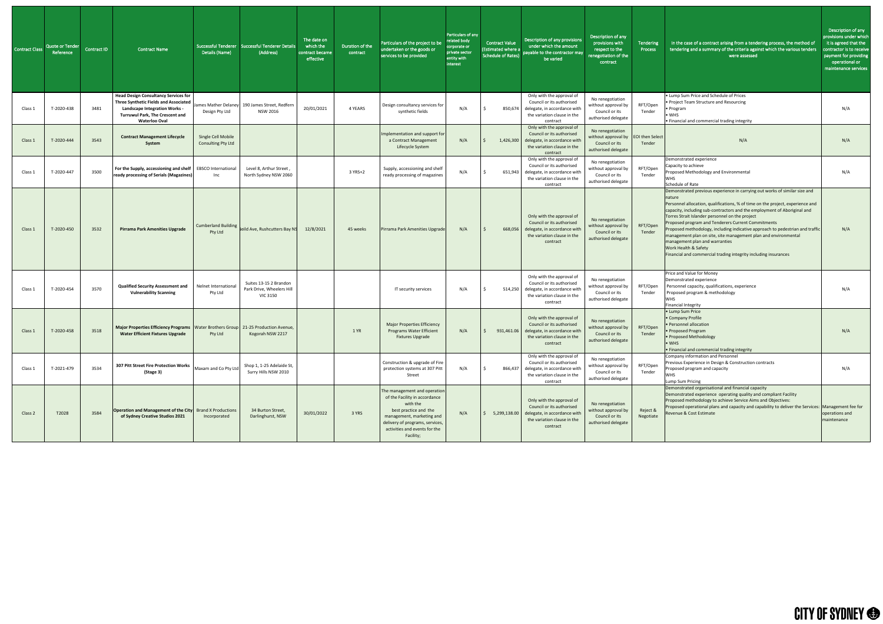| Contract Class | <b>Quote or Tender</b><br>Reference | Contract ID | Contract Name                                                                                                                                                                                  | Details (Name)                           | Successful Tenderer   Successful Tenderer Details<br>(Address)         | The date on<br>which the<br>contract became<br>effective | Duration of the<br>contract <sup>1</sup> | Particulars of the project to be<br>undertaken or the goods or<br>services to be provided                                                                                                                        | Particulars of any<br>related body<br>corporate or<br>private sector<br>entity with<br>interest | <b>Contract Value</b><br>(Estimated where a<br><b>Schedule of Rates)</b> | <b>Description of any provisions</b><br>under which the amount<br>payable to the contractor may<br>be varied                                   | Description of any<br>provisions with<br>respect to the<br>enegotiation of the<br>contract       | Tendering<br>Process  | In the case of a contract arising from a tendering process, the method of<br>tendering and a summary of the criteria against which the various tenders<br>were assessed                                                                                                                                                                                                                                                                                                                                                                                                                                                                      | Description of any<br>provisions under which<br>it is agreed that the<br>contractor is to receive<br>payment for providing<br>operational or<br>maintenance services |
|----------------|-------------------------------------|-------------|------------------------------------------------------------------------------------------------------------------------------------------------------------------------------------------------|------------------------------------------|------------------------------------------------------------------------|----------------------------------------------------------|------------------------------------------|------------------------------------------------------------------------------------------------------------------------------------------------------------------------------------------------------------------|-------------------------------------------------------------------------------------------------|--------------------------------------------------------------------------|------------------------------------------------------------------------------------------------------------------------------------------------|--------------------------------------------------------------------------------------------------|-----------------------|----------------------------------------------------------------------------------------------------------------------------------------------------------------------------------------------------------------------------------------------------------------------------------------------------------------------------------------------------------------------------------------------------------------------------------------------------------------------------------------------------------------------------------------------------------------------------------------------------------------------------------------------|----------------------------------------------------------------------------------------------------------------------------------------------------------------------|
| Class:         | T-2020-438                          | 3481        | <b>Head Design Consultancy Services for</b><br>Three Synthetic Fields and Associated<br><b>Landscape Integration Works -</b><br><b>Turruwul Park, The Crescent and</b><br><b>Waterloo Oval</b> | Design Pty Ltd                           | James Mather Delaney 190 James Street, Redfern<br><b>NSW 2016</b>      | 20/01/2021                                               | 4 YEARS                                  | Design consultancy services for<br>synthetic fields                                                                                                                                                              | N/A                                                                                             |                                                                          | Only with the approval of<br>Council or its authorised<br>850,674 delegate, in accordance with<br>the variation clause in the<br>contract      | No renegotiation<br>without approval by<br>Council or its<br>authorised delegate                 | RFT/Open<br>Tender    | • Lump Sum Price and Schedule of Prices<br>• Project Team Structure and Resourcing<br>• Program<br>$\bullet$ WHS<br>• Financial and commercial trading integrity                                                                                                                                                                                                                                                                                                                                                                                                                                                                             | N/A                                                                                                                                                                  |
| Class 1        | T-2020-444                          | 3543        | <b>Contract Management Lifecycle</b><br>System                                                                                                                                                 | Single Cell Mobile<br>Consulting Pty Ltd |                                                                        |                                                          |                                          | Implementation and support for<br>a Contract Management<br>Lifecycle System                                                                                                                                      | N/A                                                                                             |                                                                          | Only with the approval of<br>Council or its authorised<br>1,426,300 delegate, in accordance wit<br>the variation clause in the<br>contract     | No renegotiation<br>without approval by EOI then Select<br>Council or its<br>authorised delegate | Tender                | N/A                                                                                                                                                                                                                                                                                                                                                                                                                                                                                                                                                                                                                                          | N/A                                                                                                                                                                  |
| Class:         | T-2020-447                          | 3500        | For the Supply, accessioning and shelf   EBSCO International<br>ready processing of Serials (Magazines)                                                                                        | Inc                                      | Level 8, Arthur Street,<br>North Sydney NSW 2060                       |                                                          | 3 YRS+2                                  | Supply, accessioning and shelf<br>ready processing of magazines                                                                                                                                                  | N/A                                                                                             |                                                                          | Only with the approval of<br>Council or its authorised<br>651,943 delegate, in accordance with<br>the variation clause in the<br>contract      | No renegotiation<br>without approval by<br>Council or its<br>authorised delegate                 | RFT/Open<br>Tender    | Demonstrated experience<br>Capacity to achieve<br>Proposed Methodology and Environmental<br><b>WHS</b><br>Schedule of Rate                                                                                                                                                                                                                                                                                                                                                                                                                                                                                                                   | N/A                                                                                                                                                                  |
| Class:         | T-2020-450                          | 3532        | <b>Pirrama Park Amenities Upgrade</b>                                                                                                                                                          | <b>Cumberland Building</b><br>Pty Ltd    | leild Ave, Rushcutters Bay NS                                          | 12/8/2021                                                | 45 weeks                                 | Pirrama Park Amenities Upgrade                                                                                                                                                                                   | N/A                                                                                             | 668,056                                                                  | Only with the approval of<br>Council or its authorised<br>delegate, in accordance with<br>the variation clause in the<br>contract              | No renegotiation<br>without approval by<br>Council or its<br>authorised delegate                 | RFT/Open<br>Tender    | Demonstrated previous experience in carrying out works of similar size and<br>nature<br>Personnel allocation, qualifications, % of time on the project, experience and<br>capacity, including sub-contractors and the employment of Aboriginal and<br>Torres Strait Islander personnel on the project<br>Proposed program and Tenderers Current Commitments<br>Proposed methodology, including indicative approach to pedestrian and traffic<br>management plan on site, site management plan and environmental<br>management plan and warranties<br>Work Health & Safety<br>Financial and commercial trading integrity including insurances | N/A                                                                                                                                                                  |
| Class :        | T-2020-454                          | 3570        | <b>Qualified Security Assessment and</b><br><b>Vulnerability Scanning</b>                                                                                                                      | Nelnet Internationa<br>Pty Ltd           | Suites 13-15 2 Brandon<br>Park Drive, Wheelers Hill<br><b>VIC 3150</b> |                                                          |                                          | IT security services                                                                                                                                                                                             | N/A                                                                                             | 514,250                                                                  | Only with the approval of<br>Council or its authorised<br>delegate, in accordance with<br>the variation clause in the<br>contract              | No renegotiation<br>without approval by<br>Council or its<br>authorised delegate                 | RFT/Open<br>Tender    | Price and Value for Money<br>Demonstrated experience<br>Personnel capacity, qualifications, experience<br>Proposed program & methodology<br><b>WHS</b><br><b>Financial Integrity</b>                                                                                                                                                                                                                                                                                                                                                                                                                                                         | N/A                                                                                                                                                                  |
| Class 1        | T-2020-458                          | 3518        | Major Properties Efficiency Programs   Water Brothers Group   21-25 Production Avenue,<br><b>Water Efficient Fixtures Upgrade</b>                                                              | Pty Ltd                                  | Kogorah NSW 2217                                                       |                                                          | 1 YR                                     | <b>Major Properties Efficiency</b><br><b>Programs Water Efficient</b><br><b>Fixtures Upgrade</b>                                                                                                                 | N/A                                                                                             | 931,461.06                                                               | Only with the approval of<br>Council or its authorised<br>delegate, in accordance with<br>the variation clause in the<br>contract              | No renegotiation<br>without approval by<br>Council or its<br>authorised delegate                 | RFT/Open<br>Tender    | • Lump Sum Price<br>• Company Profile<br>• Personnel allocation<br>• Proposed Program<br>• Proposed Methodology<br>$\bullet$ WHS<br>. Financial and commercial trading integrity                                                                                                                                                                                                                                                                                                                                                                                                                                                             | N/A                                                                                                                                                                  |
| Class 1        | T-2021-479                          | 3534        | 307 Pitt Street Fire Protection Works<br>(Stage 3)                                                                                                                                             | Maxam and Co Pty Ltd                     | Shop 1, 1-25 Adelaide St,<br>Surry Hills NSW 2010                      |                                                          |                                          | Construction & upgrade of Fire<br>protection systems at 307 Pitt<br>Street                                                                                                                                       | N/A                                                                                             | 866,437                                                                  | Only with the approval of<br>Council or its authorised<br>delegate, in accordance with<br>the variation clause in the<br>contract              | No renegotiation<br>without approval by<br>Council or its<br>authorised delegate                 | RFT/Open<br>Tender    | Company information and Personnel<br>Previous Experience in Design & Construction contracts<br>Proposed program and capacity<br>WHS.<br>Lump Sum Pricing                                                                                                                                                                                                                                                                                                                                                                                                                                                                                     | N/A                                                                                                                                                                  |
| Class 2        | T2028                               | 3584        | <b>Operation and Management of the City</b> Brand X Productions<br>of Sydney Creative Studios 2021                                                                                             | Incorporated                             | 34 Burton Street,<br>Darlinghurst, NSW                                 | 30/01/2022                                               | 3 YRS                                    | The management and operation<br>of the Facility in accordance<br>with the<br>best practice and the<br>management, marketing and<br>delivery of programs, services,<br>activities and events for the<br>Facility; | N/A                                                                                             |                                                                          | Only with the approval of<br>Council or its authorised<br>5,299,138.00 delegate, in accordance with<br>the variation clause in the<br>contract | No renegotiation<br>without approval by<br>Council or its<br>authorised delegate                 | Reject &<br>Negotiate | Demonstrated organisational and financial capacity<br>Demonstrated experience operating quality and compliant Facility<br>Proposed methodology to achieve Service Aims and Objectives:<br>Proposed operational plans and capacity and capability to deliver the Services: Management fee for<br>Revenue & Cost Estimate                                                                                                                                                                                                                                                                                                                      | operations and<br>maintenance                                                                                                                                        |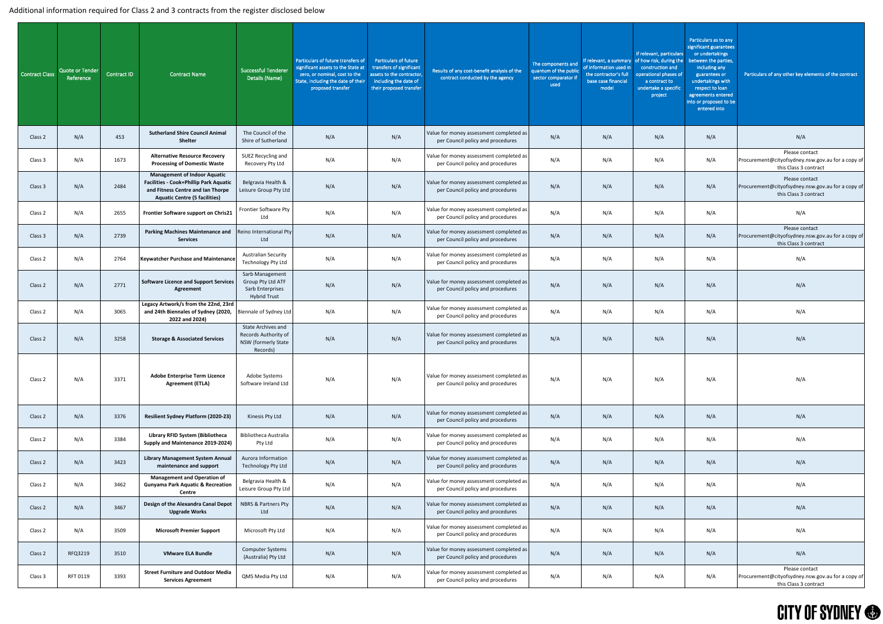#### Additional information required for Class 2 and 3 contracts from the register disclosed below

| Contract Class | Quote or Tender<br>Reference | Contract ID | <b>Contract Name</b>                                                                                                                                              | <b>Successful Tenderer</b><br>Details (Name)                                         | Particulars of future transfers of<br>significant assets to the State at<br>zero, or nominal, cost to the<br>State, including the date of their<br>proposed transfer | <b>Particulars of future</b><br>transfers of significant<br>assets to the contractor,<br>including the date of<br>their proposed transfer | Results of any cost-benefit analysis of the<br>contract conducted by the agency | The components and<br>quantum of the public<br>sector comparator if<br>used | If relevant, a summary<br>of information used in<br>the contractor's full<br>base case financial<br>model | if relevant, particulars<br>of how risk, during the<br>construction and<br>operational phases of<br>a contract to<br>undertake a specific<br>project | Particulars as to any<br>significant guarantees<br>or undertakings<br>between the parties,<br>including any<br>guarantees or<br>undertakings with<br>respect to loan<br>agreements entered<br>into or proposed to be<br>entered into | Particulars of any other key elements of the contract                                        |
|----------------|------------------------------|-------------|-------------------------------------------------------------------------------------------------------------------------------------------------------------------|--------------------------------------------------------------------------------------|----------------------------------------------------------------------------------------------------------------------------------------------------------------------|-------------------------------------------------------------------------------------------------------------------------------------------|---------------------------------------------------------------------------------|-----------------------------------------------------------------------------|-----------------------------------------------------------------------------------------------------------|------------------------------------------------------------------------------------------------------------------------------------------------------|--------------------------------------------------------------------------------------------------------------------------------------------------------------------------------------------------------------------------------------|----------------------------------------------------------------------------------------------|
| Class 2        | N/A                          | 453         | <b>Sutherland Shire Council Animal</b><br><b>Shelter</b>                                                                                                          | The Council of the<br>Shire of Sutherland                                            | N/A                                                                                                                                                                  | N/A                                                                                                                                       | Value for money assessment completed as<br>per Council policy and procedures    | N/A                                                                         | N/A                                                                                                       | N/A                                                                                                                                                  | N/A                                                                                                                                                                                                                                  | N/A                                                                                          |
| Class 3        | N/A                          | 1673        | <b>Alternative Resource Recovery</b><br><b>Processing of Domestic Waste</b>                                                                                       | SUEZ Recycling and<br>Recovery Pty Ltd                                               | N/A                                                                                                                                                                  | N/A                                                                                                                                       | Value for money assessment completed as<br>per Council policy and procedures    | N/A                                                                         | N/A                                                                                                       | N/A                                                                                                                                                  | N/A                                                                                                                                                                                                                                  | Please contact<br>Procurement@cityofsydney.nsw.gov.au for a copy of<br>this Class 3 contract |
| Class 3        | N/A                          | 2484        | <b>Management of Indoor Aquatic</b><br><b>Facilities - Cook+Phillip Park Aquatic</b><br>and Fitness Centre and Ian Thorpe<br><b>Aquatic Centre (5 facilities)</b> | Belgravia Health &<br>Leisure Group Pty Ltd                                          | N/A                                                                                                                                                                  | N/A                                                                                                                                       | Value for money assessment completed as<br>per Council policy and procedures    | N/A                                                                         | N/A                                                                                                       | N/A                                                                                                                                                  | N/A                                                                                                                                                                                                                                  | Please contact<br>Procurement@cityofsydney.nsw.gov.au for a copy of<br>this Class 3 contract |
| Class 2        | N/A                          | 2655        | Frontier Software support on Chris21                                                                                                                              | <b>Frontier Software Pty</b><br>Ltd                                                  | N/A                                                                                                                                                                  | N/A                                                                                                                                       | Value for money assessment completed as<br>per Council policy and procedures    | N/A                                                                         | N/A                                                                                                       | N/A                                                                                                                                                  | N/A                                                                                                                                                                                                                                  | N/A                                                                                          |
| Class 3        | N/A                          | 2739        | <b>Parking Machines Maintenance and</b><br><b>Services</b>                                                                                                        | Reino International Pty<br>Ltd                                                       | N/A                                                                                                                                                                  | N/A                                                                                                                                       | Value for money assessment completed as<br>per Council policy and procedures    | N/A                                                                         | N/A                                                                                                       | N/A                                                                                                                                                  | N/A                                                                                                                                                                                                                                  | Please contact<br>Procurement@cityofsydney.nsw.gov.au for a copy of<br>this Class 3 contract |
| Class 2        | N/A                          | 2764        | <b>Keywatcher Purchase and Maintenance</b>                                                                                                                        | <b>Australian Security</b><br>Technology Pty Ltd                                     | N/A                                                                                                                                                                  | N/A                                                                                                                                       | Value for money assessment completed as<br>per Council policy and procedures    | N/A                                                                         | N/A                                                                                                       | N/A                                                                                                                                                  | N/A                                                                                                                                                                                                                                  | N/A                                                                                          |
| Class 2        | N/A                          | 2771        | Software Licence and Support Services<br>Agreement                                                                                                                | Sarb Management<br>Group Pty Ltd ATF<br>Sarb Enterprises<br><b>Hybrid Trust</b>      | N/A                                                                                                                                                                  | N/A                                                                                                                                       | Value for money assessment completed as<br>per Council policy and procedures    | N/A                                                                         | N/A                                                                                                       | N/A                                                                                                                                                  | N/A                                                                                                                                                                                                                                  | N/A                                                                                          |
| Class 2        | N/A                          | 3065        | Legacy Artwork/s from the 22nd, 23rd<br>and 24th Biennales of Sydney (2020,<br>2022 and 2024)                                                                     | Biennale of Sydney Ltd                                                               | N/A                                                                                                                                                                  | N/A                                                                                                                                       | Value for money assessment completed as<br>per Council policy and procedures    | N/A                                                                         | N/A                                                                                                       | N/A                                                                                                                                                  | N/A                                                                                                                                                                                                                                  | N/A                                                                                          |
| Class 2        | N/A                          | 3258        | <b>Storage &amp; Associated Services</b>                                                                                                                          | <b>State Archives and</b><br>Records Authority of<br>NSW (formerly State<br>Records) | N/A                                                                                                                                                                  | N/A                                                                                                                                       | Value for money assessment completed as<br>per Council policy and procedures    | N/A                                                                         | N/A                                                                                                       | N/A                                                                                                                                                  | N/A                                                                                                                                                                                                                                  | N/A                                                                                          |
| Class 2        | N/A                          | 3371        | <b>Adobe Enterprise Term Licence</b><br><b>Agreement (ETLA)</b>                                                                                                   | Adobe Systems<br>Software Ireland Ltd                                                | N/A                                                                                                                                                                  | N/A                                                                                                                                       | Value for money assessment completed as<br>per Council policy and procedures    | N/A                                                                         | N/A                                                                                                       | N/A                                                                                                                                                  | N/A                                                                                                                                                                                                                                  | N/A                                                                                          |
| Class 2        | N/A                          | 3376        | <b>Resilient Sydney Platform (2020-23)</b>                                                                                                                        | Kinesis Pty Ltd                                                                      | N/A                                                                                                                                                                  | N/A                                                                                                                                       | Value for money assessment completed as<br>per Council policy and procedures    | N/A                                                                         | N/A                                                                                                       | N/A                                                                                                                                                  | N/A                                                                                                                                                                                                                                  | N/A                                                                                          |
| Class 2        | N/A                          | 3384        | Library RFID System (Bibliotheca<br>Supply and Maintenance 2019-2024)                                                                                             | <b>Bibliotheca Australia</b><br>Pty Ltd                                              | N/A                                                                                                                                                                  | N/A                                                                                                                                       | Value for money assessment completed as<br>per Council policy and procedures    | N/A                                                                         | N/A                                                                                                       | N/A                                                                                                                                                  | N/A                                                                                                                                                                                                                                  | N/A                                                                                          |
| Class 2        | N/A                          | 3423        | <b>Library Management System Annual</b><br>maintenance and support                                                                                                | Aurora Information<br>Technology Pty Ltd                                             | N/A                                                                                                                                                                  | N/A                                                                                                                                       | Value for money assessment completed as<br>per Council policy and procedures    | N/A                                                                         | N/A                                                                                                       | N/A                                                                                                                                                  | N/A                                                                                                                                                                                                                                  | N/A                                                                                          |
| Class 2        | N/A                          | 3462        | <b>Management and Operation of</b><br><b>Gunyama Park Aquatic &amp; Recreation</b><br><b>Centre</b>                                                               | Belgravia Health &<br>Leisure Group Pty Ltd                                          | N/A                                                                                                                                                                  | N/A                                                                                                                                       | Value for money assessment completed as<br>per Council policy and procedures    | N/A                                                                         | N/A                                                                                                       | N/A                                                                                                                                                  | N/A                                                                                                                                                                                                                                  | N/A                                                                                          |
| Class 2        | N/A                          | 3467        | Design of the Alexandra Canal Depot<br><b>Upgrade Works</b>                                                                                                       | <b>NBRS &amp; Partners Pty</b><br>Ltd                                                | N/A                                                                                                                                                                  | N/A                                                                                                                                       | Value for money assessment completed as<br>per Council policy and procedures    | N/A                                                                         | N/A                                                                                                       | N/A                                                                                                                                                  | N/A                                                                                                                                                                                                                                  | N/A                                                                                          |
| Class 2        | N/A                          | 3509        | <b>Microsoft Premier Support</b>                                                                                                                                  | Microsoft Pty Ltd                                                                    | N/A                                                                                                                                                                  | N/A                                                                                                                                       | Value for money assessment completed as<br>per Council policy and procedures    | N/A                                                                         | N/A                                                                                                       | N/A                                                                                                                                                  | N/A                                                                                                                                                                                                                                  | N/A                                                                                          |
| Class 2        | RFQ3219                      | 3510        | <b>VMware ELA Bundle</b>                                                                                                                                          | <b>Computer Systems</b><br>(Australia) Pty Ltd                                       | N/A                                                                                                                                                                  | N/A                                                                                                                                       | Value for money assessment completed as<br>per Council policy and procedures    | N/A                                                                         | N/A                                                                                                       | N/A                                                                                                                                                  | N/A                                                                                                                                                                                                                                  | N/A                                                                                          |
| Class 3        | RFT 0119                     | 3393        | <b>Street Furniture and Outdoor Media</b><br><b>Services Agreement</b>                                                                                            | QMS Media Pty Ltd                                                                    | N/A                                                                                                                                                                  | N/A                                                                                                                                       | Value for money assessment completed as<br>per Council policy and procedures    | N/A                                                                         | N/A                                                                                                       | N/A                                                                                                                                                  | N/A                                                                                                                                                                                                                                  | Please contact<br>Procurement@cityofsydney.nsw.gov.au for a copy of<br>this Class 3 contract |

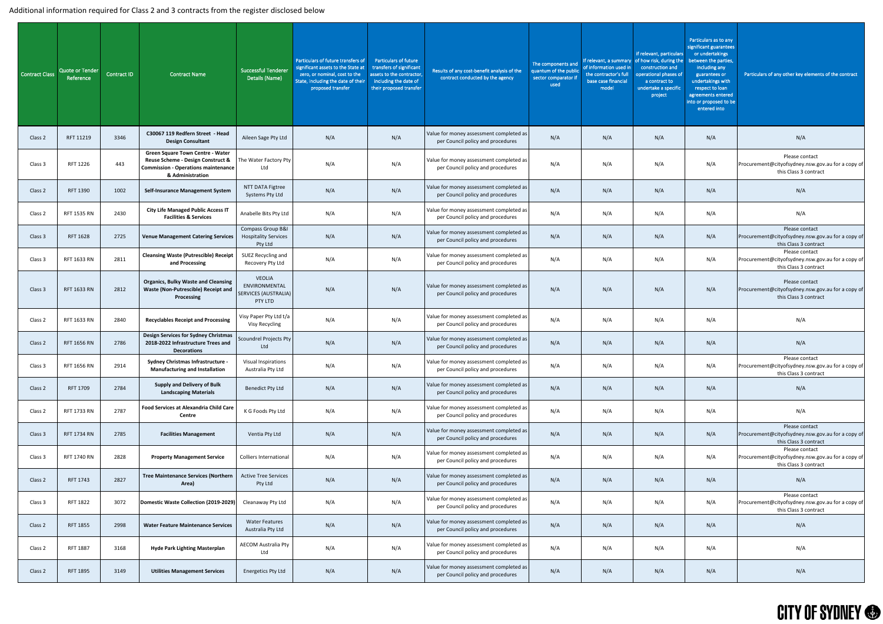#### Additional information required for Class 2 and 3 contracts from the register disclosed below

| <b>Contract Class</b> | <b>Quote or Tender</b><br>Reference | <b>Contract ID</b> | <b>Contract Name</b>                                                                                                                           | <b>Successful Tenderer</b><br>Details (Name)                | Particulars of future transfers of<br>significant assets to the State at<br>zero, or nominal, cost to the<br>State, including the date of their<br>proposed transfer | <b>Particulars of future</b><br>transfers of significant<br>assets to the contractor,<br>including the date of<br>their proposed transfer | Results of any cost-benefit analysis of the<br>contract conducted by the agency | The components and<br>quantum of the public<br>sector comparator if<br>used | If relevant, a summary<br>of information used in<br>the contractor's full<br>base case financial<br>model | if relevant, particulars<br>of how risk, during the<br>construction and<br>operational phases of<br>a contract to<br>undertake a specific<br>project | Particulars as to any<br>significant guarantees<br>or undertakings<br>between the parties,<br>including any<br>guarantees or<br>undertakings with<br>respect to loan<br>agreements entered<br>into or proposed to be<br>entered into | Particulars of any other key elements of the contract                                        |
|-----------------------|-------------------------------------|--------------------|------------------------------------------------------------------------------------------------------------------------------------------------|-------------------------------------------------------------|----------------------------------------------------------------------------------------------------------------------------------------------------------------------|-------------------------------------------------------------------------------------------------------------------------------------------|---------------------------------------------------------------------------------|-----------------------------------------------------------------------------|-----------------------------------------------------------------------------------------------------------|------------------------------------------------------------------------------------------------------------------------------------------------------|--------------------------------------------------------------------------------------------------------------------------------------------------------------------------------------------------------------------------------------|----------------------------------------------------------------------------------------------|
| Class 2               | RFT 11219                           | 3346               | C30067 119 Redfern Street - Head<br><b>Design Consultant</b>                                                                                   | Aileen Sage Pty Ltd                                         | N/A                                                                                                                                                                  | N/A                                                                                                                                       | Value for money assessment completed as<br>per Council policy and procedures    | N/A                                                                         | N/A                                                                                                       | N/A                                                                                                                                                  | N/A                                                                                                                                                                                                                                  | N/A                                                                                          |
| Class 3               | RFT 1226                            | 443                | <b>Green Square Town Centre - Water</b><br>Reuse Scheme - Design Construct &<br><b>Commission - Operations maintenance</b><br>& Administration | The Water Factory Pty<br>Ltd                                | N/A                                                                                                                                                                  | N/A                                                                                                                                       | Value for money assessment completed as<br>per Council policy and procedures    | N/A                                                                         | N/A                                                                                                       | N/A                                                                                                                                                  | N/A                                                                                                                                                                                                                                  | Please contact<br>Procurement@cityofsydney.nsw.gov.au for a copy of<br>this Class 3 contract |
| Class 2               | RFT 1390                            | 1002               | <b>Self-Insurance Management System</b>                                                                                                        | NTT DATA Figtree<br>Systems Pty Ltd                         | N/A                                                                                                                                                                  | N/A                                                                                                                                       | Value for money assessment completed as<br>per Council policy and procedures    | N/A                                                                         | N/A                                                                                                       | N/A                                                                                                                                                  | N/A                                                                                                                                                                                                                                  | N/A                                                                                          |
| Class 2               | RFT 1535 RN                         | 2430               | <b>City Life Managed Public Access IT</b><br><b>Facilities &amp; Services</b>                                                                  | Anabelle Bits Pty Ltd                                       | N/A                                                                                                                                                                  | N/A                                                                                                                                       | Value for money assessment completed as<br>per Council policy and procedures    | N/A                                                                         | N/A                                                                                                       | N/A                                                                                                                                                  | N/A                                                                                                                                                                                                                                  | N/A                                                                                          |
| Class 3               | <b>RFT 1628</b>                     | 2725               | <b>Venue Management Catering Services</b>                                                                                                      | Compass Group B&I<br><b>Hospitality Services</b><br>Pty Ltd | N/A                                                                                                                                                                  | N/A                                                                                                                                       | Value for money assessment completed as<br>per Council policy and procedures    | N/A                                                                         | N/A                                                                                                       | N/A                                                                                                                                                  | N/A                                                                                                                                                                                                                                  | Please contact<br>Procurement@cityofsydney.nsw.gov.au for a copy of<br>this Class 3 contract |
| Class 3               | RFT 1633 RN                         | 2811               | <b>Cleansing Waste (Putrescible) Receipt</b>   SUEZ Recycling and<br>and Processing                                                            | Recovery Pty Ltd                                            | N/A                                                                                                                                                                  | N/A                                                                                                                                       | Value for money assessment completed as<br>per Council policy and procedures    | N/A                                                                         | N/A                                                                                                       | N/A                                                                                                                                                  | N/A                                                                                                                                                                                                                                  | Please contact<br>Procurement@cityofsydney.nsw.gov.au for a copy of<br>this Class 3 contract |
| Class 3               | RFT 1633 RN                         | 2812               | <b>Organics, Bulky Waste and Cleansing</b><br><b>Waste (Non-Putrescible) Receipt and</b><br>Processing                                         | VEOLIA<br>ENVIRONMENTAL<br>SERVICES (AUSTRALIA)<br>PTY LTD  | N/A                                                                                                                                                                  | N/A                                                                                                                                       | Value for money assessment completed as<br>per Council policy and procedures    | N/A                                                                         | N/A                                                                                                       | N/A                                                                                                                                                  | N/A                                                                                                                                                                                                                                  | Please contact<br>Procurement@cityofsydney.nsw.gov.au for a copy of<br>this Class 3 contract |
| Class 2               | RFT 1633 RN                         | 2840               | <b>Recyclables Receipt and Processing</b>                                                                                                      | Visy Paper Pty Ltd t/a<br>Visy Recycling                    | N/A                                                                                                                                                                  | N/A                                                                                                                                       | Value for money assessment completed as<br>per Council policy and procedures    | N/A                                                                         | N/A                                                                                                       | N/A                                                                                                                                                  | N/A                                                                                                                                                                                                                                  | N/A                                                                                          |
| Class 2               | RFT 1656 RN                         | 2786               | <b>Design Services for Sydney Christmas</b><br>2018-2022 Infrastructure Trees and<br><b>Decorations</b>                                        | Scoundrel Projects Pty<br>Ltd                               | N/A                                                                                                                                                                  | N/A                                                                                                                                       | Value for money assessment completed as<br>per Council policy and procedures    | N/A                                                                         | N/A                                                                                                       | N/A                                                                                                                                                  | N/A                                                                                                                                                                                                                                  | N/A                                                                                          |
| Class 3               | RFT 1656 RN                         | 2914               | <b>Sydney Christmas Infrastructure -</b><br><b>Manufacturing and Installation</b>                                                              | <b>Visual Inspirations</b><br>Australia Pty Ltd             | N/A                                                                                                                                                                  | N/A                                                                                                                                       | Value for money assessment completed as<br>per Council policy and procedures    | N/A                                                                         | N/A                                                                                                       | N/A                                                                                                                                                  | N/A                                                                                                                                                                                                                                  | Please contact<br>Procurement@cityofsydney.nsw.gov.au for a copy of<br>this Class 3 contract |
| Class 2               | RFT 1709                            | 2784               | <b>Supply and Delivery of Bulk</b><br><b>Landscaping Materials</b>                                                                             | <b>Benedict Pty Ltd</b>                                     | N/A                                                                                                                                                                  | N/A                                                                                                                                       | Value for money assessment completed as<br>per Council policy and procedures    | N/A                                                                         | N/A                                                                                                       | N/A                                                                                                                                                  | N/A                                                                                                                                                                                                                                  | N/A                                                                                          |
| Class 2               | RFT 1733 RN                         | 2787               | <b>Food Services at Alexandria Child Care</b><br><b>Centre</b>                                                                                 | K G Foods Pty Ltd                                           | N/A                                                                                                                                                                  | N/A                                                                                                                                       | Value for money assessment completed as<br>per Council policy and procedures    | N/A                                                                         | N/A                                                                                                       | N/A                                                                                                                                                  | N/A                                                                                                                                                                                                                                  | N/A                                                                                          |
| Class 3               | <b>RFT 1734 RN</b>                  | 2785               | <b>Facilities Management</b>                                                                                                                   | Ventia Pty Ltd                                              | N/A                                                                                                                                                                  | N/A                                                                                                                                       | Value for money assessment completed as<br>per Council policy and procedures    | N/A                                                                         | N/A                                                                                                       | N/A                                                                                                                                                  | N/A                                                                                                                                                                                                                                  | Please contact<br>Procurement@cityofsydney.nsw.gov.au for a copy of<br>this Class 3 contract |
| Class 3               | RFT 1740 RN                         | 2828               | <b>Property Management Service</b>                                                                                                             | <b>Colliers International</b>                               | N/A                                                                                                                                                                  | N/A                                                                                                                                       | Value for money assessment completed as<br>per Council policy and procedures    | N/A                                                                         | N/A                                                                                                       | N/A                                                                                                                                                  | N/A                                                                                                                                                                                                                                  | Please contact<br>Procurement@cityofsydney.nsw.gov.au for a copy of<br>this Class 3 contract |
| Class 2               | RFT 1743                            | 2827               | <b>Tree Maintenance Services (Northern</b><br>Area)                                                                                            | <b>Active Tree Services</b><br>Pty Ltd                      | N/A                                                                                                                                                                  | N/A                                                                                                                                       | Value for money assessment completed as<br>per Council policy and procedures    | N/A                                                                         | N/A                                                                                                       | N/A                                                                                                                                                  | N/A                                                                                                                                                                                                                                  | N/A                                                                                          |
| Class 3               | <b>RFT 1822</b>                     | 3072               | Domestic Waste Collection (2019-2029)                                                                                                          | Cleanaway Pty Ltd                                           | N/A                                                                                                                                                                  | N/A                                                                                                                                       | Value for money assessment completed as<br>per Council policy and procedures    | N/A                                                                         | N/A                                                                                                       | N/A                                                                                                                                                  | N/A                                                                                                                                                                                                                                  | Please contact<br>Procurement@cityofsydney.nsw.gov.au for a copy of<br>this Class 3 contract |
| Class 2               | <b>RFT 1855</b>                     | 2998               | <b>Water Feature Maintenance Services</b>                                                                                                      | <b>Water Features</b><br>Australia Pty Ltd                  | N/A                                                                                                                                                                  | N/A                                                                                                                                       | Value for money assessment completed as<br>per Council policy and procedures    | N/A                                                                         | N/A                                                                                                       | N/A                                                                                                                                                  | N/A                                                                                                                                                                                                                                  | N/A                                                                                          |
| Class 2               | RFT 1887                            | 3168               | <b>Hyde Park Lighting Masterplan</b>                                                                                                           | <b>AECOM Australia Pty</b><br>Ltd                           | N/A                                                                                                                                                                  | N/A                                                                                                                                       | Value for money assessment completed as<br>per Council policy and procedures    | N/A                                                                         | N/A                                                                                                       | N/A                                                                                                                                                  | N/A                                                                                                                                                                                                                                  | N/A                                                                                          |
| Class 2               | <b>RFT 1895</b>                     | 3149               | <b>Utilities Management Services</b>                                                                                                           | <b>Energetics Pty Ltd</b>                                   | N/A                                                                                                                                                                  | N/A                                                                                                                                       | Value for money assessment completed as<br>per Council policy and procedures    | N/A                                                                         | N/A                                                                                                       | N/A                                                                                                                                                  | N/A                                                                                                                                                                                                                                  | N/A                                                                                          |